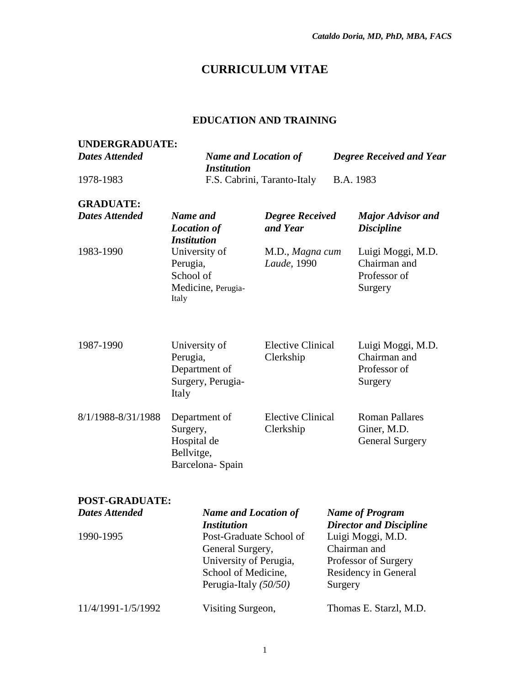# **CURRICULUM VITAE**

### **EDUCATION AND TRAINING**

| <b>UNDERGRADUATE:</b> |                                                                                              |                                       |                                                                                          |
|-----------------------|----------------------------------------------------------------------------------------------|---------------------------------------|------------------------------------------------------------------------------------------|
| <b>Dates Attended</b> | <b>Name and Location of</b><br><b>Institution</b>                                            |                                       | <b>Degree Received and Year</b>                                                          |
| 1978-1983             |                                                                                              | F.S. Cabrini, Taranto-Italy           | B.A. 1983                                                                                |
| <b>GRADUATE:</b>      |                                                                                              |                                       |                                                                                          |
| <b>Dates Attended</b> | Name and<br><b>Location of</b><br><b>Institution</b>                                         | <b>Degree Received</b><br>and Year    | <b>Major Advisor and</b><br><b>Discipline</b>                                            |
| 1983-1990             | University of<br>Perugia,<br>School of<br>Medicine, Perugia-<br>Italy                        | M.D., Magna cum<br>Laude, 1990        | Luigi Moggi, M.D.<br>Chairman and<br>Professor of<br>Surgery                             |
| 1987-1990             | University of<br>Perugia,<br>Department of<br>Surgery, Perugia-<br>Italy                     | <b>Elective Clinical</b><br>Clerkship | Luigi Moggi, M.D.<br>Chairman and<br>Professor of<br>Surgery                             |
| 8/1/1988-8/31/1988    | Department of<br>Surgery,<br>Hospital de<br>Bellvitge,<br>Barcelona-Spain                    | <b>Elective Clinical</b><br>Clerkship | <b>Roman Pallares</b><br>Giner, M.D.<br><b>General Surgery</b>                           |
| <b>POST-GRADUATE:</b> |                                                                                              |                                       |                                                                                          |
| <b>Dates Attended</b> | <b>Name and Location of</b><br><b>Institution</b>                                            |                                       | <b>Name of Program</b><br><b>Director and Discipline</b>                                 |
| 1990-1995             | Post-Graduate School of<br>General Surgery,<br>University of Perugia,<br>School of Medicine, |                                       | Luigi Moggi, M.D.<br>Chairman and<br>Professor of Surgery<br><b>Residency in General</b> |

11/4/1991-1/5/1992 Visiting Surgeon, Thomas E. Starzl, M.D.

Perugia-Italy *(50/50)*

Surgery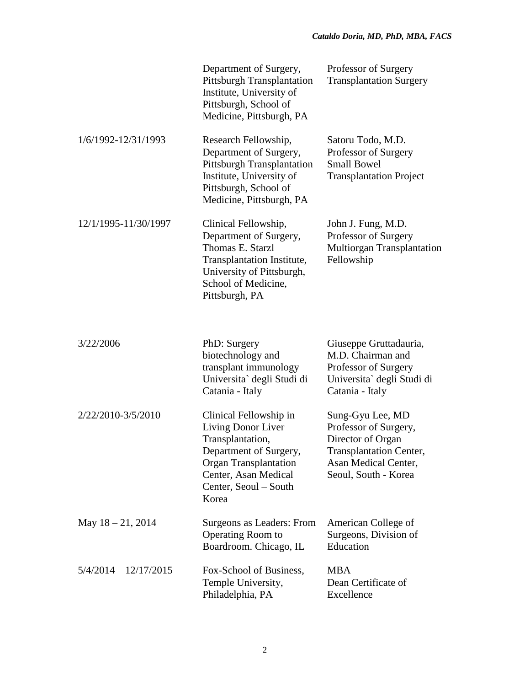|                         | Department of Surgery,<br><b>Pittsburgh Transplantation</b><br>Institute, University of<br>Pittsburgh, School of<br>Medicine, Pittsburgh, PA                                         | Professor of Surgery<br><b>Transplantation Surgery</b>                                                                                           |
|-------------------------|--------------------------------------------------------------------------------------------------------------------------------------------------------------------------------------|--------------------------------------------------------------------------------------------------------------------------------------------------|
| 1/6/1992-12/31/1993     | Research Fellowship,<br>Department of Surgery,<br><b>Pittsburgh Transplantation</b><br>Institute, University of<br>Pittsburgh, School of<br>Medicine, Pittsburgh, PA                 | Satoru Todo, M.D.<br>Professor of Surgery<br><b>Small Bowel</b><br><b>Transplantation Project</b>                                                |
| 12/1/1995-11/30/1997    | Clinical Fellowship,<br>Department of Surgery,<br>Thomas E. Starzl<br>Transplantation Institute,<br>University of Pittsburgh,<br>School of Medicine,<br>Pittsburgh, PA               | John J. Fung, M.D.<br>Professor of Surgery<br>Multiorgan Transplantation<br>Fellowship                                                           |
| 3/22/2006               | PhD: Surgery<br>biotechnology and<br>transplant immunology<br>Universita` degli Studi di<br>Catania - Italy                                                                          | Giuseppe Gruttadauria,<br>M.D. Chairman and<br>Professor of Surgery<br>Universita` degli Studi di<br>Catania - Italy                             |
| 2/22/2010-3/5/2010      | Clinical Fellowship in<br>Living Donor Liver<br>Transplantation,<br>Department of Surgery,<br><b>Organ Transplantation</b><br>Center, Asan Medical<br>Center, Seoul – South<br>Korea | Sung-Gyu Lee, MD<br>Professor of Surgery,<br>Director of Organ<br><b>Transplantation Center,</b><br>Asan Medical Center,<br>Seoul, South - Korea |
| May $18 - 21$ , 2014    | Surgeons as Leaders: From<br>Operating Room to<br>Boardroom. Chicago, IL                                                                                                             | American College of<br>Surgeons, Division of<br>Education                                                                                        |
| $5/4/2014 - 12/17/2015$ | Fox-School of Business,<br>Temple University,<br>Philadelphia, PA                                                                                                                    | <b>MBA</b><br>Dean Certificate of<br>Excellence                                                                                                  |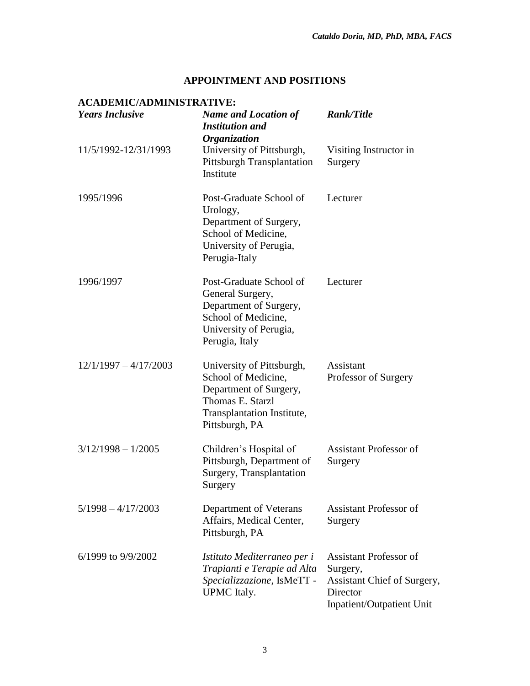Inpatient/Outpatient Unit

#### **APPOINTMENT AND POSITIONS**

#### **ACADEMIC/ADMINISTRATIVE:** *Years Inclusive Name and Location of Institution and Organization Rank/Title* 11/5/1992-12/31/1993 University of Pittsburgh, Pittsburgh Transplantation Institute Visiting Instructor in Surgery 1995/1996 Post-Graduate School of Urology, Department of Surgery, School of Medicine, University of Perugia, Perugia-Italy Lecturer 1996/1997 Post-Graduate School of General Surgery, Department of Surgery, School of Medicine, University of Perugia, Perugia, Italy Lecturer 12/1/1997 – 4/17/2003 University of Pittsburgh, School of Medicine, Department of Surgery, Thomas E. Starzl Transplantation Institute, Pittsburgh, PA Assistant Professor of Surgery 3/12/1998 – 1/2005 Children's Hospital of Pittsburgh, Department of Surgery, Transplantation Surgery Assistant Professor of Surgery 5/1998 – 4/17/2003 Department of Veterans Affairs, Medical Center, Pittsburgh, PA Assistant Professor of Surgery 6/1999 to 9/9/2002 *Istituto Mediterraneo per i Trapianti e Terapie ad Alta Specializzazione*, IsMeTT - UPMC Italy. Assistant Professor of Surgery, Assistant Chief of Surgery, **Director**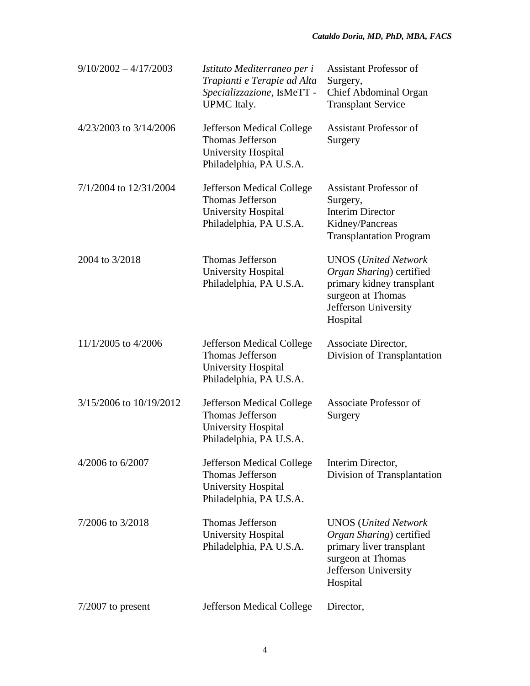| $9/10/2002 - 4/17/2003$ | Istituto Mediterraneo per i<br>Trapianti e Terapie ad Alta<br>Specializzazione, IsMeTT -<br><b>UPMC</b> Italy. | <b>Assistant Professor of</b><br>Surgery,<br>Chief Abdominal Organ<br><b>Transplant Service</b>                                                       |
|-------------------------|----------------------------------------------------------------------------------------------------------------|-------------------------------------------------------------------------------------------------------------------------------------------------------|
| 4/23/2003 to 3/14/2006  | <b>Jefferson Medical College</b><br>Thomas Jefferson<br><b>University Hospital</b><br>Philadelphia, PA U.S.A.  | <b>Assistant Professor of</b><br>Surgery                                                                                                              |
| 7/1/2004 to 12/31/2004  | Jefferson Medical College<br>Thomas Jefferson<br>University Hospital<br>Philadelphia, PA U.S.A.                | <b>Assistant Professor of</b><br>Surgery,<br><b>Interim Director</b><br>Kidney/Pancreas<br><b>Transplantation Program</b>                             |
| 2004 to 3/2018          | Thomas Jefferson<br><b>University Hospital</b><br>Philadelphia, PA U.S.A.                                      | <b>UNOS</b> ( <i>United Network</i><br>Organ Sharing) certified<br>primary kidney transplant<br>surgeon at Thomas<br>Jefferson University<br>Hospital |
| 11/1/2005 to 4/2006     | Jefferson Medical College<br>Thomas Jefferson<br><b>University Hospital</b><br>Philadelphia, PA U.S.A.         | Associate Director,<br>Division of Transplantation                                                                                                    |
| 3/15/2006 to 10/19/2012 | <b>Jefferson Medical College</b><br>Thomas Jefferson<br>University Hospital<br>Philadelphia, PA U.S.A.         | Associate Professor of<br>Surgery                                                                                                                     |
| 4/2006 to 6/2007        | Jefferson Medical College<br>Thomas Jefferson<br>University Hospital<br>Philadelphia, PA U.S.A.                | Interim Director,<br>Division of Transplantation                                                                                                      |
| 7/2006 to 3/2018        | Thomas Jefferson<br><b>University Hospital</b><br>Philadelphia, PA U.S.A.                                      | <b>UNOS</b> ( <i>United Network</i><br>Organ Sharing) certified<br>primary liver transplant<br>surgeon at Thomas<br>Jefferson University<br>Hospital  |
| $7/2007$ to present     | Jefferson Medical College                                                                                      | Director,                                                                                                                                             |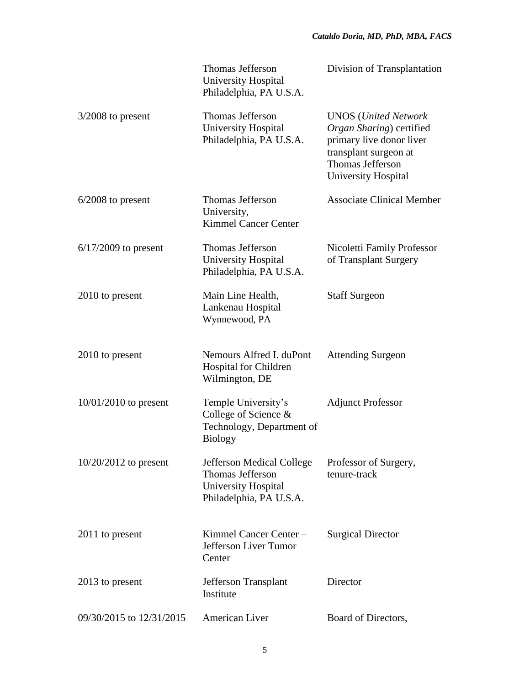|                          | Thomas Jefferson<br><b>University Hospital</b><br>Philadelphia, PA U.S.A.                              | Division of Transplantation                                                                                                                                            |
|--------------------------|--------------------------------------------------------------------------------------------------------|------------------------------------------------------------------------------------------------------------------------------------------------------------------------|
| $3/2008$ to present      | <b>Thomas Jefferson</b><br>University Hospital<br>Philadelphia, PA U.S.A.                              | <b>UNOS</b> ( <i>United Network</i><br>Organ Sharing) certified<br>primary live donor liver<br>transplant surgeon at<br>Thomas Jefferson<br><b>University Hospital</b> |
| $6/2008$ to present      | <b>Thomas Jefferson</b><br>University,<br><b>Kimmel Cancer Center</b>                                  | <b>Associate Clinical Member</b>                                                                                                                                       |
| $6/17/2009$ to present   | <b>Thomas Jefferson</b><br><b>University Hospital</b><br>Philadelphia, PA U.S.A.                       | Nicoletti Family Professor<br>of Transplant Surgery                                                                                                                    |
| 2010 to present          | Main Line Health,<br>Lankenau Hospital<br>Wynnewood, PA                                                | <b>Staff Surgeon</b>                                                                                                                                                   |
| 2010 to present          | Nemours Alfred I. duPont<br>Hospital for Children<br>Wilmington, DE                                    | <b>Attending Surgeon</b>                                                                                                                                               |
| $10/01/2010$ to present  | Temple University's<br>College of Science &<br>Technology, Department of<br><b>Biology</b>             | <b>Adjunct Professor</b>                                                                                                                                               |
| $10/20/2012$ to present  | Jefferson Medical College<br><b>Thomas Jefferson</b><br>University Hospital<br>Philadelphia, PA U.S.A. | Professor of Surgery,<br>tenure-track                                                                                                                                  |
| 2011 to present          | Kimmel Cancer Center -<br>Jefferson Liver Tumor<br>Center                                              | <b>Surgical Director</b>                                                                                                                                               |
| 2013 to present          | Jefferson Transplant<br>Institute                                                                      | Director                                                                                                                                                               |
| 09/30/2015 to 12/31/2015 | American Liver                                                                                         | Board of Directors,                                                                                                                                                    |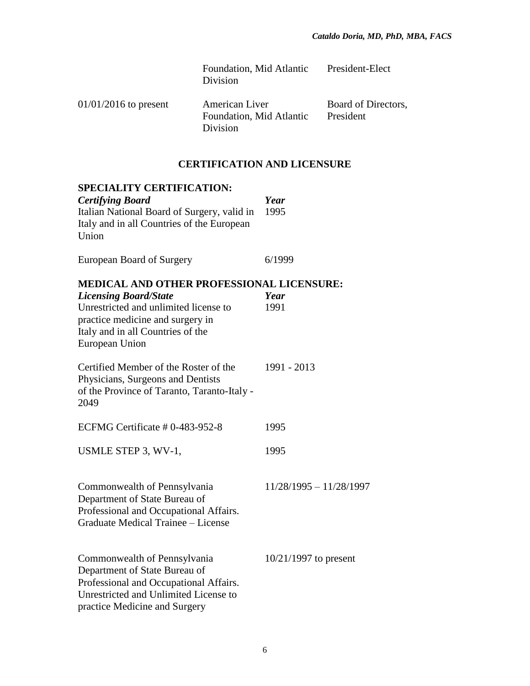Foundation, Mid Atlantic Division President-Elect

01/01/2016 to present American Liver Foundation, Mid Atlantic Division Board of Directors, President

## **CERTIFICATION AND LICENSURE**

| <b>SPECIALITY CERTIFICATION:</b>                                                                                                                                                                              |                           |
|---------------------------------------------------------------------------------------------------------------------------------------------------------------------------------------------------------------|---------------------------|
| <b>Certifying Board</b><br>Italian National Board of Surgery, valid in<br>Italy and in all Countries of the European<br>Union                                                                                 | Year<br>1995              |
| European Board of Surgery                                                                                                                                                                                     | 6/1999                    |
| MEDICAL AND OTHER PROFESSIONAL LICENSURE:<br><b>Licensing Board/State</b><br>Unrestricted and unlimited license to<br>practice medicine and surgery in<br>Italy and in all Countries of the<br>European Union | Year<br>1991              |
| Certified Member of the Roster of the<br>Physicians, Surgeons and Dentists<br>of the Province of Taranto, Taranto-Italy -<br>2049                                                                             | 1991 - 2013               |
| ECFMG Certificate # 0-483-952-8                                                                                                                                                                               | 1995                      |
| USMLE STEP 3, WV-1,                                                                                                                                                                                           | 1995                      |
| Commonwealth of Pennsylvania<br>Department of State Bureau of<br>Professional and Occupational Affairs.<br>Graduate Medical Trainee - License                                                                 | $11/28/1995 - 11/28/1997$ |
| Commonwealth of Pennsylvania<br>Department of State Bureau of<br>Professional and Occupational Affairs.<br>Unrestricted and Unlimited License to<br>practice Medicine and Surgery                             | $10/21/1997$ to present   |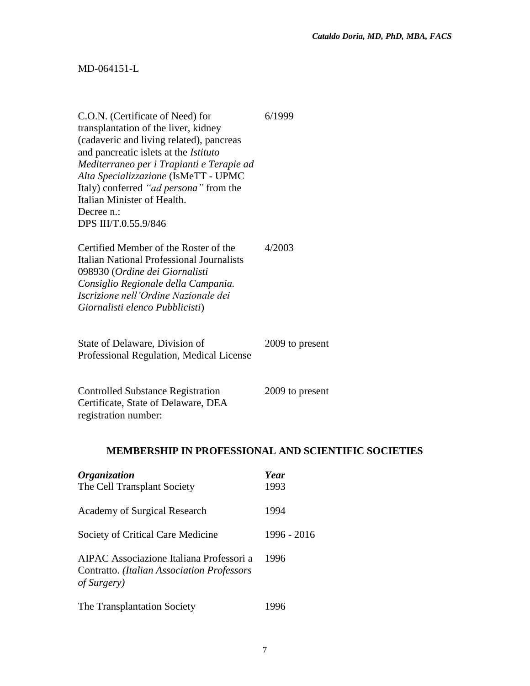## MD-064151-L

| C.O.N. (Certificate of Need) for<br>transplantation of the liver, kidney<br>(cadaveric and living related), pancreas<br>and pancreatic islets at the Istituto<br>Mediterraneo per i Trapianti e Terapie ad<br>Alta Specializzazione (IsMeTT - UPMC<br>Italy) conferred "ad persona" from the<br>Italian Minister of Health.<br>Decree n.:<br>DPS III/T.0.55.9/846 | 6/1999                                                     |
|-------------------------------------------------------------------------------------------------------------------------------------------------------------------------------------------------------------------------------------------------------------------------------------------------------------------------------------------------------------------|------------------------------------------------------------|
| Certified Member of the Roster of the<br>Italian National Professional Journalists<br>098930 (Ordine dei Giornalisti<br>Consiglio Regionale della Campania.<br>Iscrizione nell'Ordine Nazionale dei<br>Giornalisti elenco Pubblicisti)                                                                                                                            | 4/2003                                                     |
| State of Delaware, Division of<br>Professional Regulation, Medical License                                                                                                                                                                                                                                                                                        | 2009 to present                                            |
| <b>Controlled Substance Registration</b><br>Certificate, State of Delaware, DEA<br>registration number:                                                                                                                                                                                                                                                           | 2009 to present                                            |
|                                                                                                                                                                                                                                                                                                                                                                   | <b>MEMBERSHIP IN PROFESSIONAL AND SCIENTIFIC SOCIETIES</b> |
| <b>Organization</b><br>The Cell Transplant Society                                                                                                                                                                                                                                                                                                                | Year<br>1993                                               |
| <b>Academy of Surgical Research</b>                                                                                                                                                                                                                                                                                                                               | 1994                                                       |
| Society of Critical Care Medicine                                                                                                                                                                                                                                                                                                                                 | 1996 - 2016                                                |
| AIPAC Associazione Italiana Professori a<br>Contratto. (Italian Association Professors<br>of Surgery)                                                                                                                                                                                                                                                             | 1996                                                       |
| The Transplantation Society                                                                                                                                                                                                                                                                                                                                       | 1996                                                       |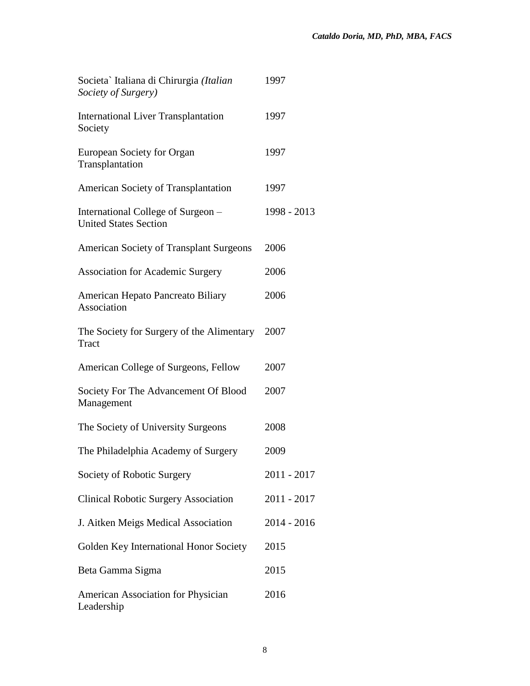| Societa` Italiana di Chirurgia (Italian<br>Society of Surgery)     | 1997        |
|--------------------------------------------------------------------|-------------|
| <b>International Liver Transplantation</b><br>Society              | 1997        |
| <b>European Society for Organ</b><br>Transplantation               | 1997        |
| <b>American Society of Transplantation</b>                         | 1997        |
| International College of Surgeon –<br><b>United States Section</b> | 1998 - 2013 |
| <b>American Society of Transplant Surgeons</b>                     | 2006        |
| <b>Association for Academic Surgery</b>                            | 2006        |
| American Hepato Pancreato Biliary<br>Association                   | 2006        |
| The Society for Surgery of the Alimentary<br>Tract                 | 2007        |
| American College of Surgeons, Fellow                               | 2007        |
| Society For The Advancement Of Blood<br>Management                 | 2007        |
| The Society of University Surgeons                                 | 2008        |
| The Philadelphia Academy of Surgery                                | 2009        |
| Society of Robotic Surgery                                         | 2011 - 2017 |
| <b>Clinical Robotic Surgery Association</b>                        | 2011 - 2017 |
| J. Aitken Meigs Medical Association                                | 2014 - 2016 |
| Golden Key International Honor Society                             | 2015        |
| Beta Gamma Sigma                                                   | 2015        |
| <b>American Association for Physician</b><br>Leadership            | 2016        |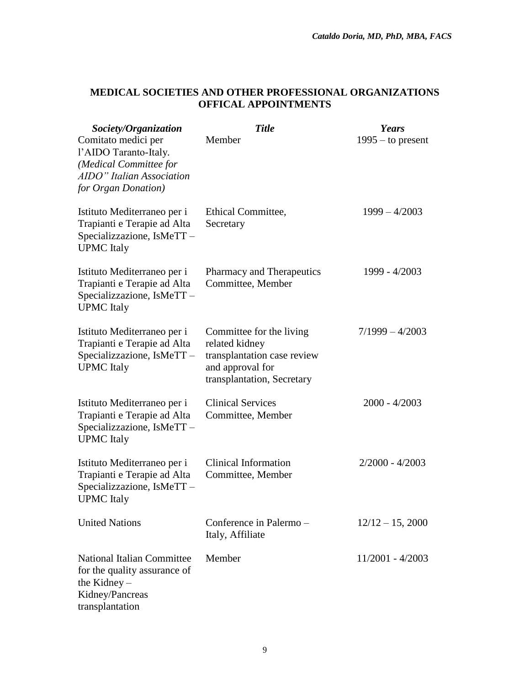## **MEDICAL SOCIETIES AND OTHER PROFESSIONAL ORGANIZATIONS OFFICAL APPOINTMENTS**

| Society/Organization                                                                                                       | <b>Title</b>                                                                                                                | Years               |
|----------------------------------------------------------------------------------------------------------------------------|-----------------------------------------------------------------------------------------------------------------------------|---------------------|
| Comitato medici per<br>l'AIDO Taranto-Italy.<br>(Medical Committee for<br>AIDO" Italian Association<br>for Organ Donation) | Member                                                                                                                      | $1995 -$ to present |
| Istituto Mediterraneo per i<br>Trapianti e Terapie ad Alta<br>Specializzazione, IsMeTT-<br><b>UPMC</b> Italy               | Ethical Committee,<br>Secretary                                                                                             | $1999 - 4/2003$     |
| Istituto Mediterraneo per i<br>Trapianti e Terapie ad Alta<br>Specializzazione, IsMeTT-<br><b>UPMC</b> Italy               | Pharmacy and Therapeutics<br>Committee, Member                                                                              | 1999 - 4/2003       |
| Istituto Mediterraneo per i<br>Trapianti e Terapie ad Alta<br>Specializzazione, IsMeTT-<br><b>UPMC</b> Italy               | Committee for the living<br>related kidney<br>transplantation case review<br>and approval for<br>transplantation, Secretary | $7/1999 - 4/2003$   |
| Istituto Mediterraneo per i<br>Trapianti e Terapie ad Alta<br>Specializzazione, IsMeTT-<br><b>UPMC</b> Italy               | <b>Clinical Services</b><br>Committee, Member                                                                               | $2000 - 4/2003$     |
| Istituto Mediterraneo per i<br>Trapianti e Terapie ad Alta<br>Specializzazione, IsMeTT-<br><b>UPMC</b> Italy               | <b>Clinical Information</b><br>Committee, Member                                                                            | $2/2000 - 4/2003$   |
| <b>United Nations</b>                                                                                                      | Conference in Palermo -<br>Italy, Affiliate                                                                                 | $12/12 - 15$ , 2000 |
| <b>National Italian Committee</b><br>for the quality assurance of<br>the Kidney $-$<br>Kidney/Pancreas<br>transplantation  | Member                                                                                                                      | $11/2001 - 4/2003$  |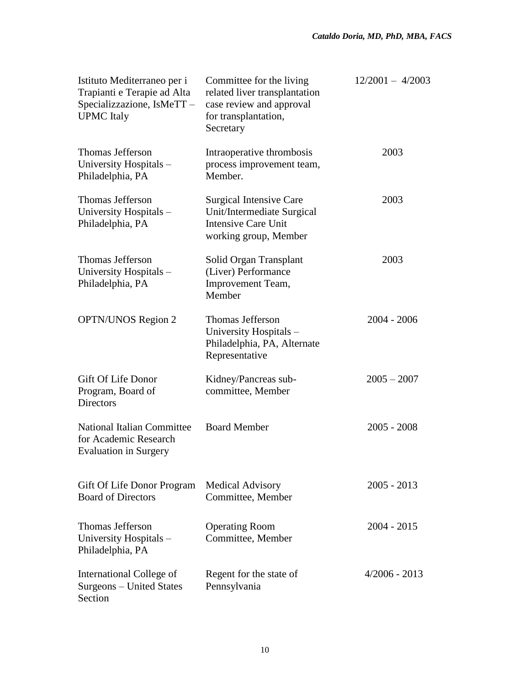| Istituto Mediterraneo per i<br>Trapianti e Terapie ad Alta<br>Specializzazione, IsMeTT-<br><b>UPMC</b> Italy | Committee for the living<br>related liver transplantation<br>case review and approval<br>for transplantation,<br>Secretary | $12/2001 - 4/2003$ |
|--------------------------------------------------------------------------------------------------------------|----------------------------------------------------------------------------------------------------------------------------|--------------------|
| <b>Thomas Jefferson</b><br>University Hospitals -<br>Philadelphia, PA                                        | Intraoperative thrombosis<br>process improvement team,<br>Member.                                                          | 2003               |
| <b>Thomas Jefferson</b><br>University Hospitals -<br>Philadelphia, PA                                        | Surgical Intensive Care<br>Unit/Intermediate Surgical<br><b>Intensive Care Unit</b><br>working group, Member               | 2003               |
| <b>Thomas Jefferson</b><br>University Hospitals -<br>Philadelphia, PA                                        | Solid Organ Transplant<br>(Liver) Performance<br>Improvement Team,<br>Member                                               | 2003               |
| <b>OPTN/UNOS Region 2</b>                                                                                    | <b>Thomas Jefferson</b><br>University Hospitals-<br>Philadelphia, PA, Alternate<br>Representative                          | $2004 - 2006$      |
| <b>Gift Of Life Donor</b><br>Program, Board of<br><b>Directors</b>                                           | Kidney/Pancreas sub-<br>committee, Member                                                                                  | $2005 - 2007$      |
| <b>National Italian Committee</b><br>for Academic Research<br><b>Evaluation in Surgery</b>                   | <b>Board Member</b>                                                                                                        | $2005 - 2008$      |
| Gift Of Life Donor Program<br><b>Board of Directors</b>                                                      | <b>Medical Advisory</b><br>Committee, Member                                                                               | $2005 - 2013$      |
| <b>Thomas Jefferson</b><br>University Hospitals -<br>Philadelphia, PA                                        | <b>Operating Room</b><br>Committee, Member                                                                                 | $2004 - 2015$      |
| International College of<br>Surgeons – United States<br>Section                                              | Regent for the state of<br>Pennsylvania                                                                                    | $4/2006 - 2013$    |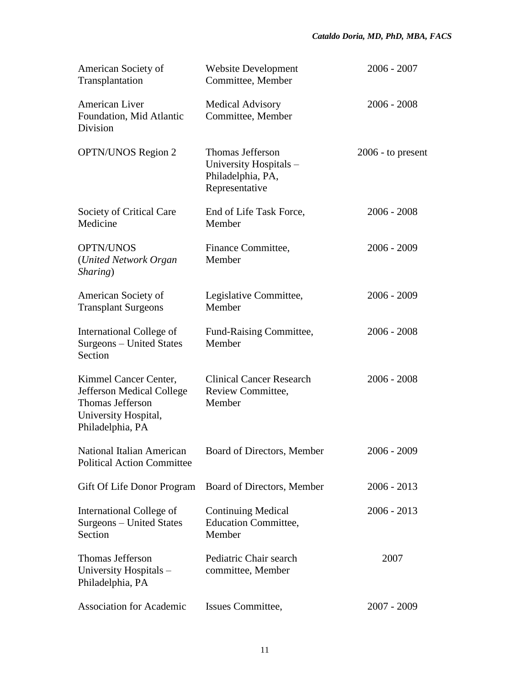| American Society of<br>Transplantation                                                                             | <b>Website Development</b><br>Committee, Member                                          | $2006 - 2007$       |
|--------------------------------------------------------------------------------------------------------------------|------------------------------------------------------------------------------------------|---------------------|
| American Liver<br>Foundation, Mid Atlantic<br>Division                                                             | <b>Medical Advisory</b><br>Committee, Member                                             | $2006 - 2008$       |
| <b>OPTN/UNOS Region 2</b>                                                                                          | <b>Thomas Jefferson</b><br>University Hospitals -<br>Philadelphia, PA,<br>Representative | $2006$ - to present |
| Society of Critical Care<br>Medicine                                                                               | End of Life Task Force,<br>Member                                                        | $2006 - 2008$       |
| <b>OPTN/UNOS</b><br>(United Network Organ<br>Sharing)                                                              | Finance Committee,<br>Member                                                             | $2006 - 2009$       |
| American Society of<br><b>Transplant Surgeons</b>                                                                  | Legislative Committee,<br>Member                                                         | 2006 - 2009         |
| International College of<br><b>Surgeons</b> - United States<br>Section                                             | Fund-Raising Committee,<br>Member                                                        | $2006 - 2008$       |
| Kimmel Cancer Center,<br>Jefferson Medical College<br>Thomas Jefferson<br>University Hospital,<br>Philadelphia, PA | <b>Clinical Cancer Research</b><br>Review Committee,<br>Member                           | $2006 - 2008$       |
| National Italian American<br><b>Political Action Committee</b>                                                     | Board of Directors, Member                                                               | $2006 - 2009$       |
| Gift Of Life Donor Program                                                                                         | Board of Directors, Member                                                               | $2006 - 2013$       |
| International College of<br>Surgeons - United States<br>Section                                                    | <b>Continuing Medical</b><br><b>Education Committee,</b><br>Member                       | $2006 - 2013$       |
| Thomas Jefferson<br>University Hospitals -<br>Philadelphia, PA                                                     | Pediatric Chair search<br>committee, Member                                              | 2007                |
| <b>Association for Academic</b>                                                                                    | Issues Committee,                                                                        | $2007 - 2009$       |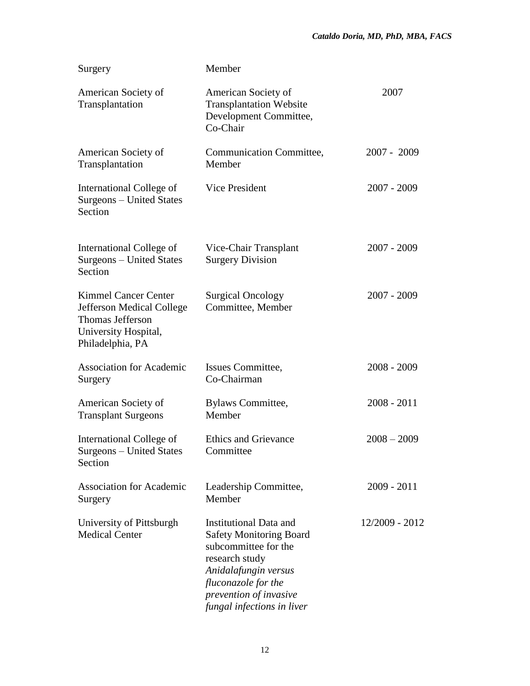| Surgery                                                                                                                                | Member                                                                                                                                                                                                           |                |
|----------------------------------------------------------------------------------------------------------------------------------------|------------------------------------------------------------------------------------------------------------------------------------------------------------------------------------------------------------------|----------------|
| American Society of<br>Transplantation                                                                                                 | American Society of<br><b>Transplantation Website</b><br>Development Committee,<br>Co-Chair                                                                                                                      | 2007           |
| American Society of<br>Transplantation                                                                                                 | Communication Committee,<br>Member                                                                                                                                                                               | 2007 - 2009    |
| International College of<br>Surgeons – United States<br>Section                                                                        | Vice President                                                                                                                                                                                                   | 2007 - 2009    |
| International College of<br>Surgeons - United States<br>Section                                                                        | Vice-Chair Transplant<br><b>Surgery Division</b>                                                                                                                                                                 | $2007 - 2009$  |
| <b>Kimmel Cancer Center</b><br><b>Jefferson Medical College</b><br><b>Thomas Jefferson</b><br>University Hospital,<br>Philadelphia, PA | <b>Surgical Oncology</b><br>Committee, Member                                                                                                                                                                    | $2007 - 2009$  |
| <b>Association for Academic</b><br>Surgery                                                                                             | Issues Committee,<br>Co-Chairman                                                                                                                                                                                 | $2008 - 2009$  |
| American Society of<br><b>Transplant Surgeons</b>                                                                                      | <b>Bylaws Committee,</b><br>Member                                                                                                                                                                               | $2008 - 2011$  |
| International College of<br>Surgeons - United States<br>Section                                                                        | <b>Ethics and Grievance</b><br>Committee                                                                                                                                                                         | $2008 - 2009$  |
| <b>Association for Academic</b><br>Surgery                                                                                             | Leadership Committee,<br>Member                                                                                                                                                                                  | 2009 - 2011    |
| University of Pittsburgh<br><b>Medical Center</b>                                                                                      | <b>Institutional Data and</b><br><b>Safety Monitoring Board</b><br>subcommittee for the<br>research study<br>Anidalafungin versus<br>fluconazole for the<br>prevention of invasive<br>fungal infections in liver | 12/2009 - 2012 |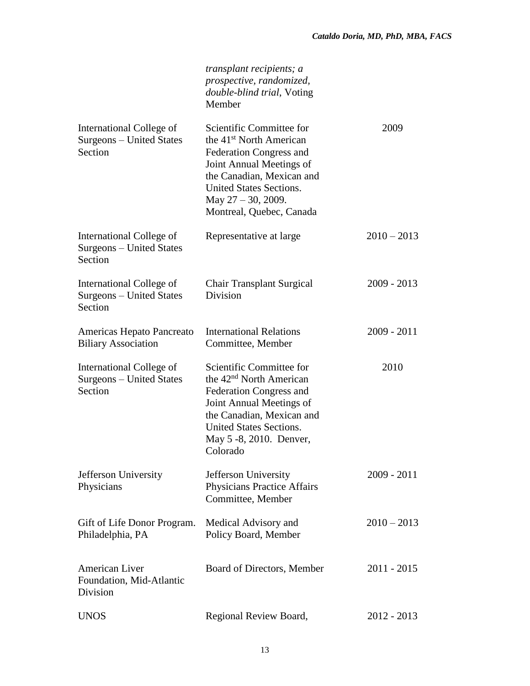|                                                                 | transplant recipients; a<br>prospective, randomized,<br>double-blind trial, Voting<br>Member                                                                                                                                            |               |
|-----------------------------------------------------------------|-----------------------------------------------------------------------------------------------------------------------------------------------------------------------------------------------------------------------------------------|---------------|
| International College of<br>Surgeons - United States<br>Section | Scientific Committee for<br>the 41 <sup>st</sup> North American<br><b>Federation Congress and</b><br>Joint Annual Meetings of<br>the Canadian, Mexican and<br>United States Sections.<br>May 27 - 30, 2009.<br>Montreal, Quebec, Canada | 2009          |
| International College of<br>Surgeons – United States<br>Section | Representative at large                                                                                                                                                                                                                 | $2010 - 2013$ |
| International College of<br>Surgeons – United States<br>Section | <b>Chair Transplant Surgical</b><br>Division                                                                                                                                                                                            | $2009 - 2013$ |
| Americas Hepato Pancreato<br><b>Biliary Association</b>         | <b>International Relations</b><br>Committee, Member                                                                                                                                                                                     | $2009 - 2011$ |
| International College of<br>Surgeons – United States<br>Section | Scientific Committee for<br>the 42 <sup>nd</sup> North American<br><b>Federation Congress and</b><br>Joint Annual Meetings of<br>the Canadian, Mexican and<br>United States Sections.<br>May 5 -8, 2010. Denver,<br>Colorado            | 2010          |
| Jefferson University<br>Physicians                              | Jefferson University<br><b>Physicians Practice Affairs</b><br>Committee, Member                                                                                                                                                         | $2009 - 2011$ |
| Gift of Life Donor Program.<br>Philadelphia, PA                 | Medical Advisory and<br>Policy Board, Member                                                                                                                                                                                            | $2010 - 2013$ |
| <b>American Liver</b><br>Foundation, Mid-Atlantic<br>Division   | Board of Directors, Member                                                                                                                                                                                                              | $2011 - 2015$ |
| <b>UNOS</b>                                                     | Regional Review Board,                                                                                                                                                                                                                  | 2012 - 2013   |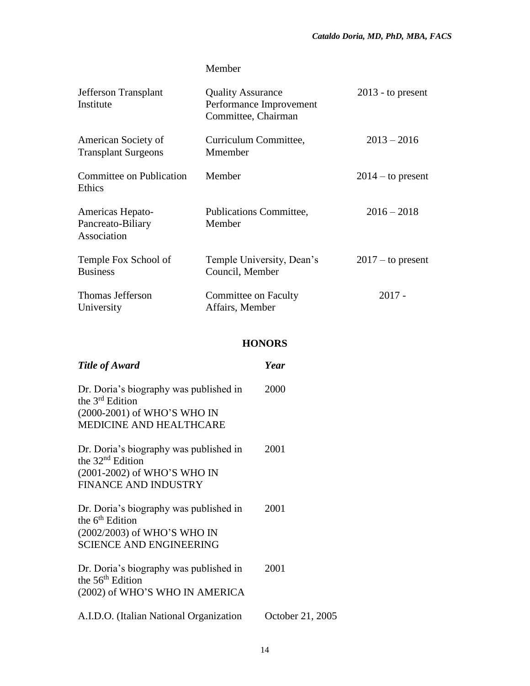## Member

| Jefferson Transplant<br>Institute                    | <b>Quality Assurance</b><br>Performance Improvement<br>Committee, Chairman | $2013$ - to present |
|------------------------------------------------------|----------------------------------------------------------------------------|---------------------|
| American Society of<br><b>Transplant Surgeons</b>    | Curriculum Committee,<br>Mmember                                           | $2013 - 2016$       |
| <b>Committee on Publication</b><br>Ethics            | Member                                                                     | $2014 -$ to present |
| Americas Hepato-<br>Pancreato-Biliary<br>Association | Publications Committee,<br>Member                                          | $2016 - 2018$       |
| Temple Fox School of<br><b>Business</b>              | Temple University, Dean's<br>Council, Member                               | $2017 -$ to present |
| <b>Thomas Jefferson</b><br>University                | Committee on Faculty<br>Affairs, Member                                    | $2017 -$            |

## **HONORS**

| <b>Title of Award</b>                                                                                                           | Year             |
|---------------------------------------------------------------------------------------------------------------------------------|------------------|
| Dr. Doria's biography was published in<br>the $3^{rd}$ Edition<br>(2000-2001) of WHO'S WHO IN<br><b>MEDICINE AND HEALTHCARE</b> | 2000             |
| Dr. Doria's biography was published in<br>the $32nd$ Edition<br>(2001-2002) of WHO'S WHO IN<br><b>FINANCE AND INDUSTRY</b>      | 2001             |
| Dr. Doria's biography was published in<br>the $6th$ Edition<br>(2002/2003) of WHO'S WHO IN<br><b>SCIENCE AND ENGINEERING</b>    | 2001             |
| Dr. Doria's biography was published in<br>the $56th$ Edition<br>(2002) of WHO'S WHO IN AMERICA                                  | 2001             |
| A.I.D.O. (Italian National Organization                                                                                         | October 21, 2005 |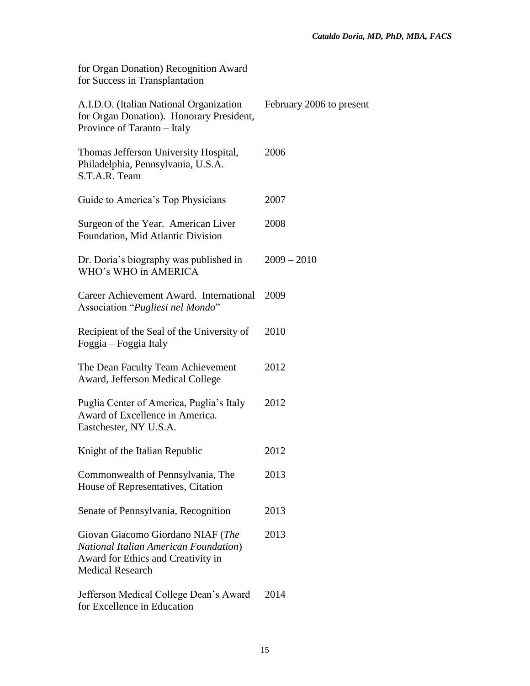for Organ Donation) Recognition Award for Success in Transplantation

| A.I.D.O. (Italian National Organization<br>for Organ Donation). Honorary President,<br>Province of Taranto - Italy                                  | February 2006 to present |
|-----------------------------------------------------------------------------------------------------------------------------------------------------|--------------------------|
| Thomas Jefferson University Hospital,<br>Philadelphia, Pennsylvania, U.S.A.<br>S.T.A.R. Team                                                        | 2006                     |
| Guide to America's Top Physicians                                                                                                                   | 2007                     |
| Surgeon of the Year. American Liver<br>Foundation, Mid Atlantic Division                                                                            | 2008                     |
| Dr. Doria's biography was published in<br>WHO's WHO in AMERICA                                                                                      | $2009 - 2010$            |
| Career Achievement Award. International<br>Association "Pugliesi nel Mondo"                                                                         | 2009                     |
| Recipient of the Seal of the University of<br>Foggia – Foggia Italy                                                                                 | 2010                     |
| The Dean Faculty Team Achievement<br>Award, Jefferson Medical College                                                                               | 2012                     |
| Puglia Center of America, Puglia's Italy<br>Award of Excellence in America.<br>Eastchester, NY U.S.A.                                               | 2012                     |
| Knight of the Italian Republic                                                                                                                      | 2012                     |
| Commonwealth of Pennsylvania, The<br>House of Representatives, Citation                                                                             | 2013                     |
| Senate of Pennsylvania, Recognition                                                                                                                 | 2013                     |
| Giovan Giacomo Giordano NIAF (The<br><b>National Italian American Foundation</b> )<br>Award for Ethics and Creativity in<br><b>Medical Research</b> | 2013                     |
| Jefferson Medical College Dean's Award<br>for Excellence in Education                                                                               | 2014                     |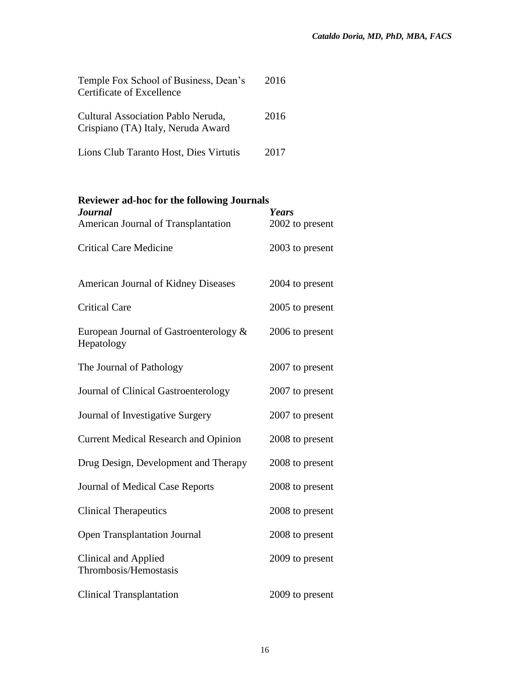| Temple Fox School of Business, Dean's<br>Certificate of Excellence       | 2016 |
|--------------------------------------------------------------------------|------|
| Cultural Association Pablo Neruda,<br>Crispiano (TA) Italy, Neruda Award | 2016 |
| Lions Club Taranto Host, Dies Virtutis                                   | 2017 |

| <b>Reviewer ad-hoc for the following Journals</b>    |                 |  |
|------------------------------------------------------|-----------------|--|
| <b>Journal</b>                                       | Years           |  |
| American Journal of Transplantation                  | 2002 to present |  |
| <b>Critical Care Medicine</b>                        | 2003 to present |  |
| <b>American Journal of Kidney Diseases</b>           | 2004 to present |  |
| <b>Critical Care</b>                                 | 2005 to present |  |
| European Journal of Gastroenterology &<br>Hepatology | 2006 to present |  |
| The Journal of Pathology                             | 2007 to present |  |
| Journal of Clinical Gastroenterology                 | 2007 to present |  |
| Journal of Investigative Surgery                     | 2007 to present |  |
| <b>Current Medical Research and Opinion</b>          | 2008 to present |  |
| Drug Design, Development and Therapy                 | 2008 to present |  |
| Journal of Medical Case Reports                      | 2008 to present |  |
| <b>Clinical Therapeutics</b>                         | 2008 to present |  |
| <b>Open Transplantation Journal</b>                  | 2008 to present |  |
| <b>Clinical and Applied</b><br>Thrombosis/Hemostasis | 2009 to present |  |
| <b>Clinical Transplantation</b>                      | 2009 to present |  |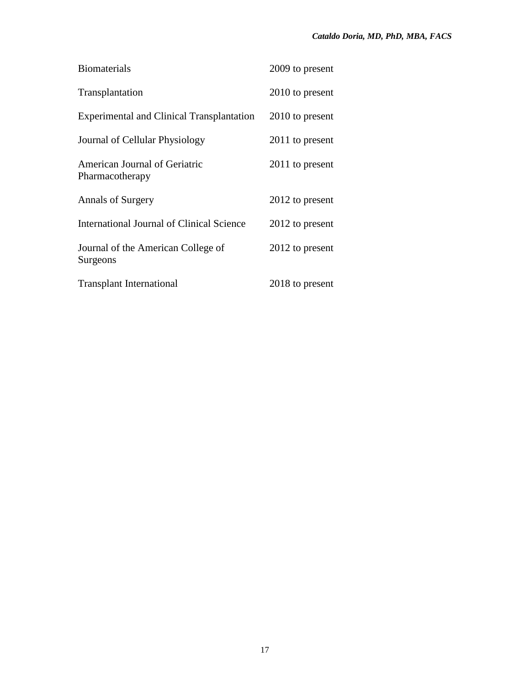| <b>Biomaterials</b>                              | 2009 to present |
|--------------------------------------------------|-----------------|
| Transplantation                                  | 2010 to present |
| <b>Experimental and Clinical Transplantation</b> | 2010 to present |
| Journal of Cellular Physiology                   | 2011 to present |
| American Journal of Geriatric<br>Pharmacotherapy | 2011 to present |
| <b>Annals of Surgery</b>                         | 2012 to present |
| International Journal of Clinical Science        | 2012 to present |
| Journal of the American College of<br>Surgeons   | 2012 to present |
| <b>Transplant International</b>                  | 2018 to present |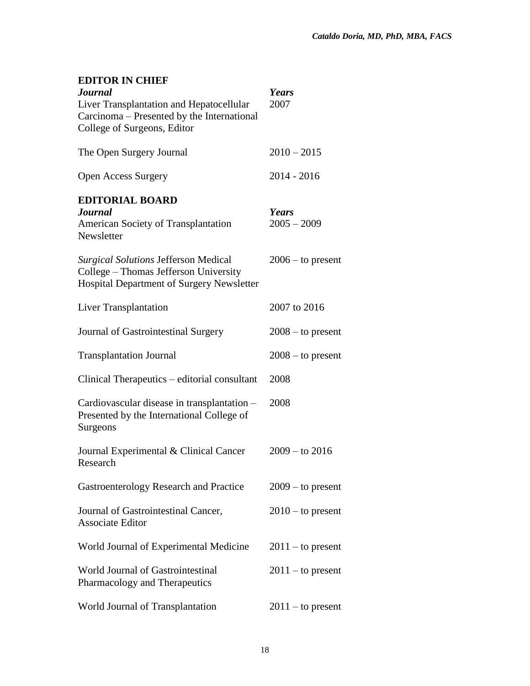## **EDITOR IN CHIEF**

| <b>Journal</b><br>Liver Transplantation and Hepatocellular<br>Carcinoma – Presented by the International<br>College of Surgeons, Editor  | Years<br>2007          |
|------------------------------------------------------------------------------------------------------------------------------------------|------------------------|
| The Open Surgery Journal                                                                                                                 | $2010 - 2015$          |
| Open Access Surgery                                                                                                                      | 2014 - 2016            |
| <b>EDITORIAL BOARD</b><br><b>Journal</b><br><b>American Society of Transplantation</b><br>Newsletter                                     | Years<br>$2005 - 2009$ |
| <b>Surgical Solutions Jefferson Medical</b><br>College - Thomas Jefferson University<br><b>Hospital Department of Surgery Newsletter</b> | $2006 -$ to present    |
| Liver Transplantation                                                                                                                    | 2007 to 2016           |
| Journal of Gastrointestinal Surgery                                                                                                      | $2008 -$ to present    |
| <b>Transplantation Journal</b>                                                                                                           | $2008 -$ to present    |
| Clinical Therapeutics – editorial consultant                                                                                             | 2008                   |
| Cardiovascular disease in transplantation -<br>Presented by the International College of<br>Surgeons                                     | 2008                   |
| Journal Experimental & Clinical Cancer<br>Research                                                                                       | $2009 - to 2016$       |
| Gastroenterology Research and Practice                                                                                                   | $2009 -$ to present    |
| Journal of Gastrointestinal Cancer,<br><b>Associate Editor</b>                                                                           | $2010 -$ to present    |
| World Journal of Experimental Medicine                                                                                                   | $2011 -$ to present    |
| World Journal of Gastrointestinal<br>Pharmacology and Therapeutics                                                                       | $2011 -$ to present    |
| World Journal of Transplantation                                                                                                         | $2011 -$ to present    |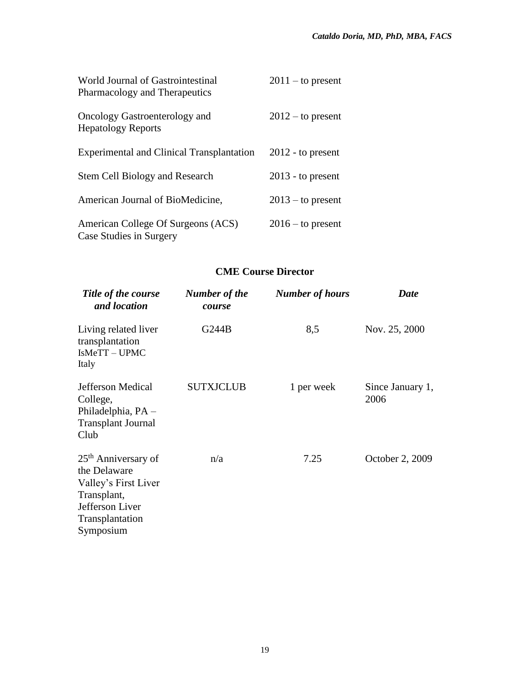| World Journal of Gastrointestinal<br>Pharmacology and Therapeutics | $2011 -$ to present |
|--------------------------------------------------------------------|---------------------|
| Oncology Gastroenterology and<br><b>Hepatology Reports</b>         | $2012 -$ to present |
| <b>Experimental and Clinical Transplantation</b>                   | $2012$ - to present |
| Stem Cell Biology and Research                                     | $2013$ - to present |
| American Journal of BioMedicine,                                   | $2013 -$ to present |
| American College Of Surgeons (ACS)<br>Case Studies in Surgery      | $2016 -$ to present |

## **CME Course Director**

| Title of the course<br>and location                                                                                                       | Number of the<br>course | <b>Number of hours</b> | <b>Date</b>              |
|-------------------------------------------------------------------------------------------------------------------------------------------|-------------------------|------------------------|--------------------------|
| Living related liver<br>transplantation<br>IsMeTT-UPMC<br>Italy                                                                           | G244B                   | 8,5                    | Nov. 25, 2000            |
| Jefferson Medical<br>College,<br>Philadelphia, PA -<br><b>Transplant Journal</b><br>Club                                                  | <b>SUTXJCLUB</b>        | 1 per week             | Since January 1,<br>2006 |
| 25 <sup>th</sup> Anniversary of<br>the Delaware<br>Valley's First Liver<br>Transplant,<br>Jefferson Liver<br>Transplantation<br>Symposium | n/a                     | 7.25                   | October 2, 2009          |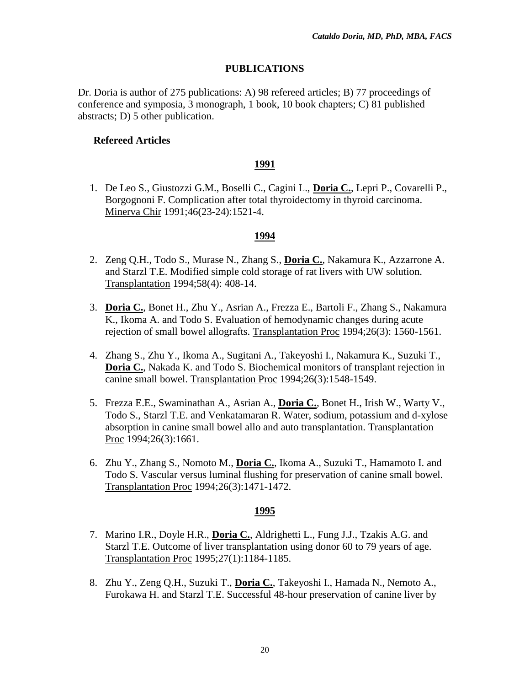## **PUBLICATIONS**

Dr. Doria is author of 275 publications: A) 98 refereed articles; B) 77 proceedings of conference and symposia, 3 monograph, 1 book, 10 book chapters; C) 81 published abstracts; D) 5 other publication.

### **Refereed Articles**

### **1991**

1. De Leo S., Giustozzi G.M., Boselli C., Cagini L., **Doria C.**, Lepri P., Covarelli P., Borgognoni F. Complication after total thyroidectomy in thyroid carcinoma. Minerva Chir 1991;46(23-24):1521-4.

#### **1994**

- 2. Zeng Q.H., Todo S., Murase N., Zhang S., **Doria C.**, Nakamura K., Azzarrone A. and Starzl T.E. Modified simple cold storage of rat livers with UW solution. Transplantation 1994;58(4): 408-14.
- 3. **Doria C.**, Bonet H., Zhu Y., Asrian A., Frezza E., Bartoli F., Zhang S., Nakamura K., Ikoma A. and Todo S. Evaluation of hemodynamic changes during acute rejection of small bowel allografts. Transplantation Proc 1994;26(3): 1560-1561.
- 4. Zhang S., Zhu Y., Ikoma A., Sugitani A., Takeyoshi I., Nakamura K., Suzuki T., **Doria C.**, Nakada K. and Todo S. Biochemical monitors of transplant rejection in canine small bowel. Transplantation Proc 1994;26(3):1548-1549.
- 5. Frezza E.E., Swaminathan A., Asrian A., **Doria C.**, Bonet H., Irish W., Warty V., Todo S., Starzl T.E. and Venkatamaran R. Water, sodium, potassium and d-xylose absorption in canine small bowel allo and auto transplantation. Transplantation Proc 1994;26(3):1661.
- 6. Zhu Y., Zhang S., Nomoto M., **Doria C.**, Ikoma A., Suzuki T., Hamamoto I. and Todo S. Vascular versus luminal flushing for preservation of canine small bowel. Transplantation Proc 1994;26(3):1471-1472.

- 7. Marino I.R., Doyle H.R., **Doria C.**, Aldrighetti L., Fung J.J., Tzakis A.G. and Starzl T.E. Outcome of liver transplantation using donor 60 to 79 years of age. Transplantation Proc 1995;27(1):1184-1185.
- 8. Zhu Y., Zeng Q.H., Suzuki T., **Doria C.**, Takeyoshi I., Hamada N., Nemoto A., Furokawa H. and Starzl T.E. Successful 48-hour preservation of canine liver by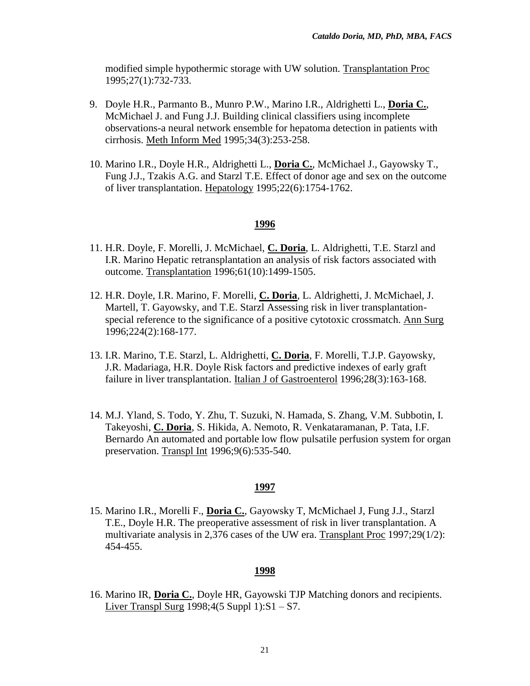modified simple hypothermic storage with UW solution. Transplantation Proc 1995;27(1):732-733.

- 9. Doyle H.R., Parmanto B., Munro P.W., Marino I.R., Aldrighetti L., **Doria C.**, McMichael J. and Fung J.J. Building clinical classifiers using incomplete observations-a neural network ensemble for hepatoma detection in patients with cirrhosis. Meth Inform Med 1995;34(3):253-258.
- 10. Marino I.R., Doyle H.R., Aldrighetti L., **Doria C.**, McMichael J., Gayowsky T., Fung J.J., Tzakis A.G. and Starzl T.E. Effect of donor age and sex on the outcome of liver transplantation. Hepatology 1995;22(6):1754-1762.

#### **1996**

- 11. H.R. Doyle, F. Morelli, J. McMichael, **C. Doria**, L. Aldrighetti, T.E. Starzl and I.R. Marino Hepatic retransplantation an analysis of risk factors associated with outcome. Transplantation 1996;61(10):1499-1505.
- 12. H.R. Doyle, I.R. Marino, F. Morelli, **C. Doria**, L. Aldrighetti, J. McMichael, J. Martell, T. Gayowsky, and T.E. Starzl Assessing risk in liver transplantationspecial reference to the significance of a positive cytotoxic crossmatch. Ann Surg 1996;224(2):168-177.
- 13. I.R. Marino, T.E. Starzl, L. Aldrighetti, **C. Doria**, F. Morelli, T.J.P. Gayowsky, J.R. Madariaga, H.R. Doyle Risk factors and predictive indexes of early graft failure in liver transplantation. Italian J of Gastroenterol 1996;28(3):163-168.
- 14. M.J. Yland, S. Todo, Y. Zhu, T. Suzuki, N. Hamada, S. Zhang, V.M. Subbotin, I. Takeyoshi, **C. Doria**, S. Hikida, A. Nemoto, R. Venkataramanan, P. Tata, I.F. Bernardo An automated and portable low flow pulsatile perfusion system for organ preservation. Transpl Int 1996;9(6):535-540.

#### **1997**

15. Marino I.R., Morelli F., **Doria C.**, Gayowsky T, McMichael J, Fung J.J., Starzl T.E., Doyle H.R. The preoperative assessment of risk in liver transplantation. A multivariate analysis in 2,376 cases of the UW era. Transplant Proc 1997;29(1/2): 454-455.

#### **1998**

16. Marino IR, **Doria C.**, Doyle HR, Gayowski TJP Matching donors and recipients. Liver Transpl Surg 1998;4(5 Suppl 1):S1 – S7.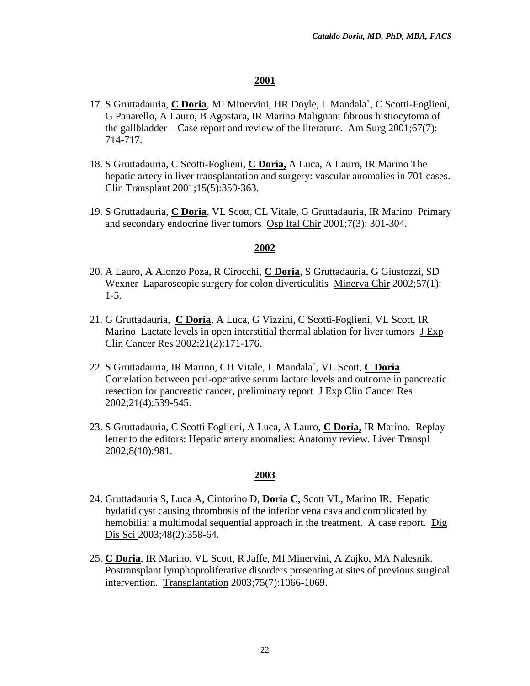- 17. S Gruttadauria, **C Doria**, MI Minervini, HR Doyle, L Mandala`, C Scotti-Foglieni, G Panarello, A Lauro, B Agostara, IR Marino Malignant fibrous histiocytoma of the gallbladder – Case report and review of the literature. Am Surg  $2001;67(7)$ : 714-717.
- 18. S Gruttadauria, C Scotti-Foglieni, **C Doria,** A Luca, A Lauro, IR Marino The hepatic artery in liver transplantation and surgery: vascular anomalies in 701 cases. Clin Transplant 2001;15(5):359-363.
- 19. S Gruttadauria, **C Doria**, VL Scott, CL Vitale, G Gruttadauria, IR Marino Primary and secondary endocrine liver tumors Osp Ital Chir 2001;7(3): 301-304.

#### **2002**

- 20. A Lauro, A Alonzo Poza, R Cirocchi, **C Doria**, S Gruttadauria, G Giustozzi, SD Wexner Laparoscopic surgery for colon diverticulitis Minerva Chir 2002;57(1): 1-5.
- 21. G Gruttadauria, **C Doria**, A Luca, G Vizzini, C Scotti-Foglieni, VL Scott, IR Marino Lactate levels in open interstitial thermal ablation for liver tumors J Exp Clin Cancer Res 2002;21(2):171-176.
- 22. S Gruttadauria, IR Marino, CH Vitale, L Mandala`, VL Scott, **C Doria** Correlation between peri-operative serum lactate levels and outcome in pancreatic resection for pancreatic cancer, preliminary report J Exp Clin Cancer Res 2002;21(4):539-545.
- 23. S Gruttadauria, C Scotti Foglieni, A Luca, A Lauro, **C Doria,** IR Marino. Replay letter to the editors: Hepatic artery anomalies: Anatomy review. Liver Transpl 2002;8(10):981.

- 24. Gruttadauria S, Luca A, Cintorino D, **Doria C**, Scott VL, Marino IR. Hepatic hydatid cyst causing thrombosis of the inferior vena cava and complicated by hemobilia: a multimodal sequential approach in the treatment. A case report. Dig Dis Sci 2003;48(2):358-64.
- 25. **C Doria**, IR Marino, VL Scott, R Jaffe, MI Minervini, A Zajko, MA Nalesnik. Postransplant lymphoproliferative disorders presenting at sites of previous surgical intervention. Transplantation 2003;75(7):1066-1069.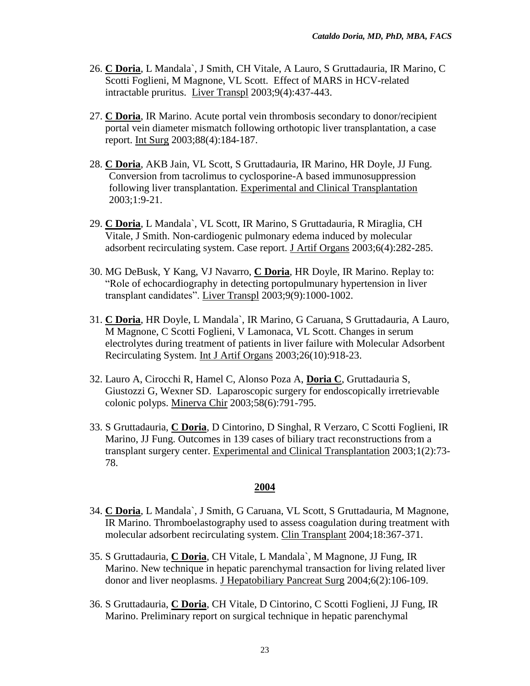- 26. **C Doria**, L Mandala`, J Smith, CH Vitale, A Lauro, S Gruttadauria, IR Marino, C Scotti Foglieni, M Magnone, VL Scott. Effect of MARS in HCV-related intractable pruritus. Liver Transpl 2003;9(4):437-443.
- 27. **C Doria**, IR Marino. Acute portal vein thrombosis secondary to donor/recipient portal vein diameter mismatch following orthotopic liver transplantation, a case report. Int Surg 2003;88(4):184-187.
- 28. **C Doria**, AKB Jain, VL Scott, S Gruttadauria, IR Marino, HR Doyle, JJ Fung. Conversion from tacrolimus to cyclosporine-A based immunosuppression following liver transplantation. Experimental and Clinical Transplantation 2003;1:9-21.
- 29. **C Doria**, L Mandala`, VL Scott, IR Marino, S Gruttadauria, R Miraglia, CH Vitale, J Smith. Non-cardiogenic pulmonary edema induced by molecular adsorbent recirculating system. Case report. J Artif Organs 2003;6(4):282-285.
- 30. MG DeBusk, Y Kang, VJ Navarro, **C Doria**, HR Doyle, IR Marino. Replay to: "Role of echocardiography in detecting portopulmunary hypertension in liver transplant candidates". Liver Transpl 2003;9(9):1000-1002.
- 31. **C Doria**, HR Doyle, L Mandala`, IR Marino, G Caruana, S Gruttadauria, A Lauro, M Magnone, C Scotti Foglieni, V Lamonaca, VL Scott. Changes in serum electrolytes during treatment of patients in liver failure with Molecular Adsorbent Recirculating System. Int J Artif Organs 2003;26(10):918-23.
- 32. Lauro A, Cirocchi R, Hamel C, Alonso Poza A, **Doria C**, Gruttadauria S, Giustozzi G, Wexner SD. Laparoscopic surgery for endoscopically irretrievable colonic polyps. Minerva Chir 2003;58(6):791-795.
- 33. S Gruttadauria, **C Doria**, D Cintorino, D Singhal, R Verzaro, C Scotti Foglieni, IR Marino, JJ Fung. Outcomes in 139 cases of biliary tract reconstructions from a transplant surgery center. Experimental and Clinical Transplantation 2003;1(2):73- 78.

- 34. **C Doria**, L Mandala`, J Smith, G Caruana, VL Scott, S Gruttadauria, M Magnone, IR Marino. Thromboelastography used to assess coagulation during treatment with molecular adsorbent recirculating system. Clin Transplant 2004;18:367-371.
- 35. S Gruttadauria, **C Doria**, CH Vitale, L Mandala`, M Magnone, JJ Fung, IR Marino. New technique in hepatic parenchymal transaction for living related liver donor and liver neoplasms. J Hepatobiliary Pancreat Surg 2004;6(2):106-109.
- 36. S Gruttadauria, **C Doria**, CH Vitale, D Cintorino, C Scotti Foglieni, JJ Fung, IR Marino. Preliminary report on surgical technique in hepatic parenchymal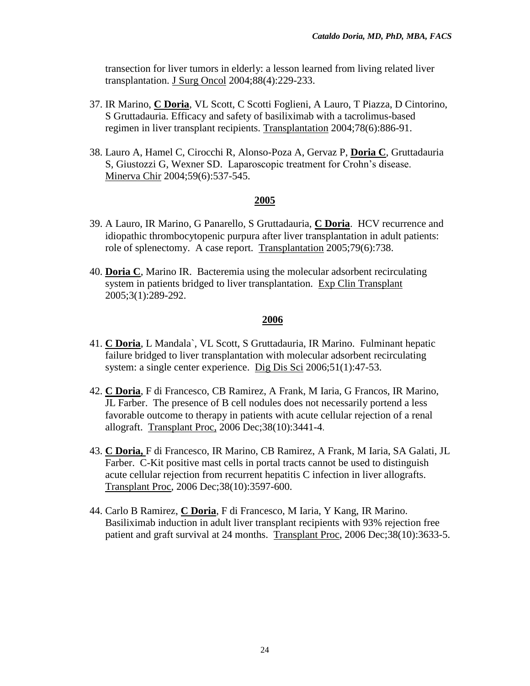transection for liver tumors in elderly: a lesson learned from living related liver transplantation. J Surg Oncol 2004;88(4):229-233.

- 37. IR Marino, **C Doria**, VL Scott, C Scotti Foglieni, A Lauro, T Piazza, D Cintorino, S Gruttadauria. Efficacy and safety of basiliximab with a tacrolimus-based regimen in liver transplant recipients. Transplantation 2004;78(6):886-91.
- 38. Lauro A, Hamel C, Cirocchi R, Alonso-Poza A, Gervaz P, **Doria C**, Gruttadauria S, Giustozzi G, Wexner SD. Laparoscopic treatment for Crohn's disease. Minerva Chir 2004;59(6):537-545.

#### **2005**

- 39. A Lauro, IR Marino, G Panarello, S Gruttadauria, **C Doria**. HCV recurrence and idiopathic thrombocytopenic purpura after liver transplantation in adult patients: role of splenectomy. A case report. Transplantation 2005;79(6):738.
- 40. **Doria C**, Marino IR. Bacteremia using the molecular adsorbent recirculating system in patients bridged to liver transplantation. Exp Clin Transplant 2005;3(1):289-292.

- 41. **C Doria**, L Mandala`, VL Scott, S Gruttadauria, IR Marino. Fulminant hepatic failure bridged to liver transplantation with molecular adsorbent recirculating system: a single center experience. Dig Dis Sci 2006;51(1):47-53.
- 42. **C Doria**, F di Francesco, CB Ramirez, A Frank, M Iaria, G Francos, IR Marino, JL Farber. The presence of B cell nodules does not necessarily portend a less favorable outcome to therapy in patients with acute cellular rejection of a renal allograft. Transplant Proc, 2006 Dec;38(10):3441-4.
- 43. **C Doria,** F di Francesco, IR Marino, CB Ramirez, A Frank, M Iaria, SA Galati, JL Farber. C-Kit positive mast cells in portal tracts cannot be used to distinguish acute cellular rejection from recurrent hepatitis C infection in liver allografts. Transplant Proc, 2006 Dec;38(10):3597-600.
- 44. Carlo B Ramirez, **C Doria**, F di Francesco, M Iaria, Y Kang, IR Marino. Basiliximab induction in adult liver transplant recipients with 93% rejection free patient and graft survival at 24 months. Transplant Proc, 2006 Dec;38(10):3633-5.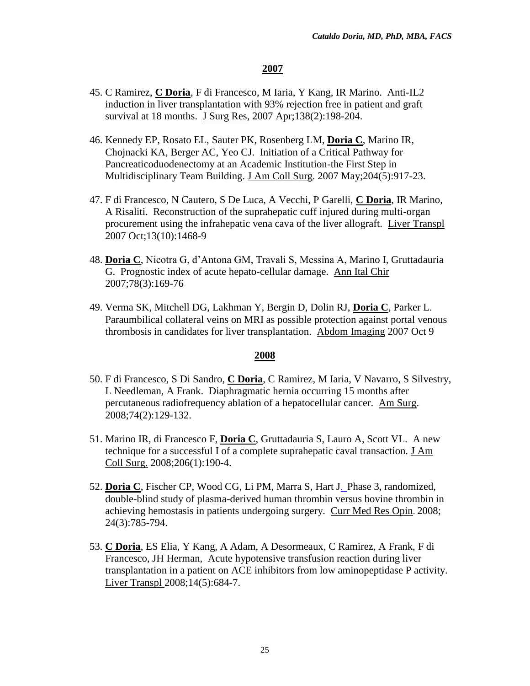- 45. C Ramirez, **C Doria**, F di Francesco, M Iaria, Y Kang, IR Marino. Anti-IL2 induction in liver transplantation with 93% rejection free in patient and graft survival at 18 months. J Surg Res, 2007 Apr;138(2):198-204.
- 46. Kennedy EP, Rosato EL, Sauter PK, Rosenberg LM, **Doria C**, Marino IR, Chojnacki KA, Berger AC, Yeo CJ. Initiation of a Critical Pathway for Pancreaticoduodenectomy at an Academic Institution-the First Step in Multidisciplinary Team Building. J Am Coll Surg. 2007 May;204(5):917-23.
- 47. F di Francesco, N Cautero, S De Luca, A Vecchi, P Garelli, **C Doria**, IR Marino, A Risaliti. Reconstruction of the suprahepatic cuff injured during multi-organ procurement using the infrahepatic vena cava of the liver allograft. Liver Transpl 2007 Oct;13(10):1468-9
- 48. **Doria C**, Nicotra G, d'Antona GM, Travali S, Messina A, Marino I, Gruttadauria G. Prognostic index of acute hepato-cellular damage. Ann Ital Chir 2007;78(3):169-76
- 49. Verma SK, Mitchell DG, Lakhman Y, Bergin D, Dolin RJ, **Doria C**, Parker L. Paraumbilical collateral veins on MRI as possible protection against portal venous thrombosis in candidates for liver transplantation. Abdom Imaging 2007 Oct 9

- 50. F di Francesco, S Di Sandro, **C Doria**, C Ramirez, M Iaria, V Navarro, S Silvestry, L Needleman, A Frank. Diaphragmatic hernia occurring 15 months after percutaneous radiofrequency ablation of a hepatocellular cancer. Am Surg. 2008;74(2):129-132.
- 51. Marino IR, di Francesco F, **Doria C**, Gruttadauria S, Lauro A, Scott VL. A new technique for a successful I of a complete suprahepatic caval transaction. J Am Coll Surg. 2008;206(1):190-4.
- 52. **Doria C**, Fischer CP, Wood CG, Li PM, Marra S, Hart J. Phase 3, randomized, double-blind study of plasma-derived human thrombin versus bovine thrombin in achieving hemostasis in patients undergoing surgery. Curr Med Res Opin. 2008; 24(3):785-794.
- 53. **C Doria**, ES Elia, Y Kang, A Adam, A Desormeaux, C Ramirez, A Frank, F di Francesco, JH Herman, Acute hypotensive transfusion reaction during liver transplantation in a patient on ACE inhibitors from low aminopeptidase P activity. Liver Transpl 2008;14(5):684-7.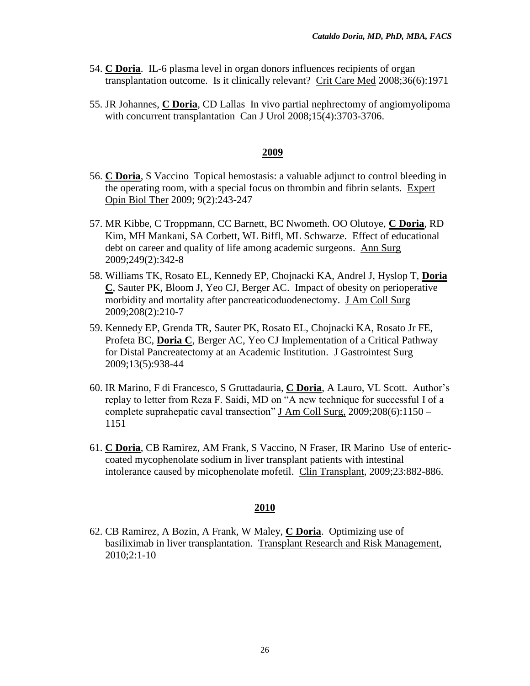- 54. **C Doria**. IL-6 plasma level in organ donors influences recipients of organ transplantation outcome. Is it clinically relevant? Crit Care Med 2008;36(6):1971
- 55. JR Johannes, **C Doria**, CD Lallas In vivo partial nephrectomy of angiomyolipoma with concurrent transplantation Can J Urol 2008;15(4):3703-3706.

- 56. **C Doria**, S Vaccino Topical hemostasis: a valuable adjunct to control bleeding in the operating room, with a special focus on thrombin and fibrin selants. Expert Opin Biol Ther 2009; 9(2):243-247
- 57. MR Kibbe, C Troppmann, CC Barnett, BC Nwometh. OO Olutoye, **C Doria**, RD Kim, MH Mankani, SA Corbett, WL Biffl, ML Schwarze. Effect of educational debt on career and quality of life among academic surgeons. Ann Surg 2009;249(2):342-8
- 58. Williams TK, Rosato EL, Kennedy EP, Chojnacki KA, Andrel J, Hyslop T, **Doria C**, Sauter PK, Bloom J, Yeo CJ, Berger AC. Impact of obesity on perioperative morbidity and mortality after pancreaticoduodenectomy. J Am Coll Surg 2009;208(2):210-7
- 59. Kennedy EP, Grenda TR, Sauter PK, Rosato EL, Chojnacki KA, Rosato Jr FE, Profeta BC, **Doria C**, Berger AC, Yeo CJ Implementation of a Critical Pathway for Distal Pancreatectomy at an Academic Institution. J Gastrointest Surg 2009;13(5):938-44
- 60. IR Marino, F di Francesco, S Gruttadauria, **C Doria**, A Lauro, VL Scott. Author's replay to letter from Reza F. Saidi, MD on "A new technique for successful I of a complete suprahepatic caval transection" J Am Coll Surg, 2009;208(6):1150 – 1151
- 61. **C Doria**, CB Ramirez, AM Frank, S Vaccino, N Fraser, IR Marino Use of entericcoated mycophenolate sodium in liver transplant patients with intestinal intolerance caused by micophenolate mofetil. Clin Transplant, 2009;23:882-886.

#### **2010**

62. CB Ramirez, A Bozin, A Frank, W Maley, **C Doria**. Optimizing use of basiliximab in liver transplantation. Transplant Research and Risk Management, 2010;2:1-10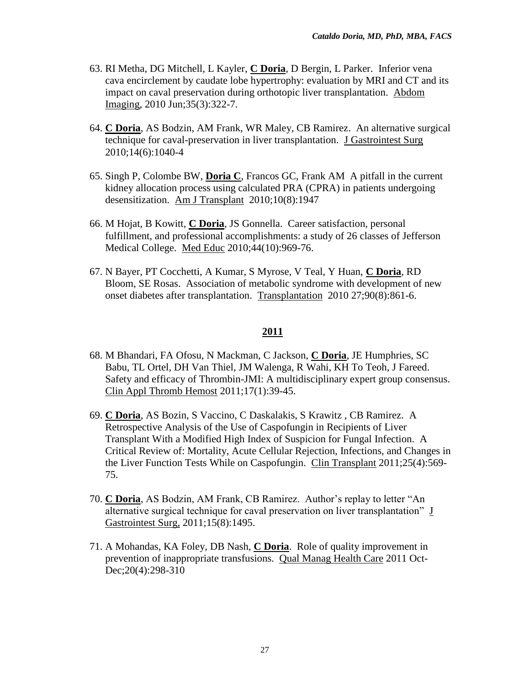- 63. RI Metha, DG Mitchell, L Kayler, **C Doria**, D Bergin, L Parker. Inferior vena cava encirclement by caudate lobe hypertrophy: evaluation by MRI and CT and its impact on caval preservation during orthotopic liver transplantation. Abdom Imaging, 2010 Jun;35(3):322-7.
- 64. **C Doria**, AS Bodzin, AM Frank, WR Maley, CB Ramirez. An alternative surgical technique for caval-preservation in liver transplantation. J Gastrointest Surg 2010;14(6):1040-4
- 65. Singh P, Colombe BW, **Doria C**, Francos GC, Frank AM A pitfall in the current kidney allocation process using calculated PRA (CPRA) in patients undergoing desensitization. Am J Transplant 2010;10(8):1947
- 66. M Hojat, B Kowitt, **C Doria**, JS Gonnella. Career satisfaction, personal fulfillment, and professional accomplishments: a study of 26 classes of Jefferson Medical College. Med Educ 2010;44(10):969-76.
- 67. N Bayer, PT Cocchetti, A Kumar, S Myrose, V Teal, Y Huan, **C Doria**, RD Bloom, SE Rosas. Association of metabolic syndrome with development of new onset diabetes after transplantation. Transplantation 2010 27;90(8):861-6.

- 68. M Bhandari, FA Ofosu, N Mackman, C Jackson, **C Doria**, JE Humphries, SC Babu, TL Ortel, DH Van Thiel, JM Walenga, R Wahi, KH To Teoh, J Fareed. Safety and efficacy of Thrombin-JMI: A multidisciplinary expert group consensus. Clin Appl Thromb Hemost 2011;17(1):39-45.
- 69. **C Doria**, AS Bozin, S Vaccino, C Daskalakis, S Krawitz , CB Ramirez. A Retrospective Analysis of the Use of Caspofungin in Recipients of Liver Transplant With a Modified High Index of Suspicion for Fungal Infection. A Critical Review of: Mortality, Acute Cellular Rejection, Infections, and Changes in the Liver Function Tests While on Caspofungin. Clin Transplant 2011;25(4):569- 75.
- 70. **C Doria**, AS Bodzin, AM Frank, CB Ramirez. Author's replay to letter "An alternative surgical technique for caval preservation on liver transplantation" J Gastrointest Surg, 2011;15(8):1495.
- 71. A Mohandas, KA Foley, DB Nash, **C Doria**. Role of quality improvement in prevention of inappropriate transfusions. Qual Manag Health Care 2011 Oct-Dec; 20(4): 298-310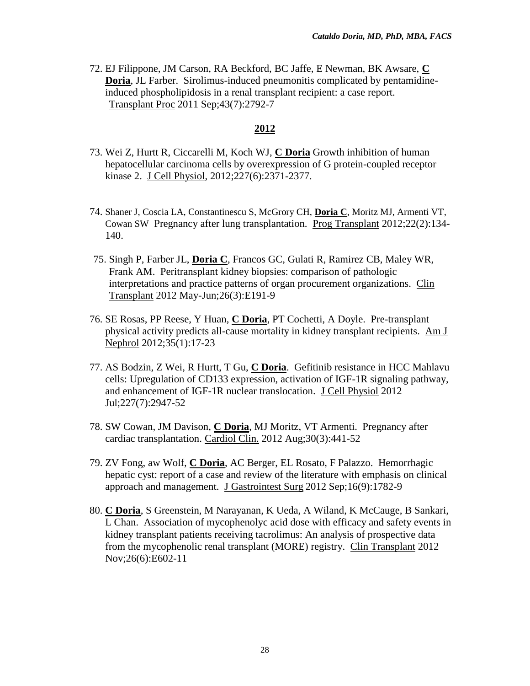72. EJ Filippone, JM Carson, RA Beckford, BC Jaffe, E Newman, BK Awsare, **C Doria**, JL Farber. [Sirolimus-induced pneumonitis complicated by pentamidine](http://www.ncbi.nlm.nih.gov/pubmed/21911165)[induced phospholipidosis in a renal transplant recipient: a case report.](http://www.ncbi.nlm.nih.gov/pubmed/21911165) Transplant Proc 2011 Sep;43(7):2792-7

- 73. Wei Z, Hurtt R, Ciccarelli M, Koch WJ, **C Doria** Growth inhibition of human hepatocellular carcinoma cells by overexpression of G protein-coupled receptor kinase 2. J Cell Physiol, 2012;227(6):2371-2377.
- 74. Shaner J, Coscia LA, Constantinescu S, McGrory CH, **Doria C**, Moritz MJ, Armenti VT, Cowan SW Pregnancy after lung transplantation. Prog Transplant 2012;22(2):134- 140.
- 75. Singh P, Farber JL, **Doria C**, Francos GC, Gulati R, Ramirez CB, Maley WR, Frank AM. Peritransplant kidney biopsies: comparison of pathologic interpretations and practice patterns of organ procurement organizations. Clin Transplant 2012 May-Jun;26(3):E191-9
- 76. SE Rosas, PP Reese, Y Huan, **C Doria**, PT Cochetti, A Doyle. Pre-transplant physical activity predicts all-cause mortality in kidney transplant recipients. Am J Nephrol 2012;35(1):17-23
- 77. AS Bodzin, Z Wei, R Hurtt, T Gu, **C Doria**. Gefitinib resistance in HCC Mahlavu cells: Upregulation of CD133 expression, activation of IGF-1R signaling pathway, and enhancement of IGF-1R nuclear translocation. J Cell Physiol 2012 Jul;227(7):2947-52
- 78. SW Cowan, JM Davison, **C Doria**, MJ Moritz, VT Armenti. Pregnancy after cardiac transplantation. [Cardiol Clin.](http://www.ncbi.nlm.nih.gov/pubmed/?term=85.%09SW+Cowan%2C+JM+Davison%2C+C+Doria%2C+MJ+Moritz%2C+VT+Armenti.++Pregnancy+after+cardiac+transplantation.+Cardiol+Clin) 2012 Aug;30(3):441-52
- 79. ZV Fong, aw Wolf, **C Doria**, AC Berger, EL Rosato, F Palazzo. Hemorrhagic hepatic cyst: report of a case and review of the literature with emphasis on clinical approach and management. J Gastrointest Surg 2012 Sep;16(9):1782-9
- 80. **C Doria**, S Greenstein, M Narayanan, K Ueda, A Wiland, K McCauge, B Sankari, L Chan. Association of mycophenolyc acid dose with efficacy and safety events in kidney transplant patients receiving tacrolimus: An analysis of prospective data from the mycophenolic renal transplant (MORE) registry. Clin Transplant 2012 Nov;26(6):E602-11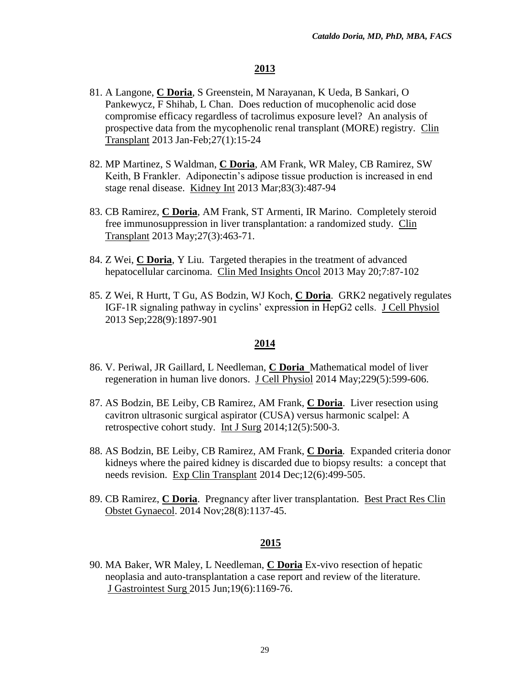- 81. A Langone, **C Doria**, S Greenstein, M Narayanan, K Ueda, B Sankari, O Pankewycz, F Shihab, L Chan. Does reduction of mucophenolic acid dose compromise efficacy regardless of tacrolimus exposure level? An analysis of prospective data from the mycophenolic renal transplant (MORE) registry. Clin Transplant 2013 Jan-Feb;27(1):15-24
- 82. MP Martinez, S Waldman, **C Doria**, AM Frank, WR Maley, CB Ramirez, SW Keith, B Frankler. Adiponectin's adipose tissue production is increased in end stage renal disease. Kidney Int 2013 Mar;83(3):487-94
- 83. CB Ramirez, **C Doria**, AM Frank, ST Armenti, IR Marino. Completely steroid free immunosuppression in liver transplantation: a randomized study. Clin Transplant 2013 May;27(3):463-71.
- 84. Z Wei, **C Doria**, Y Liu. Targeted therapies in the treatment of advanced hepatocellular carcinoma. Clin Med Insights Oncol 2013 May 20;7:87-102
- 85. Z Wei, R Hurtt, T Gu, AS Bodzin, WJ Koch, **C Doria**. GRK2 negatively regulates IGF-1R signaling pathway in cyclins' expression in HepG2 cells. J Cell Physiol 2013 Sep;228(9):1897-901

#### **2014**

- 86. V. Periwal, JR Gaillard, L Needleman, **C Doria** Mathematical model of liver regeneration in human live donors. J Cell Physiol 2014 May; 229(5): 599-606.
- 87. AS Bodzin, BE Leiby, CB Ramirez, AM Frank, **C Doria**. Liver resection using cavitron ultrasonic surgical aspirator (CUSA) versus harmonic scalpel: A retrospective cohort study. Int J Surg 2014;12(5):500-3.
- 88. AS Bodzin, BE Leiby, CB Ramirez, AM Frank, **C Doria***.* Expanded criteria donor kidneys where the paired kidney is discarded due to biopsy results: a concept that needs revision. Exp Clin Transplant 2014 Dec;12(6):499-505.
- 89. CB Ramirez, **C Doria**. Pregnancy after liver transplantation. Best Pract Res Clin Obstet Gynaecol. 2014 Nov;28(8):1137-45.

#### **2015**

90. MA Baker, WR Maley, L Needleman, **C Doria** Ex-vivo resection of hepatic neoplasia and auto-transplantation a case report and review of the literature. J Gastrointest Surg 2015 Jun;19(6):1169-76.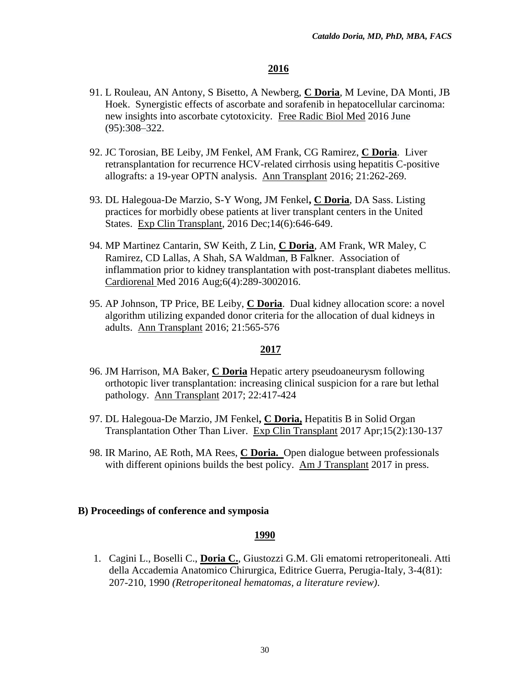- 91. L Rouleau, AN Antony, S Bisetto, A Newberg, **C Doria**, M Levine, DA Monti, JB Hoek. Synergistic effects of ascorbate and sorafenib in hepatocellular carcinoma: new insights into ascorbate cytotoxicity. Free Radic Biol Med 2016 [June](http://www.sciencedirect.com/science/journal/08915849/95/supp/C) [\(95\)](http://www.sciencedirect.com/science/journal/08915849/95/supp/C):308–322.
- 92. JC Torosian, BE Leiby, JM Fenkel, AM Frank, CG Ramirez, **C Doria**. Liver retransplantation for recurrence HCV-related cirrhosis using hepatitis C-positive allografts: a 19-year OPTN analysis. Ann Transplant 2016; 21:262-269.
- 93. DL Halegoua-De Marzio, S-Y Wong, JM Fenkel**, C Doria**, DA Sass. Listing practices for morbidly obese patients at liver transplant centers in the United States. Exp Clin Transplant, 2016 Dec;14(6):646-649.
- 94. MP Martinez Cantarin, SW Keith, Z Lin, **C Doria**, AM Frank, WR Maley, C Ramirez, CD Lallas, A Shah, SA Waldman, B Falkner. Association of inflammation prior to kidney transplantation with post-transplant diabetes mellitus. Cardiorenal Med 2016 Aug;6(4):289-3002016.
- 95. AP Johnson, TP Price, BE Leiby, **C Doria**. Dual kidney allocation score: a novel algorithm utilizing expanded donor criteria for the allocation of dual kidneys in adults. Ann Transplant 2016; 21:565-576

#### **2017**

- 96. JM Harrison, MA Baker, **C Doria** Hepatic artery pseudoaneurysm following orthotopic liver transplantation: increasing clinical suspicion for a rare but lethal pathology. Ann Transplant 2017; 22:417-424
- 97. DL Halegoua-De Marzio, JM Fenkel**, C Doria,** Hepatitis B in Solid Organ Transplantation Other Than Liver. Exp Clin Transplant 2017 Apr;15(2):130-137
- 98. IR Marino, AE Roth, MA Rees, **C Doria.** Open dialogue between professionals with different opinions builds the best policy. Am J Transplant 2017 in press.

#### **B) Proceedings of conference and symposia**

#### **1990**

1. Cagini L., Boselli C., **Doria C.**, Giustozzi G.M. Gli ematomi retroperitoneali. Atti della Accademia Anatomico Chirurgica, Editrice Guerra, Perugia-Italy, 3-4(81): 207-210, 1990 *(Retroperitoneal hematomas, a literature review)*.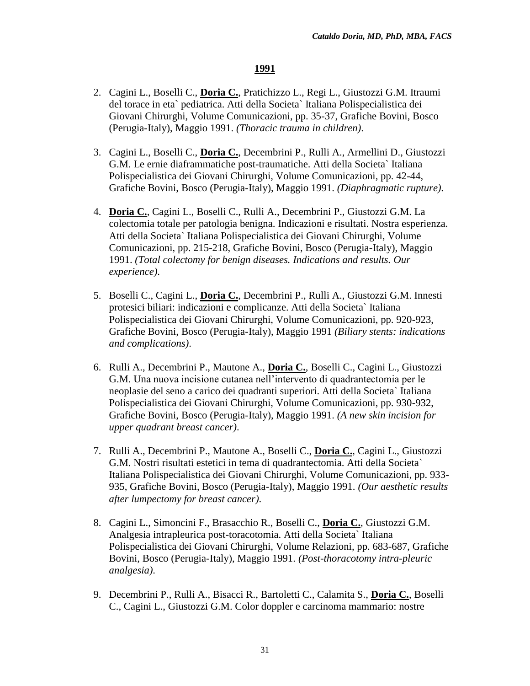- 2. Cagini L., Boselli C., **Doria C.**, Pratichizzo L., Regi L., Giustozzi G.M. Itraumi del torace in eta` pediatrica. Atti della Societa` Italiana Polispecialistica dei Giovani Chirurghi, Volume Comunicazioni, pp. 35-37, Grafiche Bovini, Bosco (Perugia-Italy), Maggio 1991. *(Thoracic trauma in children)*.
- 3. Cagini L., Boselli C., **Doria C.**, Decembrini P., Rulli A., Armellini D., Giustozzi G.M. Le ernie diaframmatiche post-traumatiche. Atti della Societa` Italiana Polispecialistica dei Giovani Chirurghi, Volume Comunicazioni, pp. 42-44, Grafiche Bovini, Bosco (Perugia-Italy), Maggio 1991. *(Diaphragmatic rupture)*.
- 4. **Doria C.**, Cagini L., Boselli C., Rulli A., Decembrini P., Giustozzi G.M. La colectomia totale per patologia benigna. Indicazioni e risultati. Nostra esperienza. Atti della Societa` Italiana Polispecialistica dei Giovani Chirurghi, Volume Comunicazioni, pp. 215-218, Grafiche Bovini, Bosco (Perugia-Italy), Maggio 1991. *(Total colectomy for benign diseases. Indications and results. Our experience)*.
- 5. Boselli C., Cagini L., **Doria C.**, Decembrini P., Rulli A., Giustozzi G.M. Innesti protesici biliari: indicazioni e complicanze. Atti della Societa` Italiana Polispecialistica dei Giovani Chirurghi, Volume Comunicazioni, pp. 920-923, Grafiche Bovini, Bosco (Perugia-Italy), Maggio 1991 *(Biliary stents: indications and complications)*.
- 6. Rulli A., Decembrini P., Mautone A., **Doria C.**, Boselli C., Cagini L., Giustozzi G.M. Una nuova incisione cutanea nell'intervento di quadrantectomia per le neoplasie del seno a carico dei quadranti superiori. Atti della Societa` Italiana Polispecialistica dei Giovani Chirurghi, Volume Comunicazioni, pp. 930-932, Grafiche Bovini, Bosco (Perugia-Italy), Maggio 1991. *(A new skin incision for upper quadrant breast cancer)*.
- 7. Rulli A., Decembrini P., Mautone A., Boselli C., **Doria C.**, Cagini L., Giustozzi G.M. Nostri risultati estetici in tema di quadrantectomia. Atti della Societa` Italiana Polispecialistica dei Giovani Chirurghi, Volume Comunicazioni, pp. 933- 935, Grafiche Bovini, Bosco (Perugia-Italy), Maggio 1991. *(Our aesthetic results after lumpectomy for breast cancer)*.
- 8. Cagini L., Simoncini F., Brasacchio R., Boselli C., **Doria C.**, Giustozzi G.M. Analgesia intrapleurica post-toracotomia. Atti della Societa` Italiana Polispecialistica dei Giovani Chirurghi, Volume Relazioni, pp. 683-687, Grafiche Bovini, Bosco (Perugia-Italy), Maggio 1991. *(Post-thoracotomy intra-pleuric analgesia)*.
- 9. Decembrini P., Rulli A., Bisacci R., Bartoletti C., Calamita S., **Doria C.**, Boselli C., Cagini L., Giustozzi G.M. Color doppler e carcinoma mammario: nostre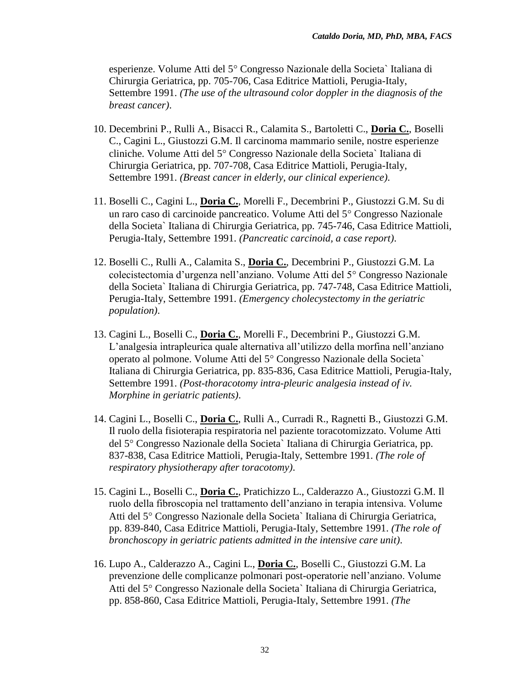esperienze. Volume Atti del 5<sup>°</sup> Congresso Nazionale della Societa` Italiana di Chirurgia Geriatrica, pp. 705-706, Casa Editrice Mattioli, Perugia-Italy, Settembre 1991. *(The use of the ultrasound color doppler in the diagnosis of the breast cancer)*.

- 10. Decembrini P., Rulli A., Bisacci R., Calamita S., Bartoletti C., **Doria C.**, Boselli C., Cagini L., Giustozzi G.M. Il carcinoma mammario senile, nostre esperienze cliniche. Volume Atti del 5° Congresso Nazionale della Societa` Italiana di Chirurgia Geriatrica, pp. 707-708, Casa Editrice Mattioli, Perugia-Italy, Settembre 1991. *(Breast cancer in elderly, our clinical experience)*.
- 11. Boselli C., Cagini L., **Doria C.**, Morelli F., Decembrini P., Giustozzi G.M. Su di un raro caso di carcinoide pancreatico. Volume Atti del 5<sup>°</sup> Congresso Nazionale della Societa` Italiana di Chirurgia Geriatrica, pp. 745-746, Casa Editrice Mattioli, Perugia-Italy, Settembre 1991. *(Pancreatic carcinoid, a case report)*.
- 12. Boselli C., Rulli A., Calamita S., **Doria C.**, Decembrini P., Giustozzi G.M. La colecistectomia d'urgenza nell'anziano. Volume Atti del 5<sup>°</sup> Congresso Nazionale della Societa` Italiana di Chirurgia Geriatrica, pp. 747-748, Casa Editrice Mattioli, Perugia-Italy, Settembre 1991. *(Emergency cholecystectomy in the geriatric population)*.
- 13. Cagini L., Boselli C., **Doria C.**, Morelli F., Decembrini P., Giustozzi G.M. L'analgesia intrapleurica quale alternativa all'utilizzo della morfina nell'anziano operato al polmone. Volume Atti del 5<sup>°</sup> Congresso Nazionale della Societa` Italiana di Chirurgia Geriatrica, pp. 835-836, Casa Editrice Mattioli, Perugia-Italy, Settembre 1991. *(Post-thoracotomy intra-pleuric analgesia instead of iv. Morphine in geriatric patients)*.
- 14. Cagini L., Boselli C., **Doria C.**, Rulli A., Curradi R., Ragnetti B., Giustozzi G.M. Il ruolo della fisioterapia respiratoria nel paziente toracotomizzato. Volume Atti del 5° Congresso Nazionale della Societa` Italiana di Chirurgia Geriatrica, pp. 837-838, Casa Editrice Mattioli, Perugia-Italy, Settembre 1991. *(The role of respiratory physiotherapy after toracotomy)*.
- 15. Cagini L., Boselli C., **Doria C.**, Pratichizzo L., Calderazzo A., Giustozzi G.M. Il ruolo della fibroscopia nel trattamento dell'anziano in terapia intensiva. Volume Atti del 5<sup>°</sup> Congresso Nazionale della Societa` Italiana di Chirurgia Geriatrica, pp. 839-840, Casa Editrice Mattioli, Perugia-Italy, Settembre 1991. *(The role of bronchoscopy in geriatric patients admitted in the intensive care unit)*.
- 16. Lupo A., Calderazzo A., Cagini L., **Doria C.**, Boselli C., Giustozzi G.M. La prevenzione delle complicanze polmonari post-operatorie nell'anziano. Volume Atti del 5<sup>°</sup> Congresso Nazionale della Societa` Italiana di Chirurgia Geriatrica, pp. 858-860, Casa Editrice Mattioli, Perugia-Italy, Settembre 1991. *(The*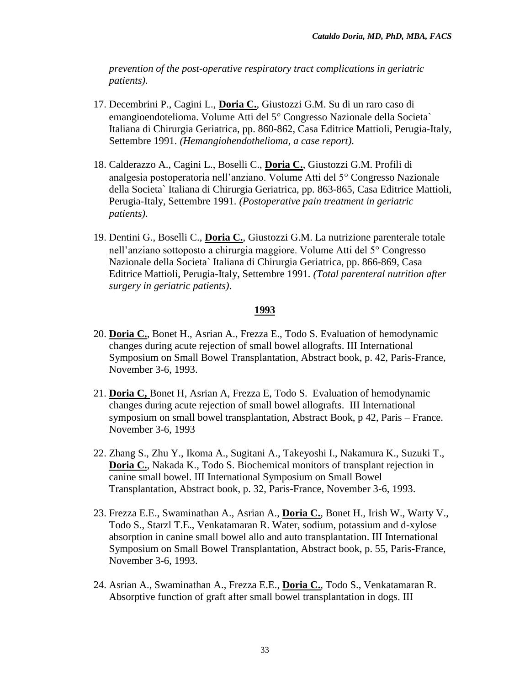*prevention of the post-operative respiratory tract complications in geriatric patients)*.

- 17. Decembrini P., Cagini L., **Doria C.**, Giustozzi G.M. Su di un raro caso di emangioendotelioma. Volume Atti del 5<sup>°</sup> Congresso Nazionale della Societa<sup>n</sup> Italiana di Chirurgia Geriatrica, pp. 860-862, Casa Editrice Mattioli, Perugia-Italy, Settembre 1991. *(Hemangiohendothelioma, a case report)*.
- 18. Calderazzo A., Cagini L., Boselli C., **Doria C.**, Giustozzi G.M. Profili di analgesia postoperatoria nell'anziano. Volume Atti del 5<sup>°</sup> Congresso Nazionale della Societa` Italiana di Chirurgia Geriatrica, pp. 863-865, Casa Editrice Mattioli, Perugia-Italy, Settembre 1991. *(Postoperative pain treatment in geriatric patients)*.
- 19. Dentini G., Boselli C., **Doria C.**, Giustozzi G.M. La nutrizione parenterale totale nell'anziano sottoposto a chirurgia maggiore. Volume Atti del 5<sup>°</sup> Congresso Nazionale della Societa` Italiana di Chirurgia Geriatrica, pp. 866-869, Casa Editrice Mattioli, Perugia-Italy, Settembre 1991. *(Total parenteral nutrition after surgery in geriatric patients)*.

- 20. **Doria C.**, Bonet H., Asrian A., Frezza E., Todo S. Evaluation of hemodynamic changes during acute rejection of small bowel allografts. III International Symposium on Small Bowel Transplantation, Abstract book, p. 42, Paris-France, November 3-6, 1993.
- 21. **Doria C,** Bonet H, Asrian A, Frezza E, Todo S. Evaluation of hemodynamic changes during acute rejection of small bowel allografts. III International symposium on small bowel transplantation, Abstract Book, p 42, Paris – France. November 3-6, 1993
- 22. Zhang S., Zhu Y., Ikoma A., Sugitani A., Takeyoshi I., Nakamura K., Suzuki T., **Doria C.**, Nakada K., Todo S. Biochemical monitors of transplant rejection in canine small bowel. III International Symposium on Small Bowel Transplantation, Abstract book, p. 32, Paris-France, November 3-6, 1993.
- 23. Frezza E.E., Swaminathan A., Asrian A., **Doria C.**, Bonet H., Irish W., Warty V., Todo S., Starzl T.E., Venkatamaran R. Water, sodium, potassium and d-xylose absorption in canine small bowel allo and auto transplantation. III International Symposium on Small Bowel Transplantation, Abstract book, p. 55, Paris-France, November 3-6, 1993.
- 24. Asrian A., Swaminathan A., Frezza E.E., **Doria C.**, Todo S., Venkatamaran R. Absorptive function of graft after small bowel transplantation in dogs. III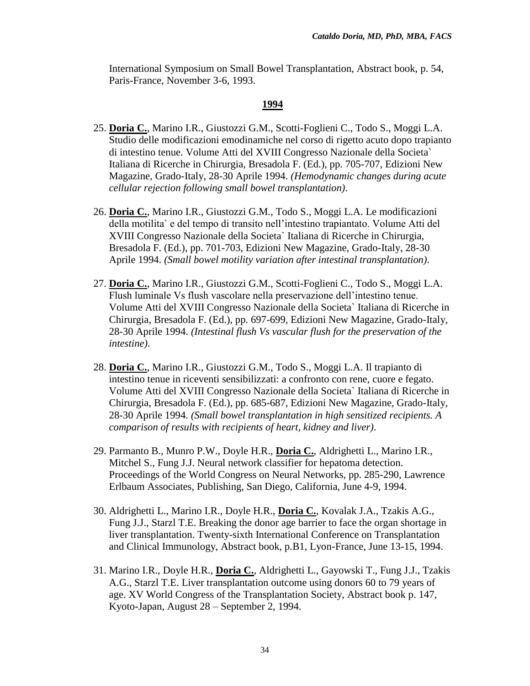International Symposium on Small Bowel Transplantation, Abstract book, p. 54, Paris-France, November 3-6, 1993.

- 25. **Doria C.**, Marino I.R., Giustozzi G.M., Scotti-Foglieni C., Todo S., Moggi L.A. Studio delle modificazioni emodinamiche nel corso di rigetto acuto dopo trapianto di intestino tenue. Volume Atti del XVIII Congresso Nazionale della Societa` Italiana di Ricerche in Chirurgia, Bresadola F. (Ed.), pp. 705-707, Edizioni New Magazine, Grado-Italy, 28-30 Aprile 1994. *(Hemodynamic changes during acute cellular rejection following small bowel transplantation)*.
- 26. **Doria C.**, Marino I.R., Giustozzi G.M., Todo S., Moggi L.A. Le modificazioni della motilita` e del tempo di transito nell'intestino trapiantato. Volume Atti del XVIII Congresso Nazionale della Societa` Italiana di Ricerche in Chirurgia, Bresadola F. (Ed.), pp. 701-703, Edizioni New Magazine, Grado-Italy, 28-30 Aprile 1994. *(Small bowel motility variation after intestinal transplantation)*.
- 27. **Doria C.**, Marino I.R., Giustozzi G.M., Scotti-Foglieni C., Todo S., Moggi L.A. Flush luminale Vs flush vascolare nella preservazione dell'intestino tenue. Volume Atti del XVIII Congresso Nazionale della Societa` Italiana di Ricerche in Chirurgia, Bresadola F. (Ed.), pp. 697-699, Edizioni New Magazine, Grado-Italy, 28-30 Aprile 1994. *(Intestinal flush Vs vascular flush for the preservation of the intestine)*.
- 28. **Doria C.**, Marino I.R., Giustozzi G.M., Todo S., Moggi L.A. Il trapianto di intestino tenue in riceventi sensibilizzati: a confronto con rene, cuore e fegato. Volume Atti del XVIII Congresso Nazionale della Societa` Italiana di Ricerche in Chirurgia, Bresadola F. (Ed.), pp. 685-687, Edizioni New Magazine, Grado-Italy, 28-30 Aprile 1994. *(Small bowel transplantation in high sensitized recipients. A comparison of results with recipients of heart, kidney and liver)*.
- 29. Parmanto B., Munro P.W., Doyle H.R., **Doria C.**, Aldrighetti L., Marino I.R., Mitchel S., Fung J.J. Neural network classifier for hepatoma detection. Proceedings of the World Congress on Neural Networks, pp. 285-290, Lawrence Erlbaum Associates, Publishing, San Diego, California, June 4-9, 1994.
- 30. Aldrighetti L., Marino I.R., Doyle H.R., **Doria C.**, Kovalak J.A., Tzakis A.G., Fung J.J., Starzl T.E. Breaking the donor age barrier to face the organ shortage in liver transplantation. Twenty-sixth International Conference on Transplantation and Clinical Immunology, Abstract book, p.B1, Lyon-France, June 13-15, 1994.
- 31. Marino I.R., Doyle H.R., **Doria C.**, Aldrighetti L., Gayowski T., Fung J.J., Tzakis A.G., Starzl T.E. Liver transplantation outcome using donors 60 to 79 years of age. XV World Congress of the Transplantation Society, Abstract book p. 147, Kyoto-Japan, August 28 – September 2, 1994.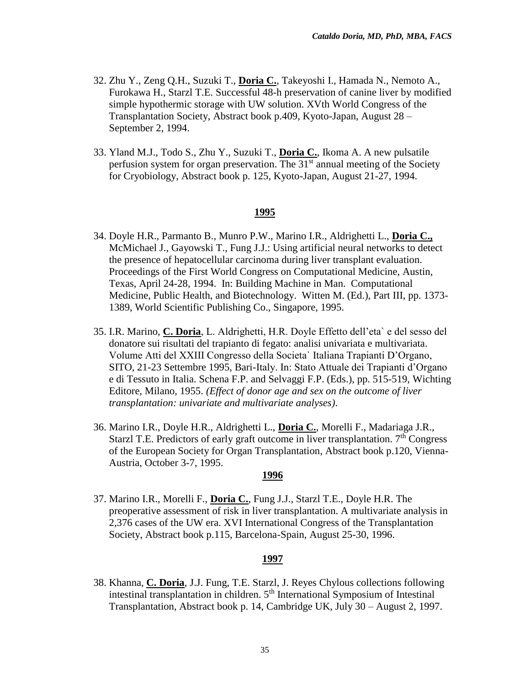- 32. Zhu Y., Zeng Q.H., Suzuki T., **Doria C.**, Takeyoshi I., Hamada N., Nemoto A., Furokawa H., Starzl T.E. Successful 48-h preservation of canine liver by modified simple hypothermic storage with UW solution. XVth World Congress of the Transplantation Society, Abstract book p.409, Kyoto-Japan, August 28 – September 2, 1994.
- 33. Yland M.J., Todo S., Zhu Y., Suzuki T., **Doria C.**, Ikoma A. A new pulsatile perfusion system for organ preservation. The  $31<sup>st</sup>$  annual meeting of the Society for Cryobiology, Abstract book p. 125, Kyoto-Japan, August 21-27, 1994.

- 34. Doyle H.R., Parmanto B., Munro P.W., Marino I.R., Aldrighetti L., **Doria C.,**  McMichael J., Gayowski T., Fung J.J.: Using artificial neural networks to detect the presence of hepatocellular carcinoma during liver transplant evaluation. Proceedings of the First World Congress on Computational Medicine, Austin, Texas, April 24-28, 1994. In: Building Machine in Man. Computational Medicine, Public Health, and Biotechnology. Witten M. (Ed.), Part III, pp. 1373- 1389, World Scientific Publishing Co., Singapore, 1995.
- 35. I.R. Marino, **C. Doria**, L. Aldrighetti, H.R. Doyle Effetto dell'eta` e del sesso del donatore sui risultati del trapianto di fegato: analisi univariata e multivariata. Volume Atti del XXIII Congresso della Societa` Italiana Trapianti D'Organo, SITO, 21-23 Settembre 1995, Bari-Italy. In: Stato Attuale dei Trapianti d'Organo e di Tessuto in Italia. Schena F.P. and Selvaggi F.P. (Eds.), pp. 515-519, Wichting Editore, Milano, 1955. *(Effect of donor age and sex on the outcome of liver transplantation: univariate and multivariate analyses)*.
- 36. Marino I.R., Doyle H.R., Aldrighetti L., **Doria C.**, Morelli F., Madariaga J.R., Starzl T.E. Predictors of early graft outcome in liver transplantation.  $7<sup>th</sup>$  Congress of the European Society for Organ Transplantation, Abstract book p.120, Vienna-Austria, October 3-7, 1995.

#### **1996**

37. Marino I.R., Morelli F., **Doria C.**, Fung J.J., Starzl T.E., Doyle H.R. The preoperative assessment of risk in liver transplantation. A multivariate analysis in 2,376 cases of the UW era. XVI International Congress of the Transplantation Society, Abstract book p.115, Barcelona-Spain, August 25-30, 1996.

#### **1997**

38. Khanna, **C. Doria**, J.J. Fung, T.E. Starzl, J. Reyes Chylous collections following intestinal transplantation in children. 5<sup>th</sup> International Symposium of Intestinal Transplantation, Abstract book p. 14, Cambridge UK, July 30 – August 2, 1997.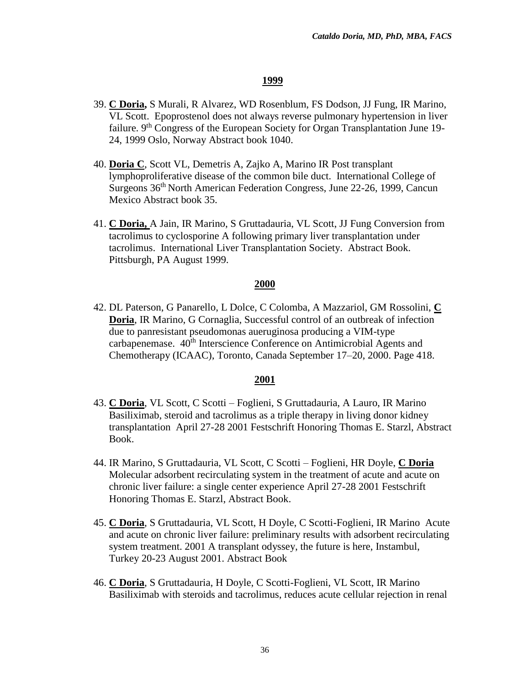- 39. **C Doria,** S Murali, R Alvarez, WD Rosenblum, FS Dodson, JJ Fung, IR Marino, VL Scott.Epoprostenol does not always reverse pulmonary hypertension in liver failure. 9<sup>th</sup> Congress of the European Society for Organ Transplantation June 19-24, 1999 Oslo, Norway Abstract book 1040.
- 40. **Doria C**, Scott VL, Demetris A, Zajko A, Marino IR Post transplant lymphoproliferative disease of the common bile duct. International College of Surgeons 36th North American Federation Congress, June 22-26, 1999, Cancun Mexico Abstract book 35.
- 41. **C Doria,** A Jain, IR Marino, S Gruttadauria, VL Scott, JJ Fung Conversion from tacrolimus to cyclosporine A following primary liver transplantation under tacrolimus.International Liver Transplantation Society. Abstract Book. Pittsburgh, PA August 1999.

### **2000**

42. DL Paterson, G Panarello, L Dolce, C Colomba, A Mazzariol, GM Rossolini, **C Doria**, IR Marino, G Cornaglia, Successful control of an outbreak of infection due to panresistant pseudomonas aueruginosa producing a VIM-type carbapenemase. 40<sup>th</sup> Interscience Conference on Antimicrobial Agents and Chemotherapy (ICAAC), Toronto, Canada September 17–20, 2000. Page 418.

- 43. **C Doria**, VL Scott, C Scotti Foglieni, S Gruttadauria, A Lauro, IR Marino Basiliximab, steroid and tacrolimus as a triple therapy in living donor kidney transplantation April 27-28 2001 Festschrift Honoring Thomas E. Starzl, Abstract Book.
- 44. IR Marino, S Gruttadauria, VL Scott, C Scotti Foglieni, HR Doyle, **C Doria** Molecular adsorbent recirculating system in the treatment of acute and acute on chronic liver failure: a single center experience April 27-28 2001 Festschrift Honoring Thomas E. Starzl, Abstract Book.
- 45. **C Doria**, S Gruttadauria, VL Scott, H Doyle, C Scotti-Foglieni, IR Marino Acute and acute on chronic liver failure: preliminary results with adsorbent recirculating system treatment. 2001 A transplant odyssey, the future is here, Instambul, Turkey 20-23 August 2001. Abstract Book
- 46. **C Doria**, S Gruttadauria, H Doyle, C Scotti-Foglieni, VL Scott, IR Marino Basiliximab with steroids and tacrolimus, reduces acute cellular rejection in renal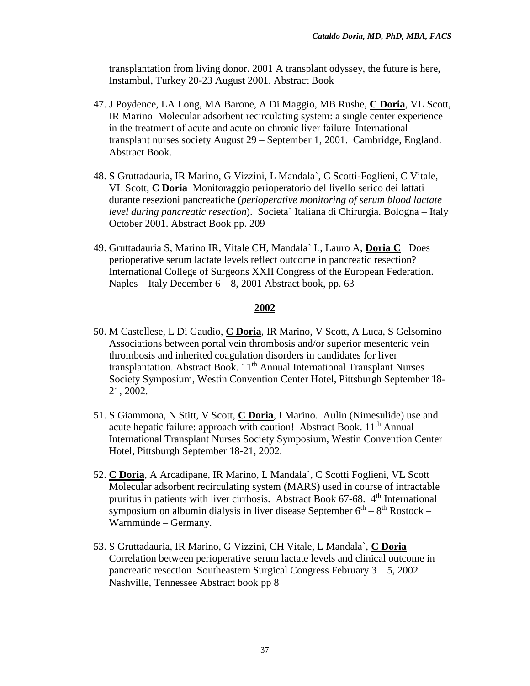transplantation from living donor. 2001 A transplant odyssey, the future is here, Instambul, Turkey 20-23 August 2001. Abstract Book

- 47. J Poydence, LA Long, MA Barone, A Di Maggio, MB Rushe, **C Doria**, VL Scott, IR Marino Molecular adsorbent recirculating system: a single center experience in the treatment of acute and acute on chronic liver failure International transplant nurses society August 29 – September 1, 2001. Cambridge, England. Abstract Book.
- 48. S Gruttadauria, IR Marino, G Vizzini, L Mandala`, C Scotti-Foglieni, C Vitale, VL Scott, **C Doria** Monitoraggio perioperatorio del livello serico dei lattati durante resezioni pancreatiche (*perioperative monitoring of serum blood lactate level during pancreatic resection*). Societa` Italiana di Chirurgia. Bologna – Italy October 2001. Abstract Book pp. 209
- 49. Gruttadauria S, Marino IR, Vitale CH, Mandala` L, Lauro A, **Doria C** Does perioperative serum lactate levels reflect outcome in pancreatic resection? International College of Surgeons XXII Congress of the European Federation. Naples – Italy December  $6 - 8$ , 2001 Abstract book, pp. 63

- 50. M Castellese, L Di Gaudio, **C Doria**, IR Marino, V Scott, A Luca, S Gelsomino Associations between portal vein thrombosis and/or superior mesenteric vein thrombosis and inherited coagulation disorders in candidates for liver transplantation. Abstract Book. 11<sup>th</sup> Annual International Transplant Nurses Society Symposium, Westin Convention Center Hotel, Pittsburgh September 18- 21, 2002.
- 51. S Giammona, N Stitt, V Scott, **C Doria**, I Marino. Aulin (Nimesulide) use and acute hepatic failure: approach with caution! Abstract Book.  $11<sup>th</sup>$  Annual International Transplant Nurses Society Symposium, Westin Convention Center Hotel, Pittsburgh September 18-21, 2002.
- 52. **C Doria**, A Arcadipane, IR Marino, L Mandala`, C Scotti Foglieni, VL Scott Molecular adsorbent recirculating system (MARS) used in course of intractable pruritus in patients with liver cirrhosis. Abstract Book 67-68. 4<sup>th</sup> International symposium on albumin dialysis in liver disease September  $6<sup>th</sup> - 8<sup>th</sup>$  Rostock – Warnmünde – Germany.
- 53. S Gruttadauria, IR Marino, G Vizzini, CH Vitale, L Mandala`, **C Doria** Correlation between perioperative serum lactate levels and clinical outcome in pancreatic resection Southeastern Surgical Congress February 3 – 5, 2002 Nashville, Tennessee Abstract book pp 8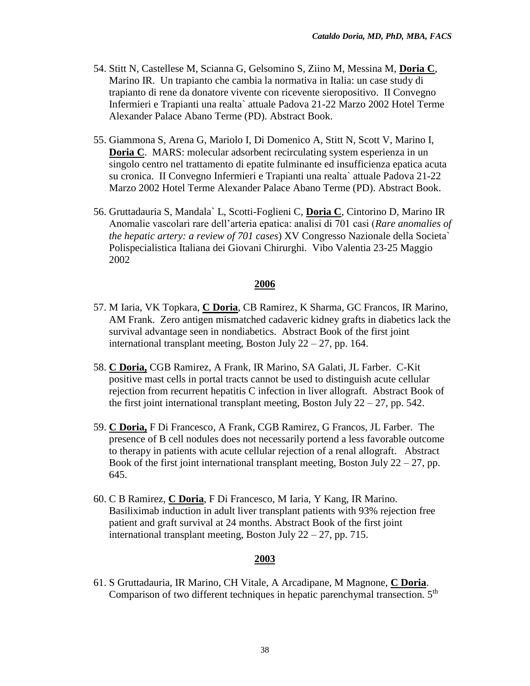- 54. Stitt N, Castellese M, Scianna G, Gelsomino S, Ziino M, Messina M, **Doria C**, Marino IR. Un trapianto che cambia la normativa in Italia: un case study di trapianto di rene da donatore vivente con ricevente sieropositivo. II Convegno Infermieri e Trapianti una realta` attuale Padova 21-22 Marzo 2002 Hotel Terme Alexander Palace Abano Terme (PD). Abstract Book.
- 55. Giammona S, Arena G, Mariolo I, Di Domenico A, Stitt N, Scott V, Marino I, **Doria C.** MARS: molecular adsorbent recirculating system esperienza in un singolo centro nel trattamento di epatite fulminante ed insufficienza epatica acuta su cronica. II Convegno Infermieri e Trapianti una realta` attuale Padova 21-22 Marzo 2002 Hotel Terme Alexander Palace Abano Terme (PD). Abstract Book.
- 56. Gruttadauria S, Mandala` L, Scotti-Foglieni C, **Doria C**, Cintorino D, Marino IR Anomalie vascolari rare dell'arteria epatica: analisi di 701 casi (*Rare anomalies of the hepatic artery: a review of 701 cases*) XV Congresso Nazionale della Societa` Polispecialistica Italiana dei Giovani Chirurghi. Vibo Valentia 23-25 Maggio 2002

- 57. M Iaria, VK Topkara, **C Doria**, CB Ramirez, K Sharma, GC Francos, IR Marino, AM Frank. Zero antigen mismatched cadaveric kidney grafts in diabetics lack the survival advantage seen in nondiabetics. Abstract Book of the first joint international transplant meeting, Boston July  $22 - 27$ , pp. 164.
- 58. **C Doria,** CGB Ramirez, A Frank, IR Marino, SA Galati, JL Farber. C-Kit positive mast cells in portal tracts cannot be used to distinguish acute cellular rejection from recurrent hepatitis C infection in liver allograft. Abstract Book of the first joint international transplant meeting, Boston July  $22 - 27$ , pp. 542.
- 59. **C Doria,** F Di Francesco, A Frank, CGB Ramirez, G Francos, JL Farber. The presence of B cell nodules does not necessarily portend a less favorable outcome to therapy in patients with acute cellular rejection of a renal allograft. Abstract Book of the first joint international transplant meeting, Boston July  $22 - 27$ , pp. 645.
- 60. C B Ramirez, **C Doria**, F Di Francesco, M Iaria, Y Kang, IR Marino. Basiliximab induction in adult liver transplant patients with 93% rejection free patient and graft survival at 24 months. Abstract Book of the first joint international transplant meeting, Boston July  $22 - 27$ , pp. 715.

#### **2003**

61. S Gruttadauria, IR Marino, CH Vitale, A Arcadipane, M Magnone, **C Doria**. Comparison of two different techniques in hepatic parenchymal transection.  $5<sup>th</sup>$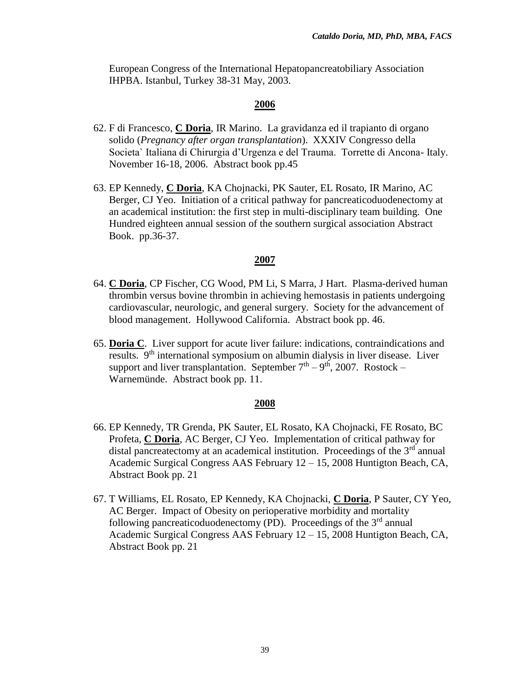European Congress of the International Hepatopancreatobiliary Association IHPBA. Istanbul, Turkey 38-31 May, 2003.

# **2006**

- 62. F di Francesco, **C Doria**, IR Marino. La gravidanza ed il trapianto di organo solido (*Pregnancy after organ transplantation*). XXXIV Congresso della Societa` Italiana di Chirurgia d'Urgenza e del Trauma. Torrette di Ancona- Italy. November 16-18, 2006. Abstract book pp.45
- 63. EP Kennedy, **C Doria**, KA Chojnacki, PK Sauter, EL Rosato, IR Marino, AC Berger, CJ Yeo. Initiation of a critical pathway for pancreaticoduodenectomy at an academical institution: the first step in multi-disciplinary team building. One Hundred eighteen annual session of the southern surgical association Abstract Book. pp.36-37.

## **2007**

- 64. **C Doria**, CP Fischer, CG Wood, PM Li, S Marra, J Hart. Plasma-derived human thrombin versus bovine thrombin in achieving hemostasis in patients undergoing cardiovascular, neurologic, and general surgery. Society for the advancement of blood management. Hollywood California. Abstract book pp. 46.
- 65. **Doria C**. Liver support for acute liver failure: indications, contraindications and results. 9th international symposium on albumin dialysis in liver disease. Liver support and liver transplantation. September  $7<sup>th</sup> - 9<sup>th</sup>$ , 2007. Rostock – Warnemünde. Abstract book pp. 11.

- 66. EP Kennedy, TR Grenda, PK Sauter, EL Rosato, KA Chojnacki, FE Rosato, BC Profeta, **C Doria**, AC Berger, CJ Yeo. Implementation of critical pathway for distal pancreatectomy at an academical institution. Proceedings of the  $3<sup>rd</sup>$  annual Academic Surgical Congress AAS February 12 – 15, 2008 Huntigton Beach, CA, Abstract Book pp. 21
- 67. T Williams, EL Rosato, EP Kennedy, KA Chojnacki, **C Doria**, P Sauter, CY Yeo, AC Berger. Impact of Obesity on perioperative morbidity and mortality following pancreaticoduodenectomy (PD). Proceedings of the  $3<sup>rd</sup>$  annual Academic Surgical Congress AAS February 12 – 15, 2008 Huntigton Beach, CA, Abstract Book pp. 21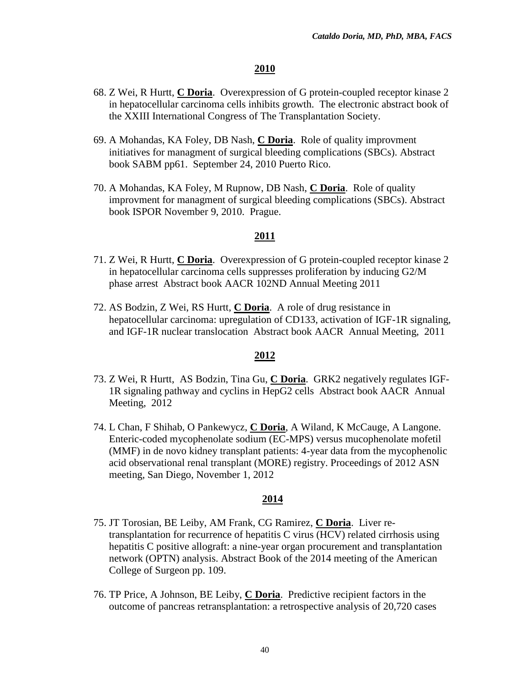- 68. Z Wei, R Hurtt, **C Doria**. Overexpression of G protein-coupled receptor kinase 2 in hepatocellular carcinoma cells inhibits growth. The electronic abstract book of the XXIII International Congress of The Transplantation Society.
- 69. A Mohandas, KA Foley, DB Nash, **C Doria**. Role of quality improvment initiatives for managment of surgical bleeding complications (SBCs). Abstract book SABM pp61. September 24, 2010 Puerto Rico.
- 70. A Mohandas, KA Foley, M Rupnow, DB Nash, **C Doria**.Role of quality improvment for managment of surgical bleeding complications (SBCs). Abstract book ISPOR November 9, 2010. Prague.

#### **2011**

- 71. Z Wei, R Hurtt, **C Doria**. Overexpression of G protein-coupled receptor kinase 2 in hepatocellular carcinoma cells suppresses proliferation by inducing G2/M phase arrest Abstract book AACR 102ND Annual Meeting 2011
- 72. AS Bodzin, Z Wei, RS Hurtt, **C Doria**. A role of drug resistance in hepatocellular carcinoma: upregulation of CD133, activation of IGF-1R signaling, and IGF-1R nuclear translocation Abstract book AACR Annual Meeting, 2011

## **2012**

- 73. Z Wei, R Hurtt, AS Bodzin, Tina Gu, **C Doria**. GRK2 negatively regulates IGF-1R signaling pathway and cyclins in HepG2 cells Abstract book AACR Annual Meeting, 2012
- 74. L Chan, F Shihab, O Pankewycz, **C Doria**, A Wiland, K McCauge, A Langone. Enteric-coded mycophenolate sodium (EC-MPS) versus mucophenolate mofetil (MMF) in de novo kidney transplant patients: 4-year data from the mycophenolic acid observational renal transplant (MORE) registry. Proceedings of 2012 ASN meeting, San Diego, November 1, 2012

- 75. JT Torosian, BE Leiby, AM Frank, CG Ramirez, **C Doria**. Liver retransplantation for recurrence of hepatitis C virus (HCV) related cirrhosis using hepatitis C positive allograft: a nine-year organ procurement and transplantation network (OPTN) analysis. Abstract Book of the 2014 meeting of the American College of Surgeon pp. 109.
- 76. TP Price, A Johnson, BE Leiby, **C Doria**. Predictive recipient factors in the outcome of pancreas retransplantation: a retrospective analysis of 20,720 cases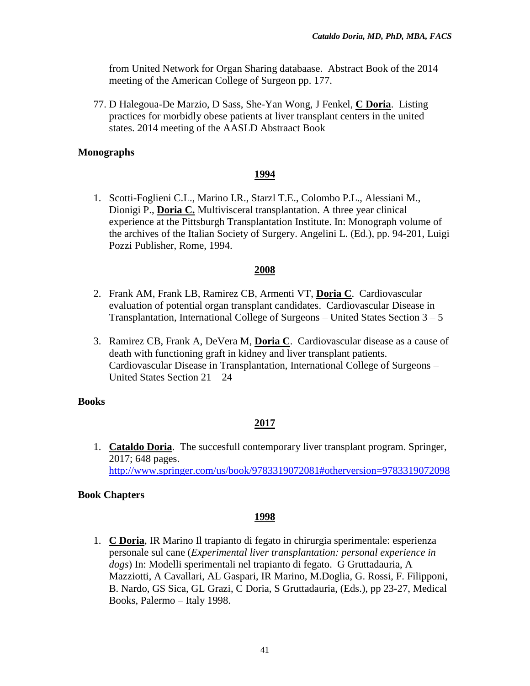from United Network for Organ Sharing databaase. Abstract Book of the 2014 meeting of the American College of Surgeon pp. 177.

77. D Halegoua-De Marzio, D Sass, She-Yan Wong, J Fenkel, **C Doria**. Listing practices for morbidly obese patients at liver transplant centers in the united states. 2014 meeting of the AASLD Abstraact Book

# **Monographs**

# **1994**

1. Scotti-Foglieni C.L., Marino I.R., Starzl T.E., Colombo P.L., Alessiani M., Dionigi P., **Doria C.** Multivisceral transplantation. A three year clinical experience at the Pittsburgh Transplantation Institute. In: Monograph volume of the archives of the Italian Society of Surgery. Angelini L. (Ed.), pp. 94-201, Luigi Pozzi Publisher, Rome, 1994.

# **2008**

- 2. Frank AM, Frank LB, Ramirez CB, Armenti VT, **Doria C**. Cardiovascular evaluation of potential organ transplant candidates. Cardiovascular Disease in Transplantation, International College of Surgeons  $-$  United States Section  $3-5$
- 3. Ramirez CB, Frank A, DeVera M, **Doria C**. Cardiovascular disease as a cause of death with functioning graft in kidney and liver transplant patients. Cardiovascular Disease in Transplantation, International College of Surgeons – United States Section 21 – 24

# **Books**

# **2017**

1. **Cataldo Doria**. The succesfull contemporary liver transplant program. Springer, 2017; 648 pages. <http://www.springer.com/us/book/9783319072081#otherversion=9783319072098>

# **Book Chapters**

# **1998**

1. **C Doria**, IR Marino Il trapianto di fegato in chirurgia sperimentale: esperienza personale sul cane (*Experimental liver transplantation: personal experience in dogs*) In: Modelli sperimentali nel trapianto di fegato. G Gruttadauria, A Mazziotti, A Cavallari, AL Gaspari, IR Marino, M.Doglia, G. Rossi, F. Filipponi, B. Nardo, GS Sica, GL Grazi, C Doria, S Gruttadauria, (Eds.), pp 23-27, Medical Books, Palermo – Italy 1998.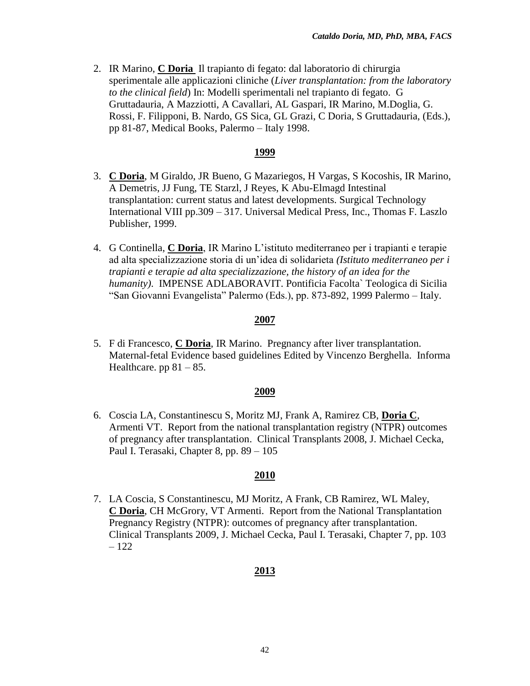2. IR Marino, **C Doria** Il trapianto di fegato: dal laboratorio di chirurgia sperimentale alle applicazioni cliniche (*Liver transplantation: from the laboratory to the clinical field*) In: Modelli sperimentali nel trapianto di fegato. G Gruttadauria, A Mazziotti, A Cavallari, AL Gaspari, IR Marino, M.Doglia, G. Rossi, F. Filipponi, B. Nardo, GS Sica, GL Grazi, C Doria, S Gruttadauria, (Eds.), pp 81-87, Medical Books, Palermo – Italy 1998.

# **1999**

- 3. **C Doria**, M Giraldo, JR Bueno, G Mazariegos, H Vargas, S Kocoshis, IR Marino, A Demetris, JJ Fung, TE Starzl, J Reyes, K Abu-Elmagd Intestinal transplantation: current status and latest developments. Surgical Technology International VIII pp.309 – 317. Universal Medical Press, Inc., Thomas F. Laszlo Publisher, 1999.
- 4. G Continella, **C Doria**, IR Marino L'istituto mediterraneo per i trapianti e terapie ad alta specializzazione storia di un'idea di solidarieta *(Istituto mediterraneo per i trapianti e terapie ad alta specializzazione, the history of an idea for the humanity)*. IMPENSE ADLABORAVIT. Pontificia Facolta` Teologica di Sicilia "San Giovanni Evangelista" Palermo (Eds.), pp. 873-892, 1999 Palermo – Italy.

# **2007**

5. F di Francesco, **C Doria**, IR Marino. Pregnancy after liver transplantation. Maternal-fetal Evidence based guidelines Edited by Vincenzo Berghella. Informa Healthcare. pp  $81 - 85$ .

## **2009**

6. Coscia LA, Constantinescu S, Moritz MJ, Frank A, Ramirez CB, **Doria C**, Armenti VT. Report from the national transplantation registry (NTPR) outcomes of pregnancy after transplantation. Clinical Transplants 2008, J. Michael Cecka, Paul I. Terasaki, Chapter 8, pp. 89 – 105

# **2010**

7. LA Coscia, S Constantinescu, MJ Moritz, A Frank, CB Ramirez, WL Maley, **C Doria**, CH McGrory, VT Armenti. Report from the National Transplantation Pregnancy Registry (NTPR): outcomes of pregnancy after transplantation. Clinical Transplants 2009, J. Michael Cecka, Paul I. Terasaki, Chapter 7, pp. 103 – 122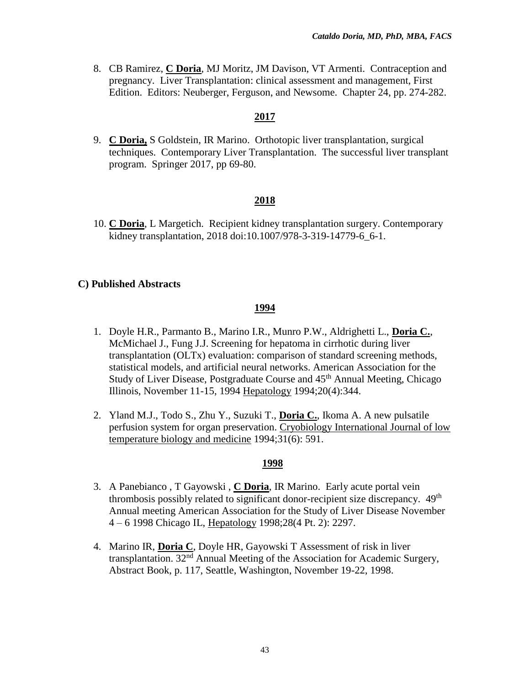8. CB Ramirez, **C Doria**, MJ Moritz, JM Davison, VT Armenti. Contraception and pregnancy. Liver Transplantation: clinical assessment and management, First Edition. Editors: Neuberger, Ferguson, and Newsome. Chapter 24, pp. 274-282.

### **2017**

9. **C Doria,** S Goldstein, IR Marino. Orthotopic liver transplantation, surgical techniques. Contemporary Liver Transplantation. The successful liver transplant program. Springer 2017, pp 69-80.

## **2018**

10. **C Doria**, L Margetich. Recipient kidney transplantation surgery. Contemporary kidney transplantation, 2018 doi:10.1007/978-3-319-14779-6 6-1.

#### **C) Published Abstracts**

#### **1994**

- 1. Doyle H.R., Parmanto B., Marino I.R., Munro P.W., Aldrighetti L., **Doria C.**, McMichael J., Fung J.J. Screening for hepatoma in cirrhotic during liver transplantation (OLTx) evaluation: comparison of standard screening methods, statistical models, and artificial neural networks. American Association for the Study of Liver Disease, Postgraduate Course and 45<sup>th</sup> Annual Meeting, Chicago Illinois, November 11-15, 1994 Hepatology 1994;20(4):344.
- 2. Yland M.J., Todo S., Zhu Y., Suzuki T., **Doria C.**, Ikoma A. A new pulsatile perfusion system for organ preservation. Cryobiology International Journal of low temperature biology and medicine 1994;31(6): 591.

- 3. A Panebianco , T Gayowski , **C Doria**, IR Marino. Early acute portal vein thrombosis possibly related to significant donor-recipient size discrepancy. 49<sup>th</sup> Annual meeting American Association for the Study of Liver Disease November 4 – 6 1998 Chicago IL, Hepatology 1998;28(4 Pt. 2): 2297.
- 4. Marino IR, **Doria C**, Doyle HR, Gayowski T Assessment of risk in liver transplantation.  $32<sup>nd</sup>$  Annual Meeting of the Association for Academic Surgery, Abstract Book, p. 117, Seattle, Washington, November 19-22, 1998.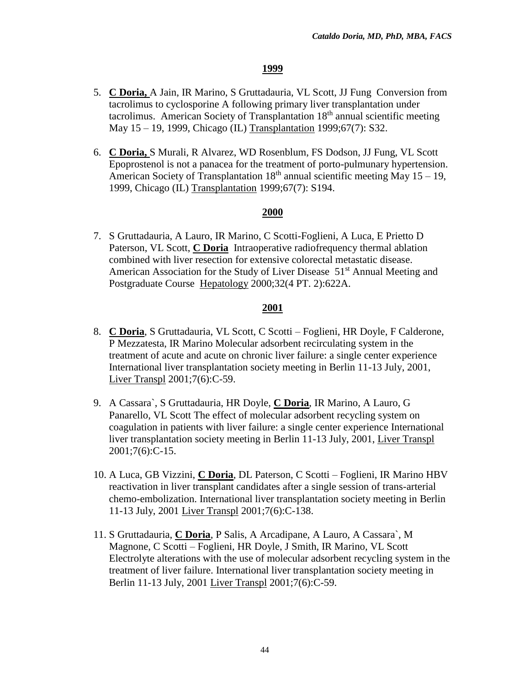- 5. **C Doria,** A Jain, IR Marino, S Gruttadauria, VL Scott, JJ Fung Conversion from tacrolimus to cyclosporine A following primary liver transplantation under tacrolimus. American Society of Transplantation  $18<sup>th</sup>$  annual scientific meeting May 15 – 19, 1999, Chicago (IL) Transplantation 1999;67(7): S32.
- 6. **C Doria,** S Murali, R Alvarez, WD Rosenblum, FS Dodson, JJ Fung, VL Scott Epoprostenol is not a panacea for the treatment of porto-pulmunary hypertension. American Society of Transplantation  $18<sup>th</sup>$  annual scientific meeting May 15 – 19, 1999, Chicago (IL) Transplantation 1999;67(7): S194.

# **2000**

7. S Gruttadauria, A Lauro, IR Marino, C Scotti-Foglieni, A Luca, E Prietto D Paterson, VL Scott, **C Doria** Intraoperative radiofrequency thermal ablation combined with liver resection for extensive colorectal metastatic disease. American Association for the Study of Liver Disease 51<sup>st</sup> Annual Meeting and Postgraduate Course Hepatology 2000;32(4 PT. 2):622A.

- 8. **C Doria**, S Gruttadauria, VL Scott, C Scotti Foglieni, HR Doyle, F Calderone, P Mezzatesta, IR Marino Molecular adsorbent recirculating system in the treatment of acute and acute on chronic liver failure: a single center experience International liver transplantation society meeting in Berlin 11-13 July, 2001, Liver Transpl 2001;7(6):C-59.
- 9. A Cassara`, S Gruttadauria, HR Doyle, **C Doria**, IR Marino, A Lauro, G Panarello, VL Scott The effect of molecular adsorbent recycling system on coagulation in patients with liver failure: a single center experience International liver transplantation society meeting in Berlin 11-13 July, 2001, Liver Transpl 2001;7(6):C-15.
- 10. A Luca, GB Vizzini, **C Doria**, DL Paterson, C Scotti Foglieni, IR Marino HBV reactivation in liver transplant candidates after a single session of trans-arterial chemo-embolization. International liver transplantation society meeting in Berlin 11-13 July, 2001 Liver Transpl 2001;7(6):C-138.
- 11. S Gruttadauria, **C Doria**, P Salis, A Arcadipane, A Lauro, A Cassara`, M Magnone, C Scotti – Foglieni, HR Doyle, J Smith, IR Marino, VL Scott Electrolyte alterations with the use of molecular adsorbent recycling system in the treatment of liver failure. International liver transplantation society meeting in Berlin 11-13 July, 2001 Liver Transpl 2001;7(6):C-59.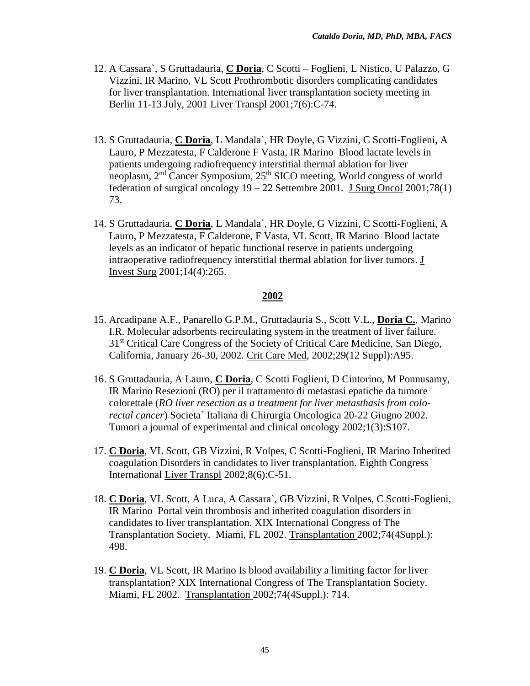- 12. A Cassara`, S Gruttadauria, **C Doria**, C Scotti Foglieni, L Nistico, U Palazzo, G Vizzini, IR Marino, VL Scott Prothrombotic disorders complicating candidates for liver transplantation. International liver transplantation society meeting in Berlin 11-13 July, 2001 Liver Transpl 2001;7(6):C-74.
- 13. S Gruttadauria, **C Doria**, L Mandala`, HR Doyle, G Vizzini, C Scotti-Foglieni, A Lauro, P Mezzatesta, F Calderone F Vasta, IR Marino Blood lactate levels in patients undergoing radiofrequency interstitial thermal ablation for liver neoplasm, 2<sup>nd</sup> Cancer Symposium, 25<sup>th</sup> SICO meeting, World congress of world federation of surgical oncology  $19 - 22$  Settembre 2001. J Surg Oncol 2001;78(1) 73.
- 14. S Gruttadauria, **C Doria**, L Mandala`, HR Doyle, G Vizzini, C Scotti-Foglieni, A Lauro, P Mezzatesta, F Calderone, F Vasta, VL Scott, IR Marino Blood lactate levels as an indicator of hepatic functional reserve in patients undergoing intraoperative radiofrequency interstitial thermal ablation for liver tumors. J Invest Surg 2001;14(4):265.

- 15. Arcadipane A.F., Panarello G.P.M., Gruttadauria S., Scott V.L., **Doria C.**, Marino I.R. Molecular adsorbents recirculating system in the treatment of liver failure. 31<sup>st</sup> Critical Care Congress of the Society of Critical Care Medicine, San Diego, California, January 26-30, 2002. Crit Care Med, 2002;29(12 Suppl):A95.
- 16. S Gruttadauria, A Lauro, **C Doria**, C Scotti Foglieni, D Cintorino, M Ponnusamy, IR Marino Resezioni (RO) per il trattamento di metastasi epatiche da tumore colorettale (*RO liver resection as a treatment for liver metasthasis from colorectal cancer*) Societa` Italiana di Chirurgia Oncologica 20-22 Giugno 2002. Tumori a journal of experimental and clinical oncology 2002;1(3):S107.
- 17. **C Doria**, VL Scott, GB Vizzini, R Volpes, C Scotti-Foglieni, IR Marino Inherited coagulation Disorders in candidates to liver transplantation. Eighth Congress International Liver Transpl 2002;8(6):C-51.
- 18. **C Doria**, VL Scott, A Luca, A Cassara`, GB Vizzini, R Volpes, C Scotti-Foglieni, IR Marino Portal vein thrombosis and inherited coagulation disorders in candidates to liver transplantation. XIX International Congress of The Transplantation Society. Miami, FL 2002. Transplantation 2002;74(4Suppl.): 498.
- 19. **C Doria**, VL Scott, IR Marino Is blood availability a limiting factor for liver transplantation? XIX International Congress of The Transplantation Society. Miami, FL 2002. Transplantation 2002;74(4Suppl.): 714.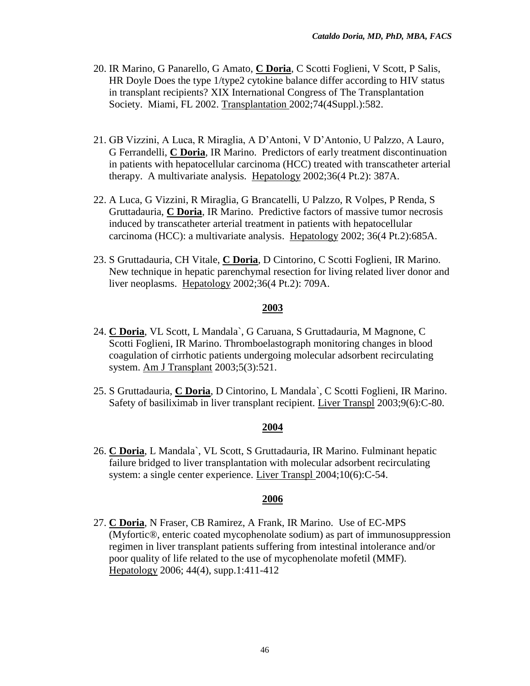- 20. IR Marino, G Panarello, G Amato, **C Doria**, C Scotti Foglieni, V Scott, P Salis, HR Doyle Does the type 1/type2 cytokine balance differ according to HIV status in transplant recipients? XIX International Congress of The Transplantation Society. Miami, FL 2002. Transplantation 2002;74(4Suppl.):582.
- 21. GB Vizzini, A Luca, R Miraglia, A D'Antoni, V D'Antonio, U Palzzo, A Lauro, G Ferrandelli, **C Doria**, IR Marino. Predictors of early treatment discontinuation in patients with hepatocellular carcinoma (HCC) treated with transcatheter arterial therapy. A multivariate analysis. Hepatology 2002;36(4 Pt.2): 387A.
- 22. A Luca, G Vizzini, R Miraglia, G Brancatelli, U Palzzo, R Volpes, P Renda, S Gruttadauria, **C Doria**, IR Marino. Predictive factors of massive tumor necrosis induced by transcatheter arterial treatment in patients with hepatocellular carcinoma (HCC): a multivariate analysis. Hepatology 2002; 36(4 Pt.2):685A.
- 23. S Gruttadauria, CH Vitale, **C Doria**, D Cintorino, C Scotti Foglieni, IR Marino. New technique in hepatic parenchymal resection for living related liver donor and liver neoplasms. Hepatology 2002;36(4 Pt.2): 709A.

- 24. **C Doria**, VL Scott, L Mandala`, G Caruana, S Gruttadauria, M Magnone, C Scotti Foglieni, IR Marino. Thromboelastograph monitoring changes in blood coagulation of cirrhotic patients undergoing molecular adsorbent recirculating system. Am J Transplant 2003;5(3):521.
- 25. S Gruttadauria, **C Doria**, D Cintorino, L Mandala`, C Scotti Foglieni, IR Marino. Safety of basiliximab in liver transplant recipient. Liver Transpl 2003;9(6):C-80.

## **2004**

26. **C Doria**, L Mandala`, VL Scott, S Gruttadauria, IR Marino. Fulminant hepatic failure bridged to liver transplantation with molecular adsorbent recirculating system: a single center experience. Liver Transpl 2004;10(6):C-54.

## **2006**

27. **C Doria**, N Fraser, CB Ramirez, A Frank, IR Marino. Use of EC-MPS (Myfortic®, enteric coated mycophenolate sodium) as part of immunosuppression regimen in liver transplant patients suffering from intestinal intolerance and/or poor quality of life related to the use of mycophenolate mofetil (MMF). Hepatology 2006; 44(4), supp.1:411-412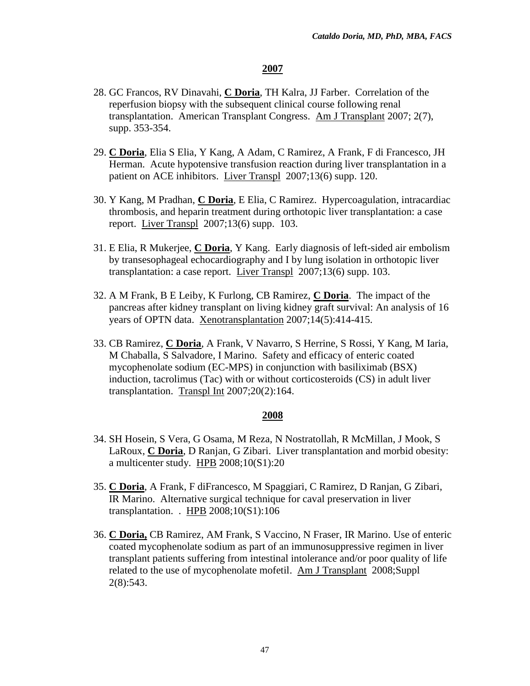- 28. GC Francos, RV Dinavahi, **C Doria**, TH Kalra, JJ Farber. Correlation of the reperfusion biopsy with the subsequent clinical course following renal transplantation. American Transplant Congress. Am J Transplant 2007; 2(7), supp. 353-354.
- 29. **C Doria**, Elia S Elia, Y Kang, A Adam, C Ramirez, A Frank, F di Francesco, JH Herman. Acute hypotensive transfusion reaction during liver transplantation in a patient on ACE inhibitors. Liver Transpl 2007;13(6) supp. 120.
- 30. Y Kang, M Pradhan, **C Doria**, E Elia, C Ramirez. Hypercoagulation, intracardiac thrombosis, and heparin treatment during orthotopic liver transplantation: a case report. Liver Transpl 2007;13(6) supp. 103.
- 31. E Elia, R Mukerjee, **C Doria**, Y Kang. Early diagnosis of left-sided air embolism by transesophageal echocardiography and I by lung isolation in orthotopic liver transplantation: a case report. Liver Transpl 2007;13(6) supp. 103.
- 32. A M Frank, B E Leiby, K Furlong, CB Ramirez, **C Doria**. The impact of the pancreas after kidney transplant on living kidney graft survival: An analysis of 16 years of OPTN data. Xenotransplantation 2007;14(5):414-415.
- 33. CB Ramirez, **C Doria**, A Frank, V Navarro, S Herrine, S Rossi, Y Kang, M Iaria, M Chaballa, S Salvadore, I Marino. Safety and efficacy of enteric coated mycophenolate sodium (EC-MPS) in conjunction with basiliximab (BSX) induction, tacrolimus (Tac) with or without corticosteroids (CS) in adult liver transplantation. Transpl Int 2007;20(2):164.

- 34. SH Hosein, S Vera, G Osama, M Reza, N Nostratollah, R McMillan, J Mook, S LaRoux, **C Doria**, D Ranjan, G Zibari. Liver transplantation and morbid obesity: a multicenter study. HPB 2008;10(S1):20
- 35. **C Doria**, A Frank, F diFrancesco, M Spaggiari, C Ramirez, D Ranjan, G Zibari, IR Marino. Alternative surgical technique for caval preservation in liver transplantation. . HPB 2008;10(S1):106
- 36. **C Doria,** CB Ramirez, AM Frank, S Vaccino, N Fraser, IR Marino. Use of enteric coated mycophenolate sodium as part of an immunosuppressive regimen in liver transplant patients suffering from intestinal intolerance and/or poor quality of life related to the use of mycophenolate mofetil. Am J Transplant 2008;Suppl 2(8):543.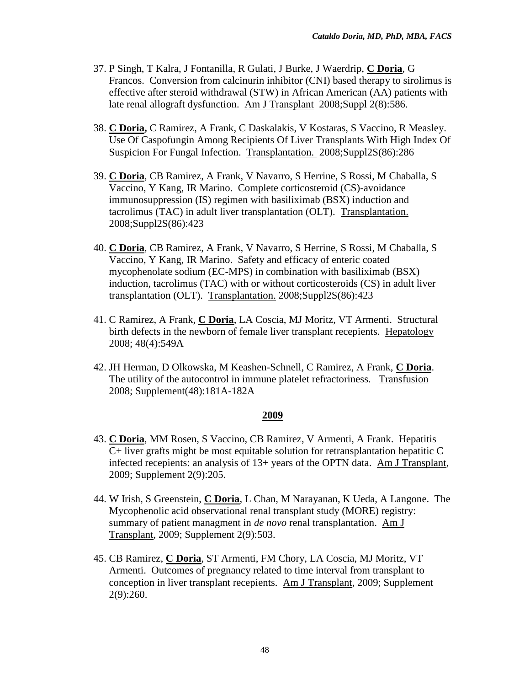- 37. P Singh, T Kalra, J Fontanilla, R Gulati, J Burke, J Waerdrip, **C Doria**, G Francos. Conversion from calcinurin inhibitor (CNI) based therapy to sirolimus is effective after steroid withdrawal (STW) in African American (AA) patients with late renal allograft dysfunction. Am J Transplant 2008;Suppl 2(8):586.
- 38. **C Doria,** C Ramirez, A Frank, C Daskalakis, V Kostaras, S Vaccino, R Measley. Use Of Caspofungin Among Recipients Of Liver Transplants With High Index Of Suspicion For Fungal Infection. Transplantation. 2008;Suppl2S(86):286
- 39. **C Doria**, CB Ramirez, A Frank, V Navarro, S Herrine, S Rossi, M Chaballa, S Vaccino, Y Kang, IR Marino. Complete corticosteroid (CS)-avoidance immunosuppression (IS) regimen with basiliximab (BSX) induction and tacrolimus (TAC) in adult liver transplantation (OLT). Transplantation. 2008;Suppl2S(86):423
- 40. **C Doria**, CB Ramirez, A Frank, V Navarro, S Herrine, S Rossi, M Chaballa, S Vaccino, Y Kang, IR Marino. Safety and efficacy of enteric coated mycophenolate sodium (EC-MPS) in combination with basiliximab (BSX) induction, tacrolimus (TAC) with or without corticosteroids (CS) in adult liver transplantation (OLT). Transplantation. 2008;Suppl2S(86):423
- 41. C Ramirez, A Frank, **C Doria**, LA Coscia, MJ Moritz, VT Armenti. Structural birth defects in the newborn of female liver transplant recepients. Hepatology 2008; 48(4):549A
- 42. JH Herman, D Olkowska, M Keashen-Schnell, C Ramirez, A Frank, **C Doria**. The utility of the autocontrol in immune platelet refractoriness. Transfusion 2008; Supplement(48):181A-182A

- 43. **C Doria**, MM Rosen, S Vaccino, CB Ramirez, V Armenti, A Frank. Hepatitis C+ liver grafts might be most equitable solution for retransplantation hepatitic C infected recepients: an analysis of 13+ years of the OPTN data. Am J Transplant, 2009; Supplement 2(9):205.
- 44. W Irish, S Greenstein, **C Doria**, L Chan, M Narayanan, K Ueda, A Langone. The Mycophenolic acid observational renal transplant study (MORE) registry: summary of patient managment in *de novo* renal transplantation. Am J Transplant, 2009; Supplement 2(9):503.
- 45. CB Ramirez, **C Doria**, ST Armenti, FM Chory, LA Coscia, MJ Moritz, VT Armenti. Outcomes of pregnancy related to time interval from transplant to conception in liver transplant recepients. Am J Transplant, 2009; Supplement 2(9):260.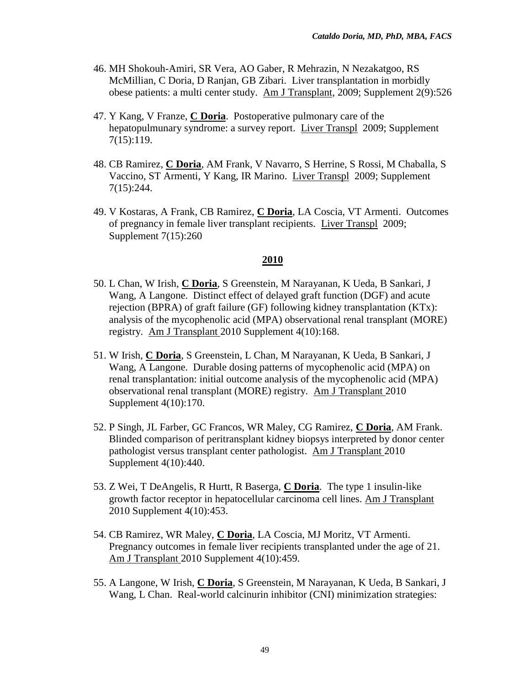- 46. MH Shokouh-Amiri, SR Vera, AO Gaber, R Mehrazin, N Nezakatgoo, RS McMillian, C Doria, D Ranjan, GB Zibari. Liver transplantation in morbidly obese patients: a multi center study. Am J Transplant, 2009; Supplement 2(9):526
- 47. Y Kang, V Franze, **C Doria**. Postoperative pulmonary care of the hepatopulmunary syndrome: a survey report. Liver Transpl 2009; Supplement 7(15):119.
- 48. CB Ramirez, **C Doria**, AM Frank, V Navarro, S Herrine, S Rossi, M Chaballa, S Vaccino, ST Armenti, Y Kang, IR Marino. Liver Transpl 2009; Supplement 7(15):244.
- 49. V Kostaras, A Frank, CB Ramirez, **C Doria**, LA Coscia, VT Armenti. Outcomes of pregnancy in female liver transplant recipients. Liver Transpl 2009; Supplement 7(15):260

- 50. L Chan, W Irish, **C Doria**, S Greenstein, M Narayanan, K Ueda, B Sankari, J Wang, A Langone. Distinct effect of delayed graft function (DGF) and acute rejection (BPRA) of graft failure (GF) following kidney transplantation (KTx): analysis of the mycophenolic acid (MPA) observational renal transplant (MORE) registry. Am J Transplant 2010 Supplement 4(10):168.
- 51. W Irish, **C Doria**, S Greenstein, L Chan, M Narayanan, K Ueda, B Sankari, J Wang, A Langone. Durable dosing patterns of mycophenolic acid (MPA) on renal transplantation: initial outcome analysis of the mycophenolic acid (MPA) observational renal transplant (MORE) registry. Am J Transplant 2010 Supplement 4(10):170.
- 52. P Singh, JL Farber, GC Francos, WR Maley, CG Ramirez, **C Doria**, AM Frank. Blinded comparison of peritransplant kidney biopsys interpreted by donor center pathologist versus transplant center pathologist. Am J Transplant 2010 Supplement 4(10):440.
- 53. Z Wei, T DeAngelis, R Hurtt, R Baserga, **C Doria**. The type 1 insulin-like growth factor receptor in hepatocellular carcinoma cell lines. Am J Transplant 2010 Supplement 4(10):453.
- 54. CB Ramirez, WR Maley, **C Doria**, LA Coscia, MJ Moritz, VT Armenti. Pregnancy outcomes in female liver recipients transplanted under the age of 21. Am J Transplant 2010 Supplement 4(10):459.
- 55. A Langone, W Irish, **C Doria**, S Greenstein, M Narayanan, K Ueda, B Sankari, J Wang, L Chan. Real-world calcinurin inhibitor (CNI) minimization strategies: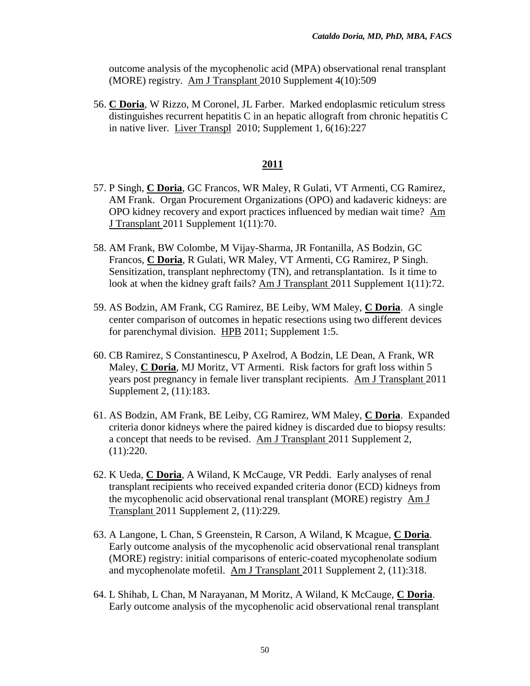outcome analysis of the mycophenolic acid (MPA) observational renal transplant (MORE) registry. Am J Transplant 2010 Supplement 4(10):509

56. **C Doria**, W Rizzo, M Coronel, JL Farber. Marked endoplasmic reticulum stress distinguishes recurrent hepatitis C in an hepatic allograft from chronic hepatitis C in native liver. Liver Transpl 2010; Supplement 1, 6(16):227

- 57. P Singh, **C Doria**, GC Francos, WR Maley, R Gulati, VT Armenti, CG Ramirez, AM Frank. Organ Procurement Organizations (OPO) and kadaveric kidneys: are OPO kidney recovery and export practices influenced by median wait time? Am J Transplant 2011 Supplement 1(11):70.
- 58. AM Frank, BW Colombe, M Vijay-Sharma, JR Fontanilla, AS Bodzin, GC Francos, **C Doria**, R Gulati, WR Maley, VT Armenti, CG Ramirez, P Singh. Sensitization, transplant nephrectomy (TN), and retransplantation. Is it time to look at when the kidney graft fails? Am J Transplant 2011 Supplement 1(11):72.
- 59. AS Bodzin, AM Frank, CG Ramirez, BE Leiby, WM Maley, **C Doria**. A single center comparison of outcomes in hepatic resections using two different devices for parenchymal division. HPB 2011; Supplement 1:5.
- 60. CB Ramirez, S Constantinescu, P Axelrod, A Bodzin, LE Dean, A Frank, WR Maley, **C Doria**, MJ Moritz, VT Armenti. Risk factors for graft loss within 5 years post pregnancy in female liver transplant recipients. Am J Transplant 2011 Supplement 2, (11):183.
- 61. AS Bodzin, AM Frank, BE Leiby, CG Ramirez, WM Maley, **C Doria**. Expanded criteria donor kidneys where the paired kidney is discarded due to biopsy results: a concept that needs to be revised. Am J Transplant 2011 Supplement 2, (11):220.
- 62. K Ueda, **C Doria**, A Wiland, K McCauge, VR Peddi. Early analyses of renal transplant recipients who received expanded criteria donor (ECD) kidneys from the mycophenolic acid observational renal transplant (MORE) registry Am J Transplant 2011 Supplement 2, (11):229.
- 63. A Langone, L Chan, S Greenstein, R Carson, A Wiland, K Mcague, **C Doria**. Early outcome analysis of the mycophenolic acid observational renal transplant (MORE) registry: initial comparisons of enteric-coated mycophenolate sodium and mycophenolate mofetil. Am J Transplant 2011 Supplement 2, (11):318.
- 64. L Shihab, L Chan, M Narayanan, M Moritz, A Wiland, K McCauge, **C Doria**. Early outcome analysis of the mycophenolic acid observational renal transplant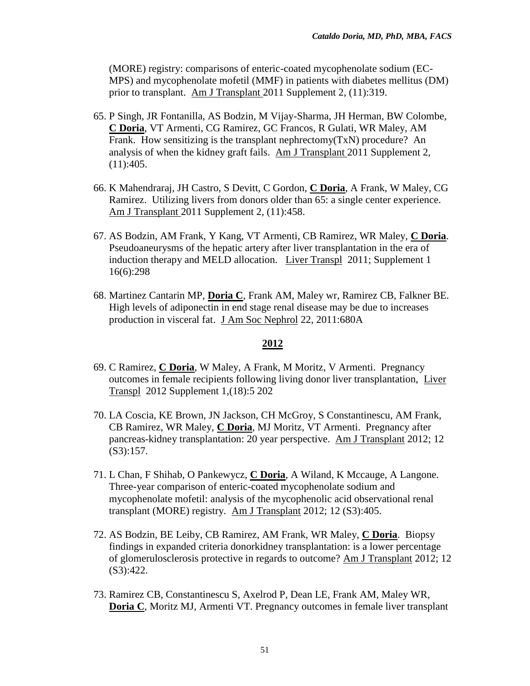(MORE) registry: comparisons of enteric-coated mycophenolate sodium (EC-MPS) and mycophenolate mofetil (MMF) in patients with diabetes mellitus (DM) prior to transplant. Am J Transplant 2011 Supplement 2, (11):319.

- 65. P Singh, JR Fontanilla, AS Bodzin, M Vijay-Sharma, JH Herman, BW Colombe, **C Doria**, VT Armenti, CG Ramirez, GC Francos, R Gulati, WR Maley, AM Frank. How sensitizing is the transplant nephrectomy(TxN) procedure? An analysis of when the kidney graft fails. Am J Transplant 2011 Supplement 2,  $(11):405.$
- 66. K Mahendraraj, JH Castro, S Devitt, C Gordon, **C Doria**, A Frank, W Maley, CG Ramirez. Utilizing livers from donors older than 65: a single center experience. Am J Transplant 2011 Supplement 2, (11):458.
- 67. AS Bodzin, AM Frank, Y Kang, VT Armenti, CB Ramirez, WR Maley, **C Doria**. Pseudoaneurysms of the hepatic artery after liver transplantation in the era of induction therapy and MELD allocation. Liver Transpl 2011; Supplement 1 16(6):298
- 68. Martinez Cantarin MP, **Doria C**, Frank AM, Maley wr, Ramirez CB, Falkner BE. High levels of adiponectin in end stage renal disease may be due to increases production in visceral fat. J Am Soc Nephrol 22, 2011:680A

- 69. C Ramirez, **C Doria**, W Maley, A Frank, M Moritz, V Armenti. Pregnancy outcomes in female recipients following living donor liver transplantation, Liver Transpl 2012 Supplement 1,(18):5 202
- 70. LA Coscia, KE Brown, JN Jackson, CH McGroy, S Constantinescu, AM Frank, CB Ramirez, WR Maley, **C Doria**, MJ Moritz, VT Armenti. Pregnancy after pancreas-kidney transplantation: 20 year perspective. Am J Transplant 2012; 12 (S3):157.
- 71. L Chan, F Shihab, O Pankewycz, **C Doria**, A Wiland, K Mccauge, A Langone. Three-year comparison of enteric-coated mycophenolate sodium and mycophenolate mofetil: analysis of the mycophenolic acid observational renal transplant (MORE) registry. Am J Transplant 2012; 12 (S3):405.
- 72. AS Bodzin, BE Leiby, CB Ramirez, AM Frank, WR Maley, **C Doria**. Biopsy findings in expanded criteria donorkidney transplantation: is a lower percentage of glomerulosclerosis protective in regards to outcome? Am J Transplant 2012; 12 (S3):422.
- 73. Ramirez CB, Constantinescu S, Axelrod P, Dean LE, Frank AM, Maley WR, **Doria C**, Moritz MJ, Armenti VT. Pregnancy outcomes in female liver transplant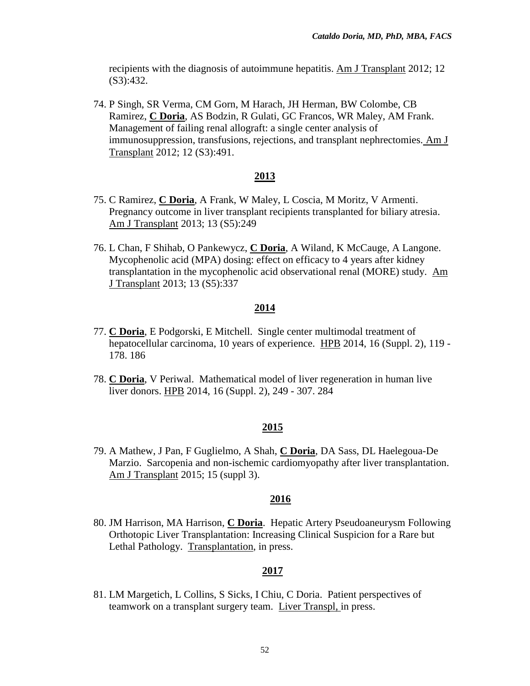recipients with the diagnosis of autoimmune hepatitis. Am J Transplant 2012; 12 (S3):432.

74. P Singh, SR Verma, CM Gorn, M Harach, JH Herman, BW Colombe, CB Ramirez, **C Doria**, AS Bodzin, R Gulati, GC Francos, WR Maley, AM Frank. Management of failing renal allograft: a single center analysis of immunosuppression, transfusions, rejections, and transplant nephrectomies. Am J Transplant 2012; 12 (S3):491.

### **2013**

- 75. C Ramirez, **C Doria**, A Frank, W Maley, L Coscia, M Moritz, V Armenti. Pregnancy outcome in liver transplant recipients transplanted for biliary atresia. Am J Transplant 2013; 13 (S5):249
- 76. L Chan, F Shihab, O Pankewycz, **C Doria**, A Wiland, K McCauge, A Langone. Mycophenolic acid (MPA) dosing: effect on efficacy to 4 years after kidney transplantation in the mycophenolic acid observational renal (MORE) study. Am J Transplant 2013; 13 (S5):337

#### **2014**

- 77. **C Doria**, E Podgorski, E Mitchell. Single center multimodal treatment of hepatocellular carcinoma, 10 years of experience. HPB 2014, 16 (Suppl. 2), 119 - 178. 186
- 78. **C Doria**, V Periwal. Mathematical model of liver regeneration in human live liver donors. HPB 2014, 16 (Suppl. 2), 249 - 307. 284

## **2015**

79. A Mathew, J Pan, F Guglielmo, A Shah, **C Doria**, DA Sass, DL Haelegoua-De Marzio. Sarcopenia and non-ischemic cardiomyopathy after liver transplantation. Am J Transplant 2015; 15 (suppl 3).

#### **2016**

80. JM Harrison, MA Harrison, **C Doria**. Hepatic Artery Pseudoaneurysm Following Orthotopic Liver Transplantation: Increasing Clinical Suspicion for a Rare but Lethal Pathology. Transplantation, in press.

## **2017**

81. LM Margetich, L Collins, S Sicks, I Chiu, C Doria. Patient perspectives of teamwork on a transplant surgery team. Liver Transpl, in press.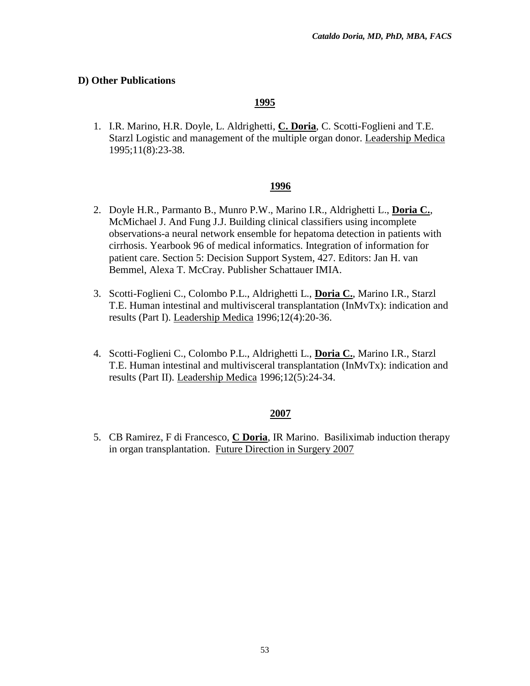# **D) Other Publications**

# **1995**

1. I.R. Marino, H.R. Doyle, L. Aldrighetti, **C. Doria**, C. Scotti-Foglieni and T.E. Starzl Logistic and management of the multiple organ donor. Leadership Medica 1995;11(8):23-38.

## **1996**

- 2. Doyle H.R., Parmanto B., Munro P.W., Marino I.R., Aldrighetti L., **Doria C.**, McMichael J. And Fung J.J. Building clinical classifiers using incomplete observations-a neural network ensemble for hepatoma detection in patients with cirrhosis. Yearbook 96 of medical informatics. Integration of information for patient care. Section 5: Decision Support System, 427. Editors: Jan H. van Bemmel, Alexa T. McCray. Publisher Schattauer IMIA.
- 3. Scotti-Foglieni C., Colombo P.L., Aldrighetti L., **Doria C.**, Marino I.R., Starzl T.E. Human intestinal and multivisceral transplantation ( $IMvTx$ ): indication and results (Part I). Leadership Medica 1996;12(4):20-36.
- 4. Scotti-Foglieni C., Colombo P.L., Aldrighetti L., **Doria C.**, Marino I.R., Starzl T.E. Human intestinal and multivisceral transplantation (InMvTx): indication and results (Part II). Leadership Medica 1996;12(5):24-34.

## **2007**

5. CB Ramirez, F di Francesco, **C Doria**, IR Marino. Basiliximab induction therapy in organ transplantation. Future Direction in Surgery 2007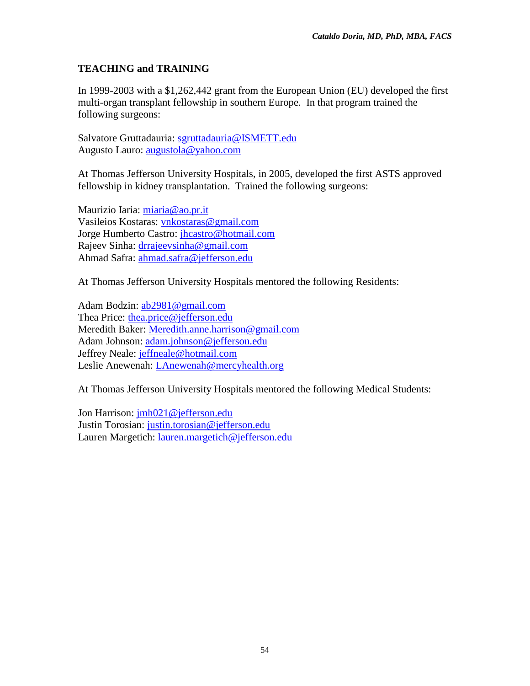# **TEACHING and TRAINING**

In 1999-2003 with a \$1,262,442 grant from the European Union (EU) developed the first multi-organ transplant fellowship in southern Europe. In that program trained the following surgeons:

Salvatore Gruttadauria: [sgruttadauria@ISMETT.edu](mailto:sgruttadauria@ISMETT.edu) Augusto Lauro: [augustola@yahoo.com](mailto:augustola@yahoo.com)

At Thomas Jefferson University Hospitals, in 2005, developed the first ASTS approved fellowship in kidney transplantation. Trained the following surgeons:

Maurizio Iaria: [miaria@ao.pr.it](mailto:miaria@ao.pr.it) Vasileios Kostaras: [vnkostaras@gmail.com](mailto:vnkostaras@gmail.com) Jorge Humberto Castro: *jhcastro@hotmail.com* Rajeev Sinha: [drrajeevsinha@gmail.com](mailto:drrajeevsinha@gmail.com) Ahmad Safra: [ahmad.safra@jefferson.edu](mailto:ahmad.safra@jefferson.edu)

At Thomas Jefferson University Hospitals mentored the following Residents:

Adam Bodzin: [ab2981@gmail.com](mailto:ab2981@gmail.com) Thea Price: [thea.price@jefferson.edu](mailto:thea.price@jefferson.edu) Meredith Baker: [Meredith.anne.harrison@gmail.com](mailto:Meredith.anne.harrison@gmail.com) Adam Johnson: [adam.johnson@jefferson.edu](mailto:adam.johnson@jefferson.edu) Jeffrey Neale: [jeffneale@hotmail.com](mailto:jeffneale@hotmail.com) Leslie Anewenah: [LAnewenah@mercyhealth.org](mailto:LAnewenah@mercyhealth.org)

At Thomas Jefferson University Hospitals mentored the following Medical Students:

Jon Harrison: [jmh021@jefferson.edu](mailto:jmh021@jefferson.edu) Justin Torosian: [justin.torosian@jefferson.edu](mailto:justin.torosian@jefferson.edu) Lauren Margetich: [lauren.margetich@jefferson.edu](mailto:lauren.margetich@jefferson.edu)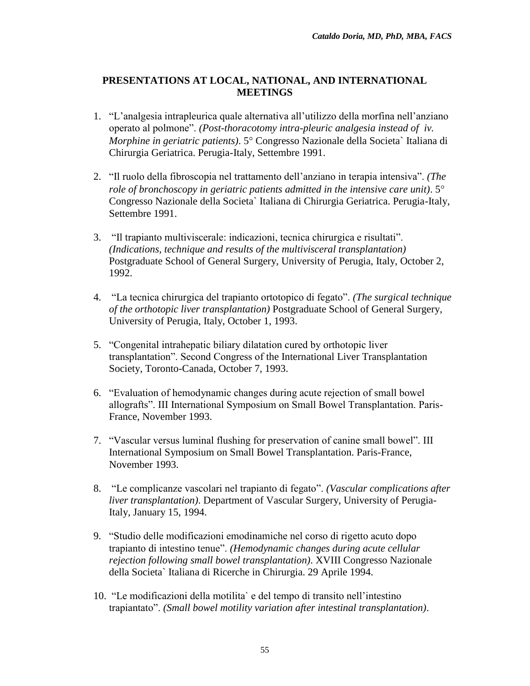# **PRESENTATIONS AT LOCAL, NATIONAL, AND INTERNATIONAL MEETINGS**

- 1. "L'analgesia intrapleurica quale alternativa all'utilizzo della morfina nell'anziano operato al polmone". *(Post-thoracotomy intra-pleuric analgesia instead of iv. Morphine in geriatric patients*). 5<sup>°</sup> Congresso Nazionale della Societa` Italiana di Chirurgia Geriatrica. Perugia-Italy, Settembre 1991.
- 2. "Il ruolo della fibroscopia nel trattamento dell'anziano in terapia intensiva". *(The role of bronchoscopy in geriatric patients admitted in the intensive care unit)*. 5 Congresso Nazionale della Societa` Italiana di Chirurgia Geriatrica. Perugia-Italy, Settembre 1991.
- 3. "Il trapianto multiviscerale: indicazioni, tecnica chirurgica e risultati". *(Indications, technique and results of the multivisceral transplantation)* Postgraduate School of General Surgery, University of Perugia, Italy, October 2, 1992.
- 4. "La tecnica chirurgica del trapianto ortotopico di fegato". *(The surgical technique of the orthotopic liver transplantation)* Postgraduate School of General Surgery, University of Perugia, Italy, October 1, 1993.
- 5. "Congenital intrahepatic biliary dilatation cured by orthotopic liver transplantation". Second Congress of the International Liver Transplantation Society, Toronto-Canada, October 7, 1993.
- 6. "Evaluation of hemodynamic changes during acute rejection of small bowel allografts". III International Symposium on Small Bowel Transplantation. Paris-France, November 1993.
- 7. "Vascular versus luminal flushing for preservation of canine small bowel". III International Symposium on Small Bowel Transplantation. Paris-France, November 1993.
- 8. "Le complicanze vascolari nel trapianto di fegato". *(Vascular complications after liver transplantation)*. Department of Vascular Surgery, University of Perugia-Italy, January 15, 1994.
- 9. "Studio delle modificazioni emodinamiche nel corso di rigetto acuto dopo trapianto di intestino tenue". *(Hemodynamic changes during acute cellular rejection following small bowel transplantation)*. XVIII Congresso Nazionale della Societa` Italiana di Ricerche in Chirurgia. 29 Aprile 1994.
- 10. "Le modificazioni della motilita` e del tempo di transito nell'intestino trapiantato". *(Small bowel motility variation after intestinal transplantation)*.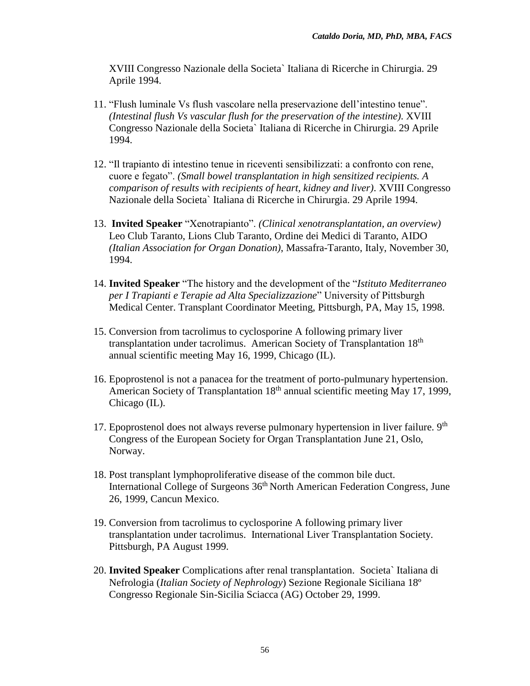XVIII Congresso Nazionale della Societa` Italiana di Ricerche in Chirurgia. 29 Aprile 1994.

- 11. "Flush luminale Vs flush vascolare nella preservazione dell'intestino tenue". *(Intestinal flush Vs vascular flush for the preservation of the intestine)*. XVIII Congresso Nazionale della Societa` Italiana di Ricerche in Chirurgia. 29 Aprile 1994.
- 12. "Il trapianto di intestino tenue in riceventi sensibilizzati: a confronto con rene, cuore e fegato". *(Small bowel transplantation in high sensitized recipients. A comparison of results with recipients of heart, kidney and liver)*. XVIII Congresso Nazionale della Societa` Italiana di Ricerche in Chirurgia. 29 Aprile 1994.
- 13. **Invited Speaker** "Xenotrapianto". *(Clinical xenotransplantation, an overview)* Leo Club Taranto, Lions Club Taranto, Ordine dei Medici di Taranto, AIDO *(Italian Association for Organ Donation)*, Massafra-Taranto, Italy, November 30, 1994.
- 14. **Invited Speaker** "The history and the development of the "*Istituto Mediterraneo per I Trapianti e Terapie ad Alta Specializzazione*" University of Pittsburgh Medical Center. Transplant Coordinator Meeting, Pittsburgh, PA, May 15, 1998.
- 15. Conversion from tacrolimus to cyclosporine A following primary liver transplantation under tacrolimus. American Society of Transplantation 18<sup>th</sup> annual scientific meeting May 16, 1999, Chicago (IL).
- 16. Epoprostenol is not a panacea for the treatment of porto-pulmunary hypertension. American Society of Transplantation 18<sup>th</sup> annual scientific meeting May 17, 1999, Chicago (IL).
- 17. Epoprostenol does not always reverse pulmonary hypertension in liver failure.  $9<sup>th</sup>$ Congress of the European Society for Organ Transplantation June 21, Oslo, Norway.
- 18. Post transplant lymphoproliferative disease of the common bile duct. International College of Surgeons 36<sup>th</sup> North American Federation Congress, June 26, 1999, Cancun Mexico.
- 19. Conversion from tacrolimus to cyclosporine A following primary liver transplantation under tacrolimus.International Liver Transplantation Society. Pittsburgh, PA August 1999.
- 20. **Invited Speaker** Complications after renal transplantation. Societa` Italiana di Nefrologia (*Italian Society of Nephrology*) Sezione Regionale Siciliana 18º Congresso Regionale Sin-Sicilia Sciacca (AG) October 29, 1999.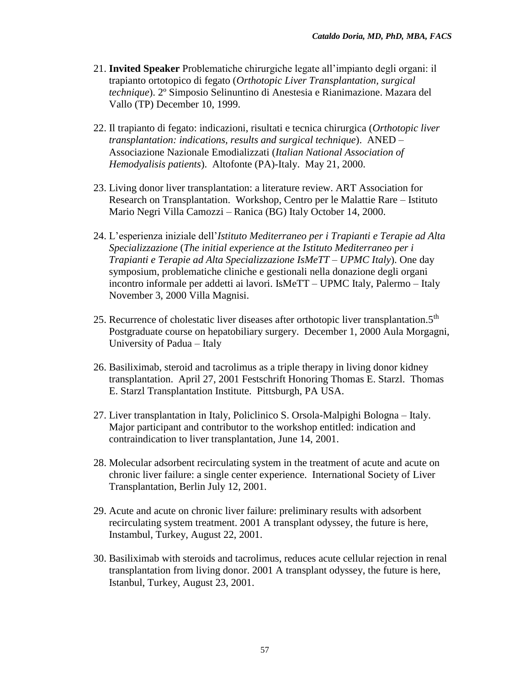- 21. **Invited Speaker** Problematiche chirurgiche legate all'impianto degli organi: il trapianto ortotopico di fegato (*Orthotopic Liver Transplantation, surgical technique*). 2º Simposio Selinuntino di Anestesia e Rianimazione. Mazara del Vallo (TP) December 10, 1999.
- 22. Il trapianto di fegato: indicazioni, risultati e tecnica chirurgica (*Orthotopic liver transplantation: indications, results and surgical technique*). ANED – Associazione Nazionale Emodializzati (*Italian National Association of Hemodyalisis patients*). Altofonte (PA)-Italy. May 21, 2000.
- 23. Living donor liver transplantation: a literature review. ART Association for Research on Transplantation. Workshop, Centro per le Malattie Rare – Istituto Mario Negri Villa Camozzi – Ranica (BG) Italy October 14, 2000.
- 24. L'esperienza iniziale dell'*Istituto Mediterraneo per i Trapianti e Terapie ad Alta Specializzazione* (*The initial experience at the Istituto Mediterraneo per i Trapianti e Terapie ad Alta Specializzazione IsMeTT – UPMC Italy*). One day symposium, problematiche cliniche e gestionali nella donazione degli organi incontro informale per addetti ai lavori. IsMeTT – UPMC Italy, Palermo – Italy November 3, 2000 Villa Magnisi.
- 25. Recurrence of cholestatic liver diseases after orthotopic liver transplantation.5<sup>th</sup> Postgraduate course on hepatobiliary surgery. December 1, 2000 Aula Morgagni, University of Padua – Italy
- 26. Basiliximab, steroid and tacrolimus as a triple therapy in living donor kidney transplantation. April 27, 2001 Festschrift Honoring Thomas E. Starzl. Thomas E. Starzl Transplantation Institute. Pittsburgh, PA USA.
- 27. Liver transplantation in Italy, Policlinico S. Orsola-Malpighi Bologna Italy. Major participant and contributor to the workshop entitled: indication and contraindication to liver transplantation, June 14, 2001.
- 28. Molecular adsorbent recirculating system in the treatment of acute and acute on chronic liver failure: a single center experience. International Society of Liver Transplantation, Berlin July 12, 2001.
- 29. Acute and acute on chronic liver failure: preliminary results with adsorbent recirculating system treatment. 2001 A transplant odyssey, the future is here, Instambul, Turkey, August 22, 2001.
- 30. Basiliximab with steroids and tacrolimus, reduces acute cellular rejection in renal transplantation from living donor. 2001 A transplant odyssey, the future is here, Istanbul, Turkey, August 23, 2001.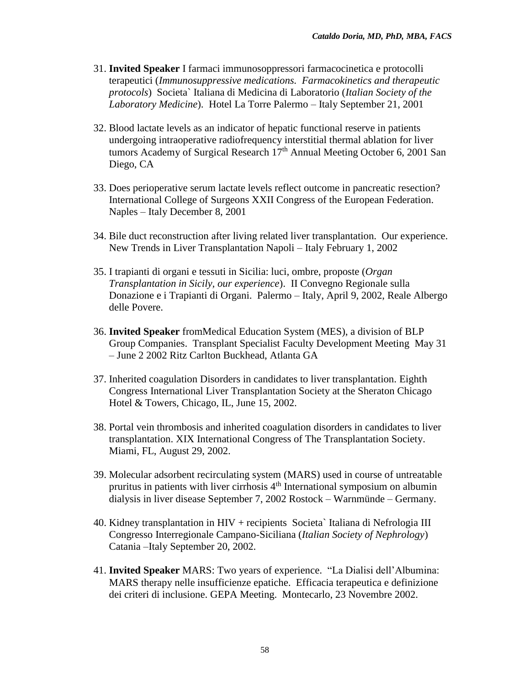- 31. **Invited Speaker** I farmaci immunosoppressori farmacocinetica e protocolli terapeutici (*Immunosuppressive medications. Farmacokinetics and therapeutic protocols*) Societa` Italiana di Medicina di Laboratorio (*Italian Society of the Laboratory Medicine*). Hotel La Torre Palermo – Italy September 21, 2001
- 32. Blood lactate levels as an indicator of hepatic functional reserve in patients undergoing intraoperative radiofrequency interstitial thermal ablation for liver tumors Academy of Surgical Research 17<sup>th</sup> Annual Meeting October 6, 2001 San Diego, CA
- 33. Does perioperative serum lactate levels reflect outcome in pancreatic resection? International College of Surgeons XXII Congress of the European Federation. Naples – Italy December 8, 2001
- 34. Bile duct reconstruction after living related liver transplantation. Our experience. New Trends in Liver Transplantation Napoli – Italy February 1, 2002
- 35. I trapianti di organi e tessuti in Sicilia: luci, ombre, proposte (*Organ Transplantation in Sicily, our experience*). II Convegno Regionale sulla Donazione e i Trapianti di Organi. Palermo – Italy, April 9, 2002, Reale Albergo delle Povere.
- 36. **Invited Speaker** fromMedical Education System (MES), a division of BLP Group Companies. Transplant Specialist Faculty Development Meeting May 31 – June 2 2002 Ritz Carlton Buckhead, Atlanta GA
- 37. Inherited coagulation Disorders in candidates to liver transplantation. Eighth Congress International Liver Transplantation Society at the Sheraton Chicago Hotel & Towers, Chicago, IL, June 15, 2002.
- 38. Portal vein thrombosis and inherited coagulation disorders in candidates to liver transplantation. XIX International Congress of The Transplantation Society. Miami, FL, August 29, 2002.
- 39. Molecular adsorbent recirculating system (MARS) used in course of untreatable pruritus in patients with liver cirrhosis  $4<sup>th</sup>$  International symposium on albumin dialysis in liver disease September 7, 2002 Rostock – Warnmünde – Germany.
- 40. Kidney transplantation in HIV + recipients Societa` Italiana di Nefrologia III Congresso Interregionale Campano-Siciliana (*Italian Society of Nephrology*) Catania –Italy September 20, 2002.
- 41. **Invited Speaker** MARS: Two years of experience. "La Dialisi dell'Albumina: MARS therapy nelle insufficienze epatiche. Efficacia terapeutica e definizione dei criteri di inclusione. GEPA Meeting. Montecarlo, 23 Novembre 2002.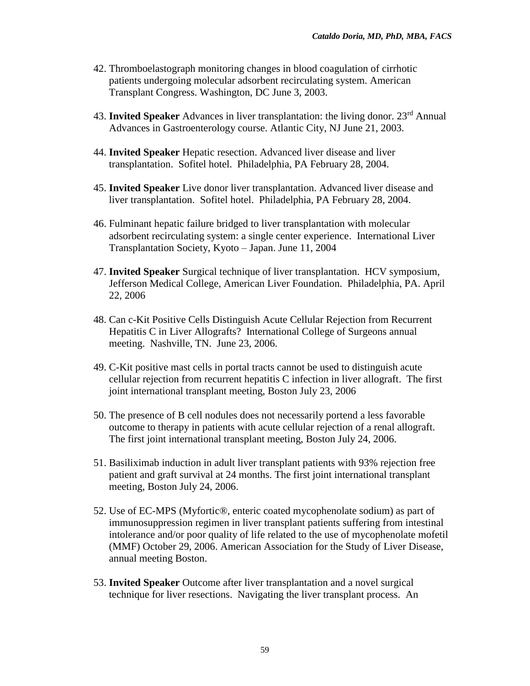- 42. Thromboelastograph monitoring changes in blood coagulation of cirrhotic patients undergoing molecular adsorbent recirculating system. American Transplant Congress. Washington, DC June 3, 2003.
- 43. **Invited Speaker** Advances in liver transplantation: the living donor. 23rd Annual Advances in Gastroenterology course. Atlantic City, NJ June 21, 2003.
- 44. **Invited Speaker** Hepatic resection. Advanced liver disease and liver transplantation. Sofitel hotel. Philadelphia, PA February 28, 2004.
- 45. **Invited Speaker** Live donor liver transplantation. Advanced liver disease and liver transplantation. Sofitel hotel. Philadelphia, PA February 28, 2004.
- 46. Fulminant hepatic failure bridged to liver transplantation with molecular adsorbent recirculating system: a single center experience. International Liver Transplantation Society, Kyoto – Japan. June 11, 2004
- 47. **Invited Speaker** Surgical technique of liver transplantation. HCV symposium, Jefferson Medical College, American Liver Foundation. Philadelphia, PA. April 22, 2006
- 48. Can c-Kit Positive Cells Distinguish Acute Cellular Rejection from Recurrent Hepatitis C in Liver Allografts? International College of Surgeons annual meeting. Nashville, TN. June 23, 2006.
- 49. C-Kit positive mast cells in portal tracts cannot be used to distinguish acute cellular rejection from recurrent hepatitis C infection in liver allograft. The first joint international transplant meeting, Boston July 23, 2006
- 50. The presence of B cell nodules does not necessarily portend a less favorable outcome to therapy in patients with acute cellular rejection of a renal allograft. The first joint international transplant meeting, Boston July 24, 2006.
- 51. Basiliximab induction in adult liver transplant patients with 93% rejection free patient and graft survival at 24 months. The first joint international transplant meeting, Boston July 24, 2006.
- 52. Use of EC-MPS (Myfortic®, enteric coated mycophenolate sodium) as part of immunosuppression regimen in liver transplant patients suffering from intestinal intolerance and/or poor quality of life related to the use of mycophenolate mofetil (MMF) October 29, 2006. American Association for the Study of Liver Disease, annual meeting Boston.
- 53. **Invited Speaker** Outcome after liver transplantation and a novel surgical technique for liver resections. Navigating the liver transplant process. An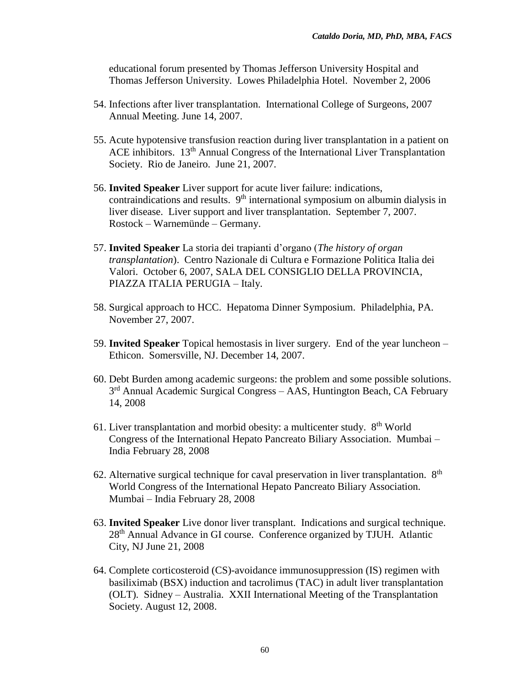educational forum presented by Thomas Jefferson University Hospital and Thomas Jefferson University. Lowes Philadelphia Hotel. November 2, 2006

- 54. Infections after liver transplantation. International College of Surgeons, 2007 Annual Meeting. June 14, 2007.
- 55. Acute hypotensive transfusion reaction during liver transplantation in a patient on ACE inhibitors.  $13<sup>th</sup>$  Annual Congress of the International Liver Transplantation Society. Rio de Janeiro. June 21, 2007.
- 56. **Invited Speaker** Liver support for acute liver failure: indications, contraindications and results.  $9<sup>th</sup>$  international symposium on albumin dialysis in liver disease. Liver support and liver transplantation. September 7, 2007. Rostock – Warnemünde – Germany.
- 57. **Invited Speaker** La storia dei trapianti d'organo (*The history of organ transplantation*). Centro Nazionale di Cultura e Formazione Politica Italia dei Valori. October 6, 2007, SALA DEL CONSIGLIO DELLA PROVINCIA, PIAZZA ITALIA PERUGIA – Italy.
- 58. Surgical approach to HCC. Hepatoma Dinner Symposium. Philadelphia, PA. November 27, 2007.
- 59. **Invited Speaker** Topical hemostasis in liver surgery. End of the year luncheon Ethicon. Somersville, NJ. December 14, 2007.
- 60. Debt Burden among academic surgeons: the problem and some possible solutions. 3<sup>rd</sup> Annual Academic Surgical Congress - AAS, Huntington Beach, CA February 14, 2008
- 61. Liver transplantation and morbid obesity: a multicenter study.  $8<sup>th</sup>$  World Congress of the International Hepato Pancreato Biliary Association. Mumbai – India February 28, 2008
- 62. Alternative surgical technique for caval preservation in liver transplantation.  $8<sup>th</sup>$ World Congress of the International Hepato Pancreato Biliary Association. Mumbai – India February 28, 2008
- 63. **Invited Speaker** Live donor liver transplant. Indications and surgical technique. 28<sup>th</sup> Annual Advance in GI course. Conference organized by TJUH. Atlantic City, NJ June 21, 2008
- 64. Complete corticosteroid (CS)-avoidance immunosuppression (IS) regimen with basiliximab (BSX) induction and tacrolimus (TAC) in adult liver transplantation (OLT). Sidney – Australia. XXII International Meeting of the Transplantation Society. August 12, 2008.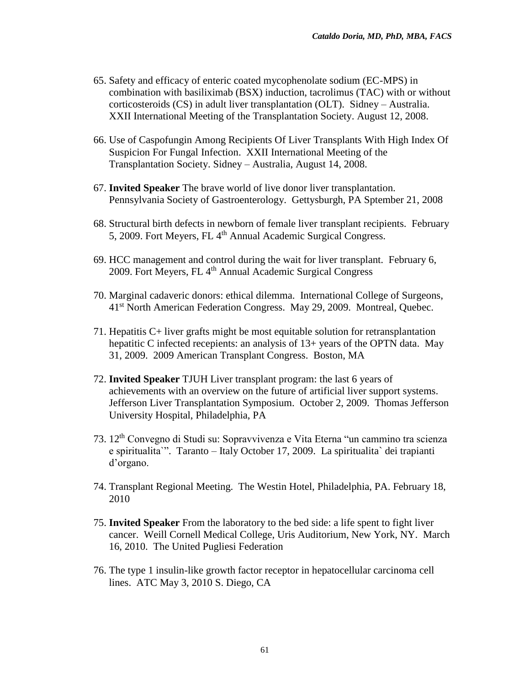- 65. Safety and efficacy of enteric coated mycophenolate sodium (EC-MPS) in combination with basiliximab (BSX) induction, tacrolimus (TAC) with or without corticosteroids (CS) in adult liver transplantation (OLT). Sidney – Australia. XXII International Meeting of the Transplantation Society. August 12, 2008.
- 66. Use of Caspofungin Among Recipients Of Liver Transplants With High Index Of Suspicion For Fungal Infection. XXII International Meeting of the Transplantation Society. Sidney – Australia, August 14, 2008.
- 67. **Invited Speaker** The brave world of live donor liver transplantation. Pennsylvania Society of Gastroenterology. Gettysburgh, PA Sptember 21, 2008
- 68. Structural birth defects in newborn of female liver transplant recipients. February 5, 2009. Fort Meyers, FL 4<sup>th</sup> Annual Academic Surgical Congress.
- 69. HCC management and control during the wait for liver transplant. February 6, 2009. Fort Meyers, FL 4<sup>th</sup> Annual Academic Surgical Congress
- 70. Marginal cadaveric donors: ethical dilemma. International College of Surgeons, 41st North American Federation Congress. May 29, 2009. Montreal, Quebec.
- 71. Hepatitis C+ liver grafts might be most equitable solution for retransplantation hepatitic C infected recepients: an analysis of 13+ years of the OPTN data. May 31, 2009. 2009 American Transplant Congress. Boston, MA
- 72. **Invited Speaker** TJUH Liver transplant program: the last 6 years of achievements with an overview on the future of artificial liver support systems. Jefferson Liver Transplantation Symposium. October 2, 2009. Thomas Jefferson University Hospital, Philadelphia, PA
- 73. 12th Convegno di Studi su: Sopravvivenza e Vita Eterna "un cammino tra scienza e spiritualita`". Taranto – Italy October 17, 2009. La spiritualita` dei trapianti d'organo.
- 74. Transplant Regional Meeting. The Westin Hotel, Philadelphia, PA. February 18, 2010
- 75. **Invited Speaker** From the laboratory to the bed side: a life spent to fight liver cancer. Weill Cornell Medical College, Uris Auditorium, New York, NY. March 16, 2010. The United Pugliesi Federation
- 76. The type 1 insulin-like growth factor receptor in hepatocellular carcinoma cell lines. ATC May 3, 2010 S. Diego, CA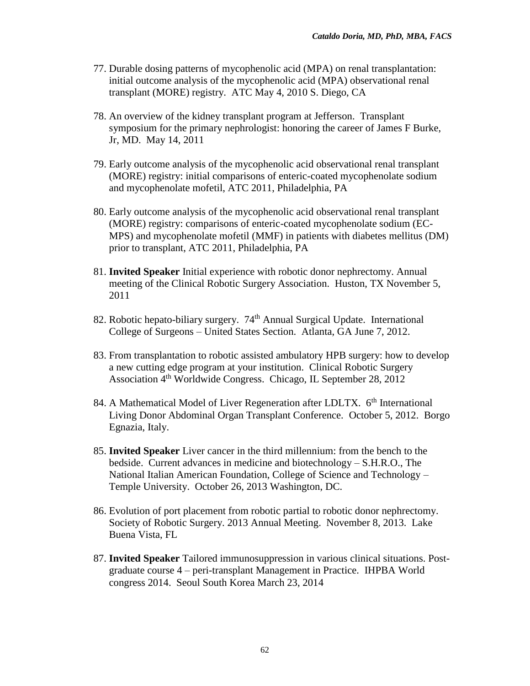- 77. Durable dosing patterns of mycophenolic acid (MPA) on renal transplantation: initial outcome analysis of the mycophenolic acid (MPA) observational renal transplant (MORE) registry. ATC May 4, 2010 S. Diego, CA
- 78. An overview of the kidney transplant program at Jefferson. Transplant symposium for the primary nephrologist: honoring the career of James F Burke, Jr, MD. May 14, 2011
- 79. Early outcome analysis of the mycophenolic acid observational renal transplant (MORE) registry: initial comparisons of enteric-coated mycophenolate sodium and mycophenolate mofetil, ATC 2011, Philadelphia, PA
- 80. Early outcome analysis of the mycophenolic acid observational renal transplant (MORE) registry: comparisons of enteric-coated mycophenolate sodium (EC-MPS) and mycophenolate mofetil (MMF) in patients with diabetes mellitus (DM) prior to transplant, ATC 2011, Philadelphia, PA
- 81. **Invited Speaker** Initial experience with robotic donor nephrectomy. Annual meeting of the Clinical Robotic Surgery Association. Huston, TX November 5, 2011
- 82. Robotic hepato-biliary surgery. 74<sup>th</sup> Annual Surgical Update. International College of Surgeons – United States Section. Atlanta, GA June 7, 2012.
- 83. From transplantation to robotic assisted ambulatory HPB surgery: how to develop a new cutting edge program at your institution. Clinical Robotic Surgery Association 4<sup>th</sup> Worldwide Congress. Chicago, IL September 28, 2012
- 84. A Mathematical Model of Liver Regeneration after LDLTX. 6<sup>th</sup> International Living Donor Abdominal Organ Transplant Conference. October 5, 2012. Borgo Egnazia, Italy.
- 85. **Invited Speaker** Liver cancer in the third millennium: from the bench to the bedside. Current advances in medicine and biotechnology – S.H.R.O., The National Italian American Foundation, College of Science and Technology – Temple University. October 26, 2013 Washington, DC.
- 86. Evolution of port placement from robotic partial to robotic donor nephrectomy. Society of Robotic Surgery. 2013 Annual Meeting. November 8, 2013. Lake Buena Vista, FL
- 87. **Invited Speaker** Tailored immunosuppression in various clinical situations. Postgraduate course 4 – peri-transplant Management in Practice.IHPBA World congress 2014. Seoul South Korea March 23, 2014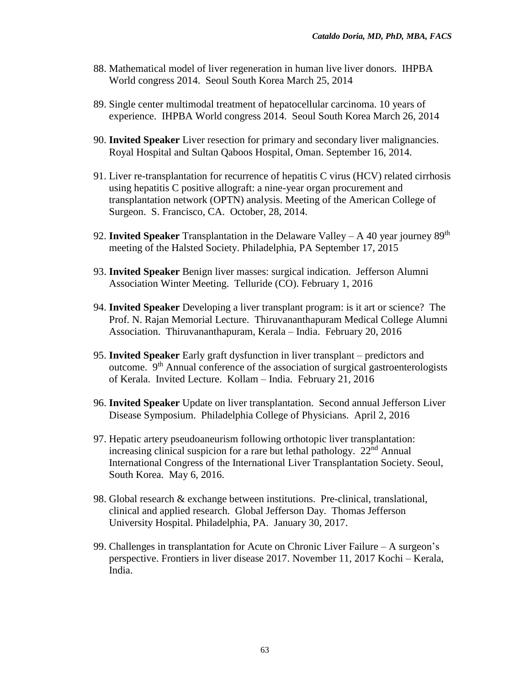- 88. Mathematical model of liver regeneration in human live liver donors. IHPBA World congress 2014. Seoul South Korea March 25, 2014
- 89. Single center multimodal treatment of hepatocellular carcinoma. 10 years of experience. IHPBA World congress 2014. Seoul South Korea March 26, 2014
- 90. **Invited Speaker** Liver resection for primary and secondary liver malignancies. Royal Hospital and Sultan Qaboos Hospital, Oman. September 16, 2014.
- 91. Liver re-transplantation for recurrence of hepatitis C virus (HCV) related cirrhosis using hepatitis C positive allograft: a nine-year organ procurement and transplantation network (OPTN) analysis. Meeting of the American College of Surgeon. S. Francisco, CA. October, 28, 2014.
- 92. **Invited Speaker** Transplantation in the Delaware Valley A 40 year journey 89<sup>th</sup> meeting of the Halsted Society. Philadelphia, PA September 17, 2015
- 93. **Invited Speaker** Benign liver masses: surgical indication. Jefferson Alumni Association Winter Meeting. Telluride (CO). February 1, 2016
- 94. **Invited Speaker** Developing a liver transplant program: is it art or science? The Prof. N. Rajan Memorial Lecture. Thiruvananthapuram Medical College Alumni Association. Thiruvananthapuram, Kerala – India. February 20, 2016
- 95. **Invited Speaker** Early graft dysfunction in liver transplant predictors and outcome. 9th Annual conference of the association of surgical gastroenterologists of Kerala. Invited Lecture. Kollam – India. February 21, 2016
- 96. **Invited Speaker** Update on liver transplantation. Second annual Jefferson Liver Disease Symposium. Philadelphia College of Physicians. April 2, 2016
- 97. Hepatic artery pseudoaneurism following orthotopic liver transplantation: increasing clinical suspicion for a rare but lethal pathology.  $22<sup>nd</sup>$  Annual International Congress of the International Liver Transplantation Society. Seoul, South Korea. May 6, 2016.
- 98. Global research & exchange between institutions. Pre-clinical, translational, clinical and applied research. Global Jefferson Day. Thomas Jefferson University Hospital. Philadelphia, PA. January 30, 2017.
- 99. Challenges in transplantation for Acute on Chronic Liver Failure A surgeon's perspective. Frontiers in liver disease 2017. November 11, 2017 Kochi – Kerala, India.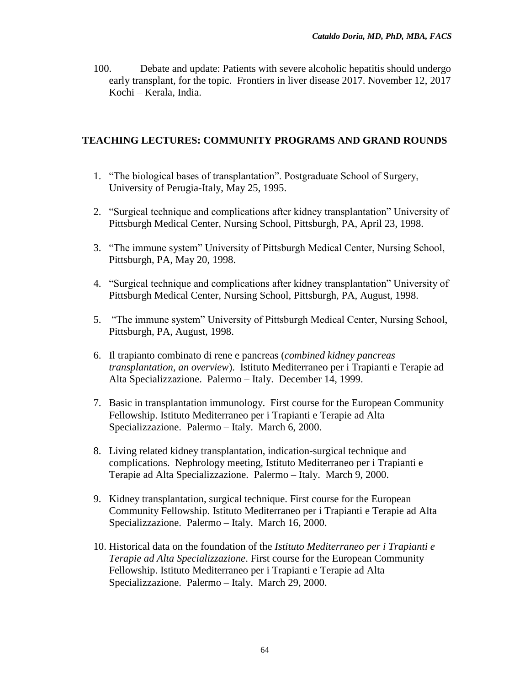100. Debate and update: Patients with severe alcoholic hepatitis should undergo early transplant, for the topic. Frontiers in liver disease 2017. November 12, 2017 Kochi – Kerala, India.

# **TEACHING LECTURES: COMMUNITY PROGRAMS AND GRAND ROUNDS**

- 1. "The biological bases of transplantation". Postgraduate School of Surgery, University of Perugia-Italy, May 25, 1995.
- 2. "Surgical technique and complications after kidney transplantation" University of Pittsburgh Medical Center, Nursing School, Pittsburgh, PA, April 23, 1998.
- 3. "The immune system" University of Pittsburgh Medical Center, Nursing School, Pittsburgh, PA, May 20, 1998.
- 4. "Surgical technique and complications after kidney transplantation" University of Pittsburgh Medical Center, Nursing School, Pittsburgh, PA, August, 1998.
- 5. "The immune system" University of Pittsburgh Medical Center, Nursing School, Pittsburgh, PA, August, 1998.
- 6. Il trapianto combinato di rene e pancreas (*combined kidney pancreas transplantation, an overview*). Istituto Mediterraneo per i Trapianti e Terapie ad Alta Specializzazione. Palermo – Italy. December 14, 1999.
- 7. Basic in transplantation immunology. First course for the European Community Fellowship. Istituto Mediterraneo per i Trapianti e Terapie ad Alta Specializzazione. Palermo – Italy. March 6, 2000.
- 8. Living related kidney transplantation, indication-surgical technique and complications. Nephrology meeting, Istituto Mediterraneo per i Trapianti e Terapie ad Alta Specializzazione. Palermo – Italy. March 9, 2000.
- 9. Kidney transplantation, surgical technique. First course for the European Community Fellowship. Istituto Mediterraneo per i Trapianti e Terapie ad Alta Specializzazione. Palermo – Italy. March 16, 2000.
- 10. Historical data on the foundation of the *Istituto Mediterraneo per i Trapianti e Terapie ad Alta Specializzazione*. First course for the European Community Fellowship. Istituto Mediterraneo per i Trapianti e Terapie ad Alta Specializzazione. Palermo – Italy. March 29, 2000.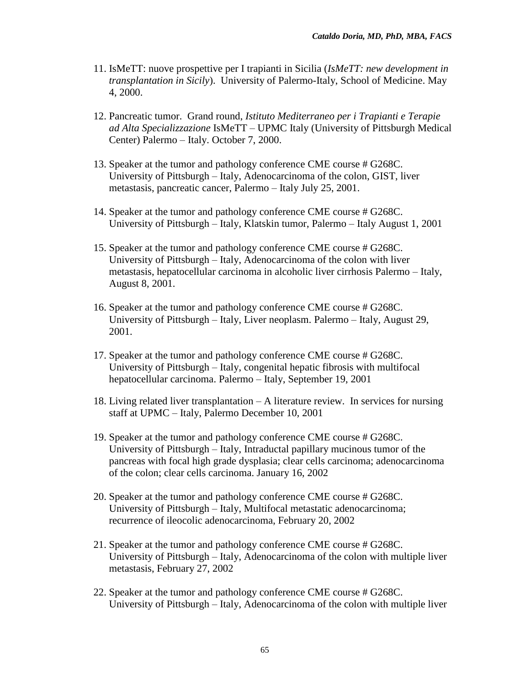- 11. IsMeTT: nuove prospettive per I trapianti in Sicilia (*IsMeTT: new development in transplantation in Sicily*). University of Palermo-Italy, School of Medicine. May 4, 2000.
- 12. Pancreatic tumor. Grand round, *Istituto Mediterraneo per i Trapianti e Terapie ad Alta Specializzazione* IsMeTT – UPMC Italy (University of Pittsburgh Medical Center) Palermo – Italy. October 7, 2000.
- 13. Speaker at the tumor and pathology conference CME course # G268C. University of Pittsburgh – Italy, Adenocarcinoma of the colon, GIST, liver metastasis, pancreatic cancer, Palermo – Italy July 25, 2001.
- 14. Speaker at the tumor and pathology conference CME course # G268C. University of Pittsburgh – Italy, Klatskin tumor, Palermo – Italy August 1, 2001
- 15. Speaker at the tumor and pathology conference CME course # G268C. University of Pittsburgh – Italy, Adenocarcinoma of the colon with liver metastasis, hepatocellular carcinoma in alcoholic liver cirrhosis Palermo – Italy, August 8, 2001.
- 16. Speaker at the tumor and pathology conference CME course # G268C. University of Pittsburgh – Italy, Liver neoplasm. Palermo – Italy, August 29, 2001.
- 17. Speaker at the tumor and pathology conference CME course # G268C. University of Pittsburgh – Italy, congenital hepatic fibrosis with multifocal hepatocellular carcinoma. Palermo – Italy, September 19, 2001
- 18. Living related liver transplantation A literature review. In services for nursing staff at UPMC – Italy, Palermo December 10, 2001
- 19. Speaker at the tumor and pathology conference CME course # G268C. University of Pittsburgh – Italy, Intraductal papillary mucinous tumor of the pancreas with focal high grade dysplasia; clear cells carcinoma; adenocarcinoma of the colon; clear cells carcinoma. January 16, 2002
- 20. Speaker at the tumor and pathology conference CME course # G268C. University of Pittsburgh – Italy, Multifocal metastatic adenocarcinoma; recurrence of ileocolic adenocarcinoma, February 20, 2002
- 21. Speaker at the tumor and pathology conference CME course # G268C. University of Pittsburgh – Italy, Adenocarcinoma of the colon with multiple liver metastasis, February 27, 2002
- 22. Speaker at the tumor and pathology conference CME course # G268C. University of Pittsburgh – Italy, Adenocarcinoma of the colon with multiple liver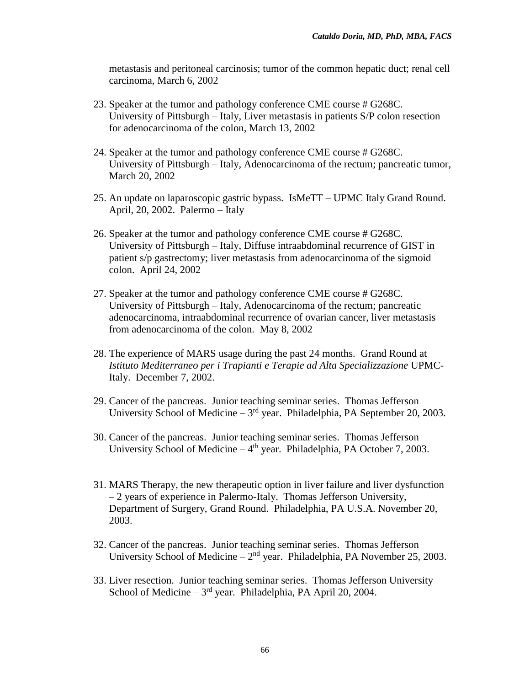metastasis and peritoneal carcinosis; tumor of the common hepatic duct; renal cell carcinoma, March 6, 2002

- 23. Speaker at the tumor and pathology conference CME course # G268C. University of Pittsburgh – Italy, Liver metastasis in patients S/P colon resection for adenocarcinoma of the colon, March 13, 2002
- 24. Speaker at the tumor and pathology conference CME course # G268C. University of Pittsburgh – Italy, Adenocarcinoma of the rectum; pancreatic tumor, March 20, 2002
- 25. An update on laparoscopic gastric bypass. IsMeTT UPMC Italy Grand Round. April, 20, 2002. Palermo – Italy
- 26. Speaker at the tumor and pathology conference CME course # G268C. University of Pittsburgh – Italy, Diffuse intraabdominal recurrence of GIST in patient s/p gastrectomy; liver metastasis from adenocarcinoma of the sigmoid colon. April 24, 2002
- 27. Speaker at the tumor and pathology conference CME course # G268C. University of Pittsburgh – Italy, Adenocarcinoma of the rectum; pancreatic adenocarcinoma, intraabdominal recurrence of ovarian cancer, liver metastasis from adenocarcinoma of the colon. May 8, 2002
- 28. The experience of MARS usage during the past 24 months. Grand Round at *Istituto Mediterraneo per i Trapianti e Terapie ad Alta Specializzazione* UPMC-Italy. December 7, 2002.
- 29. Cancer of the pancreas. Junior teaching seminar series. Thomas Jefferson University School of Medicine  $-3<sup>rd</sup>$  year. Philadelphia, PA September 20, 2003.
- 30. Cancer of the pancreas. Junior teaching seminar series. Thomas Jefferson University School of Medicine - 4<sup>th</sup> year. Philadelphia, PA October 7, 2003.
- 31. MARS Therapy, the new therapeutic option in liver failure and liver dysfunction – 2 years of experience in Palermo-Italy. Thomas Jefferson University, Department of Surgery, Grand Round. Philadelphia, PA U.S.A. November 20, 2003.
- 32. Cancer of the pancreas. Junior teaching seminar series. Thomas Jefferson University School of Medicine  $-2<sup>nd</sup>$  year. Philadelphia, PA November 25, 2003.
- 33. Liver resection. Junior teaching seminar series. Thomas Jefferson University School of Medicine  $-3<sup>rd</sup>$  year. Philadelphia, PA April 20, 2004.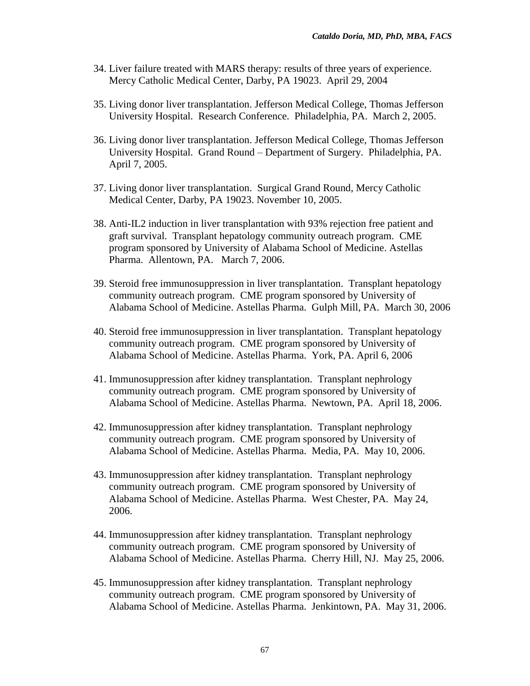- 34. Liver failure treated with MARS therapy: results of three years of experience. Mercy Catholic Medical Center, Darby, PA 19023. April 29, 2004
- 35. Living donor liver transplantation. Jefferson Medical College, Thomas Jefferson University Hospital. Research Conference. Philadelphia, PA. March 2, 2005.
- 36. Living donor liver transplantation. Jefferson Medical College, Thomas Jefferson University Hospital. Grand Round – Department of Surgery. Philadelphia, PA. April 7, 2005.
- 37. Living donor liver transplantation. Surgical Grand Round, Mercy Catholic Medical Center, Darby, PA 19023. November 10, 2005.
- 38. Anti-IL2 induction in liver transplantation with 93% rejection free patient and graft survival. Transplant hepatology community outreach program. CME program sponsored by University of Alabama School of Medicine. Astellas Pharma. Allentown, PA. March 7, 2006.
- 39. Steroid free immunosuppression in liver transplantation. Transplant hepatology community outreach program. CME program sponsored by University of Alabama School of Medicine. Astellas Pharma. Gulph Mill, PA. March 30, 2006
- 40. Steroid free immunosuppression in liver transplantation. Transplant hepatology community outreach program. CME program sponsored by University of Alabama School of Medicine. Astellas Pharma. York, PA. April 6, 2006
- 41. Immunosuppression after kidney transplantation. Transplant nephrology community outreach program. CME program sponsored by University of Alabama School of Medicine. Astellas Pharma. Newtown, PA. April 18, 2006.
- 42. Immunosuppression after kidney transplantation. Transplant nephrology community outreach program. CME program sponsored by University of Alabama School of Medicine. Astellas Pharma. Media, PA. May 10, 2006.
- 43. Immunosuppression after kidney transplantation. Transplant nephrology community outreach program. CME program sponsored by University of Alabama School of Medicine. Astellas Pharma. West Chester, PA. May 24, 2006.
- 44. Immunosuppression after kidney transplantation. Transplant nephrology community outreach program. CME program sponsored by University of Alabama School of Medicine. Astellas Pharma. Cherry Hill, NJ. May 25, 2006.
- 45. Immunosuppression after kidney transplantation. Transplant nephrology community outreach program. CME program sponsored by University of Alabama School of Medicine. Astellas Pharma. Jenkintown, PA. May 31, 2006.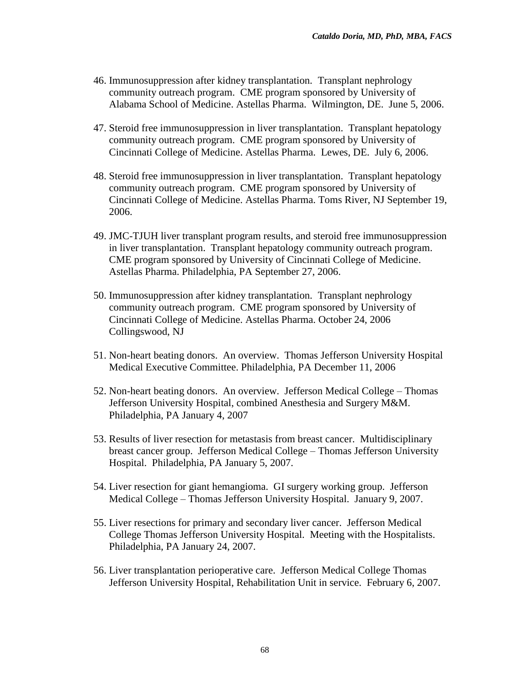- 46. Immunosuppression after kidney transplantation. Transplant nephrology community outreach program. CME program sponsored by University of Alabama School of Medicine. Astellas Pharma. Wilmington, DE. June 5, 2006.
- 47. Steroid free immunosuppression in liver transplantation. Transplant hepatology community outreach program. CME program sponsored by University of Cincinnati College of Medicine. Astellas Pharma. Lewes, DE. July 6, 2006.
- 48. Steroid free immunosuppression in liver transplantation. Transplant hepatology community outreach program. CME program sponsored by University of Cincinnati College of Medicine. Astellas Pharma. Toms River, NJ September 19, 2006.
- 49. JMC-TJUH liver transplant program results, and steroid free immunosuppression in liver transplantation. Transplant hepatology community outreach program. CME program sponsored by University of Cincinnati College of Medicine. Astellas Pharma. Philadelphia, PA September 27, 2006.
- 50. Immunosuppression after kidney transplantation. Transplant nephrology community outreach program. CME program sponsored by University of Cincinnati College of Medicine. Astellas Pharma. October 24, 2006 Collingswood, NJ
- 51. Non-heart beating donors. An overview. Thomas Jefferson University Hospital Medical Executive Committee. Philadelphia, PA December 11, 2006
- 52. Non-heart beating donors. An overview. Jefferson Medical College Thomas Jefferson University Hospital, combined Anesthesia and Surgery M&M. Philadelphia, PA January 4, 2007
- 53. Results of liver resection for metastasis from breast cancer. Multidisciplinary breast cancer group. Jefferson Medical College – Thomas Jefferson University Hospital. Philadelphia, PA January 5, 2007.
- 54. Liver resection for giant hemangioma. GI surgery working group. Jefferson Medical College – Thomas Jefferson University Hospital. January 9, 2007.
- 55. Liver resections for primary and secondary liver cancer. Jefferson Medical College Thomas Jefferson University Hospital. Meeting with the Hospitalists. Philadelphia, PA January 24, 2007.
- 56. Liver transplantation perioperative care. Jefferson Medical College Thomas Jefferson University Hospital, Rehabilitation Unit in service. February 6, 2007.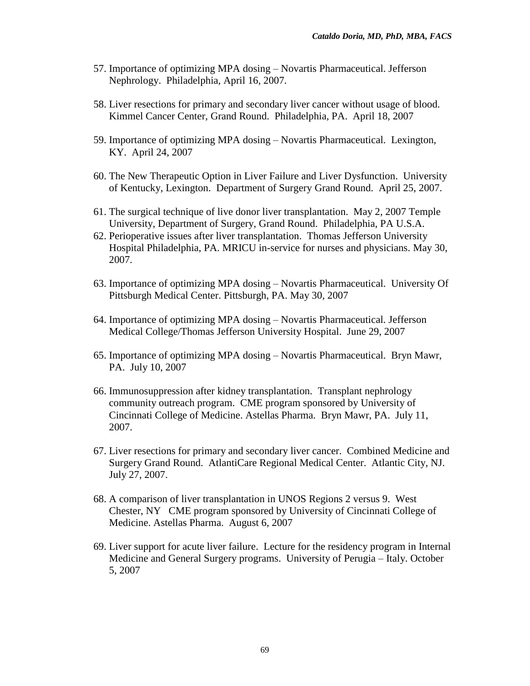- 57. Importance of optimizing MPA dosing Novartis Pharmaceutical. Jefferson Nephrology. Philadelphia, April 16, 2007.
- 58. Liver resections for primary and secondary liver cancer without usage of blood. Kimmel Cancer Center, Grand Round. Philadelphia, PA. April 18, 2007
- 59. Importance of optimizing MPA dosing Novartis Pharmaceutical. Lexington, KY. April 24, 2007
- 60. The New Therapeutic Option in Liver Failure and Liver Dysfunction. University of Kentucky, Lexington. Department of Surgery Grand Round. April 25, 2007.
- 61. The surgical technique of live donor liver transplantation. May 2, 2007 Temple University, Department of Surgery, Grand Round. Philadelphia, PA U.S.A.
- 62. Perioperative issues after liver transplantation. Thomas Jefferson University Hospital Philadelphia, PA. MRICU in-service for nurses and physicians. May 30, 2007.
- 63. Importance of optimizing MPA dosing Novartis Pharmaceutical. University Of Pittsburgh Medical Center. Pittsburgh, PA. May 30, 2007
- 64. Importance of optimizing MPA dosing Novartis Pharmaceutical. Jefferson Medical College/Thomas Jefferson University Hospital. June 29, 2007
- 65. Importance of optimizing MPA dosing Novartis Pharmaceutical. Bryn Mawr, PA. July 10, 2007
- 66. Immunosuppression after kidney transplantation. Transplant nephrology community outreach program. CME program sponsored by University of Cincinnati College of Medicine. Astellas Pharma. Bryn Mawr, PA. July 11, 2007.
- 67. Liver resections for primary and secondary liver cancer. Combined Medicine and Surgery Grand Round. AtlantiCare Regional Medical Center. Atlantic City, NJ. July 27, 2007.
- 68. A comparison of liver transplantation in UNOS Regions 2 versus 9. West Chester, NY CME program sponsored by University of Cincinnati College of Medicine. Astellas Pharma. August 6, 2007
- 69. Liver support for acute liver failure. Lecture for the residency program in Internal Medicine and General Surgery programs. University of Perugia – Italy. October 5, 2007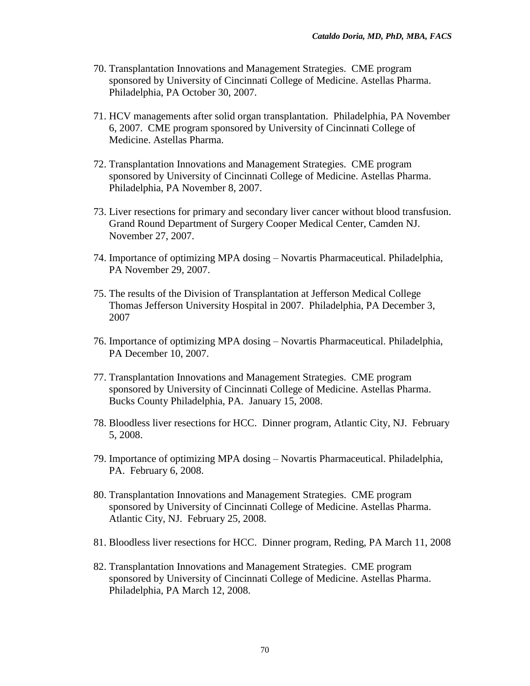- 70. Transplantation Innovations and Management Strategies. CME program sponsored by University of Cincinnati College of Medicine. Astellas Pharma. Philadelphia, PA October 30, 2007.
- 71. HCV managements after solid organ transplantation. Philadelphia, PA November 6, 2007. CME program sponsored by University of Cincinnati College of Medicine. Astellas Pharma.
- 72. Transplantation Innovations and Management Strategies. CME program sponsored by University of Cincinnati College of Medicine. Astellas Pharma. Philadelphia, PA November 8, 2007.
- 73. Liver resections for primary and secondary liver cancer without blood transfusion. Grand Round Department of Surgery Cooper Medical Center, Camden NJ. November 27, 2007.
- 74. Importance of optimizing MPA dosing Novartis Pharmaceutical. Philadelphia, PA November 29, 2007.
- 75. The results of the Division of Transplantation at Jefferson Medical College Thomas Jefferson University Hospital in 2007. Philadelphia, PA December 3, 2007
- 76. Importance of optimizing MPA dosing Novartis Pharmaceutical. Philadelphia, PA December 10, 2007.
- 77. Transplantation Innovations and Management Strategies. CME program sponsored by University of Cincinnati College of Medicine. Astellas Pharma. Bucks County Philadelphia, PA. January 15, 2008.
- 78. Bloodless liver resections for HCC. Dinner program, Atlantic City, NJ. February 5, 2008.
- 79. Importance of optimizing MPA dosing Novartis Pharmaceutical. Philadelphia, PA. February 6, 2008.
- 80. Transplantation Innovations and Management Strategies. CME program sponsored by University of Cincinnati College of Medicine. Astellas Pharma. Atlantic City, NJ. February 25, 2008.
- 81. Bloodless liver resections for HCC. Dinner program, Reding, PA March 11, 2008
- 82. Transplantation Innovations and Management Strategies. CME program sponsored by University of Cincinnati College of Medicine. Astellas Pharma. Philadelphia, PA March 12, 2008.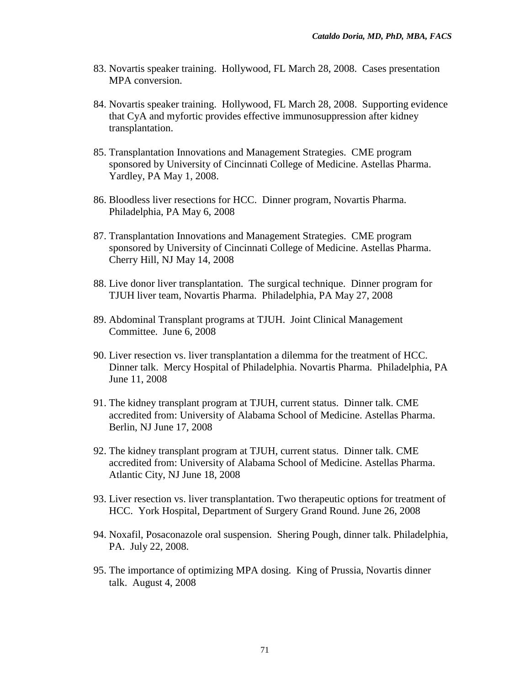- 83. Novartis speaker training. Hollywood, FL March 28, 2008. Cases presentation MPA conversion.
- 84. Novartis speaker training. Hollywood, FL March 28, 2008. Supporting evidence that CyA and myfortic provides effective immunosuppression after kidney transplantation.
- 85. Transplantation Innovations and Management Strategies. CME program sponsored by University of Cincinnati College of Medicine. Astellas Pharma. Yardley, PA May 1, 2008.
- 86. Bloodless liver resections for HCC. Dinner program, Novartis Pharma. Philadelphia, PA May 6, 2008
- 87. Transplantation Innovations and Management Strategies. CME program sponsored by University of Cincinnati College of Medicine. Astellas Pharma. Cherry Hill, NJ May 14, 2008
- 88. Live donor liver transplantation. The surgical technique. Dinner program for TJUH liver team, Novartis Pharma. Philadelphia, PA May 27, 2008
- 89. Abdominal Transplant programs at TJUH. Joint Clinical Management Committee. June 6, 2008
- 90. Liver resection vs. liver transplantation a dilemma for the treatment of HCC. Dinner talk. Mercy Hospital of Philadelphia. Novartis Pharma. Philadelphia, PA June 11, 2008
- 91. The kidney transplant program at TJUH, current status. Dinner talk. CME accredited from: University of Alabama School of Medicine. Astellas Pharma. Berlin, NJ June 17, 2008
- 92. The kidney transplant program at TJUH, current status. Dinner talk. CME accredited from: University of Alabama School of Medicine. Astellas Pharma. Atlantic City, NJ June 18, 2008
- 93. Liver resection vs. liver transplantation. Two therapeutic options for treatment of HCC. York Hospital, Department of Surgery Grand Round. June 26, 2008
- 94. Noxafil, Posaconazole oral suspension. Shering Pough, dinner talk. Philadelphia, PA. July 22, 2008.
- 95. The importance of optimizing MPA dosing. King of Prussia, Novartis dinner talk. August 4, 2008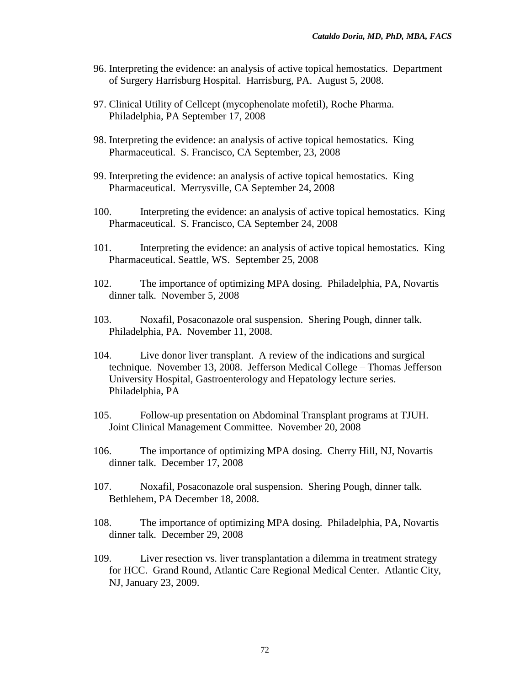- 96. Interpreting the evidence: an analysis of active topical hemostatics. Department of Surgery Harrisburg Hospital. Harrisburg, PA. August 5, 2008.
- 97. Clinical Utility of Cellcept (mycophenolate mofetil), Roche Pharma. Philadelphia, PA September 17, 2008
- 98. Interpreting the evidence: an analysis of active topical hemostatics. King Pharmaceutical. S. Francisco, CA September, 23, 2008
- 99. Interpreting the evidence: an analysis of active topical hemostatics. King Pharmaceutical. Merrysville, CA September 24, 2008
- 100. Interpreting the evidence: an analysis of active topical hemostatics. King Pharmaceutical. S. Francisco, CA September 24, 2008
- 101. Interpreting the evidence: an analysis of active topical hemostatics. King Pharmaceutical. Seattle, WS. September 25, 2008
- 102. The importance of optimizing MPA dosing. Philadelphia, PA, Novartis dinner talk. November 5, 2008
- 103. Noxafil, Posaconazole oral suspension. Shering Pough, dinner talk. Philadelphia, PA. November 11, 2008.
- 104. Live donor liver transplant. A review of the indications and surgical technique. November 13, 2008. Jefferson Medical College – Thomas Jefferson University Hospital, Gastroenterology and Hepatology lecture series. Philadelphia, PA
- 105. Follow-up presentation on Abdominal Transplant programs at TJUH. Joint Clinical Management Committee. November 20, 2008
- 106. The importance of optimizing MPA dosing. Cherry Hill, NJ, Novartis dinner talk. December 17, 2008
- 107. Noxafil, Posaconazole oral suspension. Shering Pough, dinner talk. Bethlehem, PA December 18, 2008.
- 108. The importance of optimizing MPA dosing. Philadelphia, PA, Novartis dinner talk. December 29, 2008
- 109. Liver resection vs. liver transplantation a dilemma in treatment strategy for HCC. Grand Round, Atlantic Care Regional Medical Center. Atlantic City, NJ, January 23, 2009.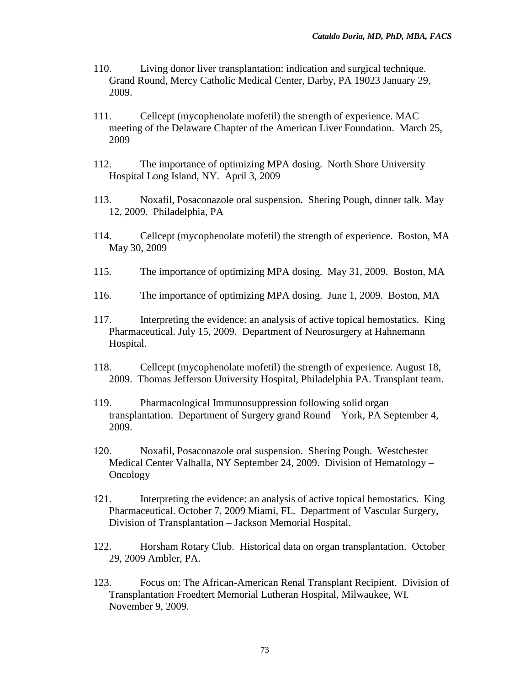- 110. Living donor liver transplantation: indication and surgical technique. Grand Round, Mercy Catholic Medical Center, Darby, PA 19023 January 29, 2009.
- 111. Cellcept (mycophenolate mofetil) the strength of experience. MAC meeting of the Delaware Chapter of the American Liver Foundation. March 25, 2009
- 112. The importance of optimizing MPA dosing. North Shore University Hospital Long Island, NY. April 3, 2009
- 113. Noxafil, Posaconazole oral suspension. Shering Pough, dinner talk. May 12, 2009. Philadelphia, PA
- 114. Cellcept (mycophenolate mofetil) the strength of experience. Boston, MA May 30, 2009
- 115. The importance of optimizing MPA dosing. May 31, 2009. Boston, MA
- 116. The importance of optimizing MPA dosing. June 1, 2009. Boston, MA
- 117. Interpreting the evidence: an analysis of active topical hemostatics. King Pharmaceutical. July 15, 2009. Department of Neurosurgery at Hahnemann Hospital.
- 118. Cellcept (mycophenolate mofetil) the strength of experience. August 18, 2009. Thomas Jefferson University Hospital, Philadelphia PA. Transplant team.
- 119. Pharmacological Immunosuppression following solid organ transplantation. Department of Surgery grand Round – York, PA September 4, 2009.
- 120. Noxafil, Posaconazole oral suspension. Shering Pough. Westchester Medical Center Valhalla, NY September 24, 2009. Division of Hematology – Oncology
- 121. Interpreting the evidence: an analysis of active topical hemostatics. King Pharmaceutical. October 7, 2009 Miami, FL. Department of Vascular Surgery, Division of Transplantation – Jackson Memorial Hospital.
- 122. Horsham Rotary Club. Historical data on organ transplantation. October 29, 2009 Ambler, PA.
- 123. Focus on: The African-American Renal Transplant Recipient. Division of Transplantation Froedtert Memorial Lutheran Hospital, Milwaukee, WI. November 9, 2009.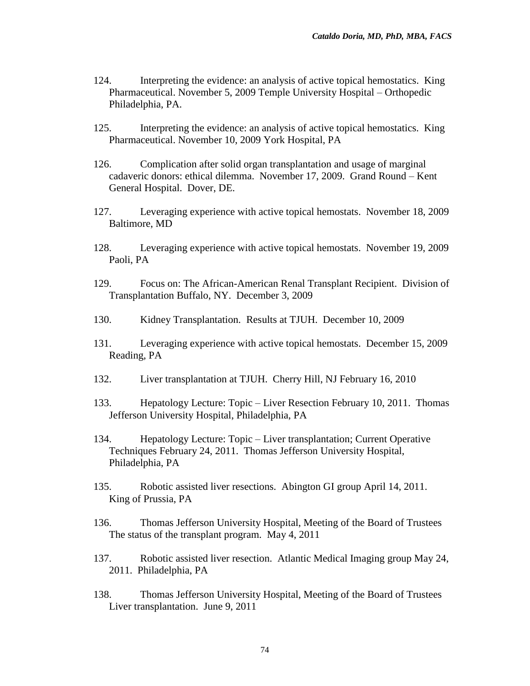- 124. Interpreting the evidence: an analysis of active topical hemostatics. King Pharmaceutical. November 5, 2009 Temple University Hospital – Orthopedic Philadelphia, PA.
- 125. Interpreting the evidence: an analysis of active topical hemostatics. King Pharmaceutical. November 10, 2009 York Hospital, PA
- 126. Complication after solid organ transplantation and usage of marginal cadaveric donors: ethical dilemma. November 17, 2009. Grand Round – Kent General Hospital. Dover, DE.
- 127. Leveraging experience with active topical hemostats. November 18, 2009 Baltimore, MD
- 128. Leveraging experience with active topical hemostats. November 19, 2009 Paoli, PA
- 129. Focus on: The African-American Renal Transplant Recipient. Division of Transplantation Buffalo, NY. December 3, 2009
- 130. Kidney Transplantation. Results at TJUH. December 10, 2009
- 131. Leveraging experience with active topical hemostats. December 15, 2009 Reading, PA
- 132. Liver transplantation at TJUH. Cherry Hill, NJ February 16, 2010
- 133. Hepatology Lecture: Topic Liver Resection February 10, 2011. Thomas Jefferson University Hospital, Philadelphia, PA
- 134. Hepatology Lecture: Topic Liver transplantation; Current Operative Techniques February 24, 2011. Thomas Jefferson University Hospital, Philadelphia, PA
- 135. Robotic assisted liver resections. Abington GI group April 14, 2011. King of Prussia, PA
- 136. Thomas Jefferson University Hospital, Meeting of the Board of Trustees The status of the transplant program. May 4, 2011
- 137. Robotic assisted liver resection. Atlantic Medical Imaging group May 24, 2011. Philadelphia, PA
- 138. Thomas Jefferson University Hospital, Meeting of the Board of Trustees Liver transplantation. June 9, 2011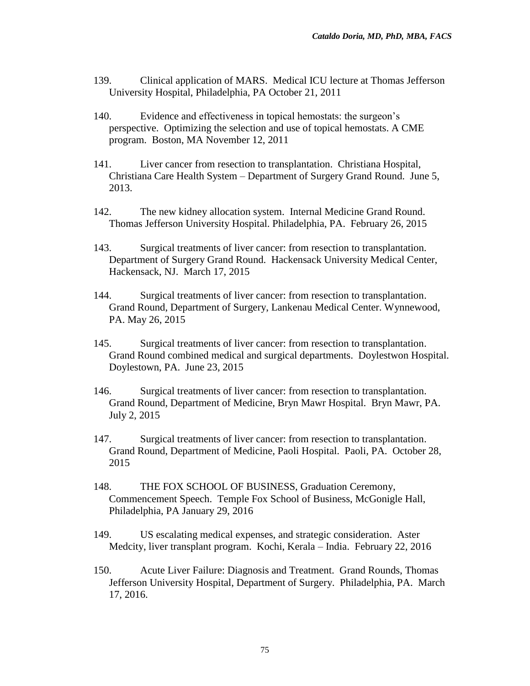- 139. Clinical application of MARS. Medical ICU lecture at Thomas Jefferson University Hospital, Philadelphia, PA October 21, 2011
- 140. Evidence and effectiveness in topical hemostats: the surgeon's perspective. Optimizing the selection and use of topical hemostats. A CME program. Boston, MA November 12, 2011
- 141. Liver cancer from resection to transplantation. Christiana Hospital, Christiana Care Health System – Department of Surgery Grand Round. June 5, 2013.
- 142. The new kidney allocation system. Internal Medicine Grand Round. Thomas Jefferson University Hospital. Philadelphia, PA. February 26, 2015
- 143. Surgical treatments of liver cancer: from resection to transplantation. Department of Surgery Grand Round. Hackensack University Medical Center, Hackensack, NJ. March 17, 2015
- 144. Surgical treatments of liver cancer: from resection to transplantation. Grand Round, Department of Surgery, Lankenau Medical Center. Wynnewood, PA. May 26, 2015
- 145. Surgical treatments of liver cancer: from resection to transplantation. Grand Round combined medical and surgical departments. Doylestwon Hospital. Doylestown, PA. June 23, 2015
- 146. Surgical treatments of liver cancer: from resection to transplantation. Grand Round, Department of Medicine, Bryn Mawr Hospital. Bryn Mawr, PA. July 2, 2015
- 147. Surgical treatments of liver cancer: from resection to transplantation. Grand Round, Department of Medicine, Paoli Hospital. Paoli, PA. October 28, 2015
- 148. THE FOX SCHOOL OF BUSINESS, Graduation Ceremony, Commencement Speech. Temple Fox School of Business, McGonigle Hall, Philadelphia, PA January 29, 2016
- 149. US escalating medical expenses, and strategic consideration. Aster Medcity, liver transplant program. Kochi, Kerala – India. February 22, 2016
- 150. Acute Liver Failure: Diagnosis and Treatment. Grand Rounds, Thomas Jefferson University Hospital, Department of Surgery. Philadelphia, PA. March 17, 2016.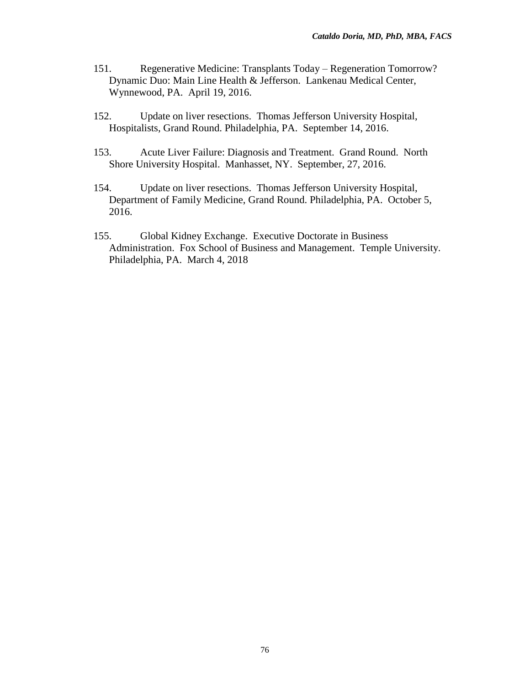- 151. Regenerative Medicine: Transplants Today Regeneration Tomorrow? Dynamic Duo: Main Line Health & Jefferson. Lankenau Medical Center, Wynnewood, PA. April 19, 2016.
- 152. Update on liver resections. Thomas Jefferson University Hospital, Hospitalists, Grand Round. Philadelphia, PA. September 14, 2016.
- 153. Acute Liver Failure: Diagnosis and Treatment. Grand Round. North Shore University Hospital. Manhasset, NY. September, 27, 2016.
- 154. Update on liver resections. Thomas Jefferson University Hospital, Department of Family Medicine, Grand Round. Philadelphia, PA. October 5, 2016.
- 155. Global Kidney Exchange. Executive Doctorate in Business Administration. Fox School of Business and Management. Temple University. Philadelphia, PA. March 4, 2018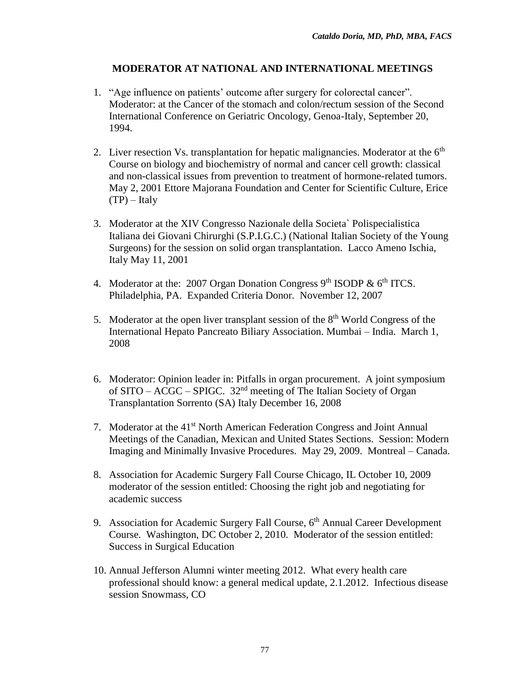## **MODERATOR AT NATIONAL AND INTERNATIONAL MEETINGS**

- 1. "Age influence on patients' outcome after surgery for colorectal cancer". Moderator: at the Cancer of the stomach and colon/rectum session of the Second International Conference on Geriatric Oncology, Genoa-Italy, September 20, 1994.
- 2. Liver resection Vs. transplantation for hepatic malignancies. Moderator at the  $6<sup>th</sup>$ Course on biology and biochemistry of normal and cancer cell growth: classical and non-classical issues from prevention to treatment of hormone-related tumors. May 2, 2001 Ettore Majorana Foundation and Center for Scientific Culture, Erice  $(TP)$  – Italy
- 3. Moderator at the XIV Congresso Nazionale della Societa` Polispecialistica Italiana dei Giovani Chirurghi (S.P.I.G.C.) (National Italian Society of the Young Surgeons) for the session on solid organ transplantation. Lacco Ameno Ischia, Italy May 11, 2001
- 4. Moderator at the: 2007 Organ Donation Congress  $9<sup>th</sup>$  ISODP &  $6<sup>th</sup>$  ITCS. Philadelphia, PA. Expanded Criteria Donor. November 12, 2007
- 5. Moderator at the open liver transplant session of the  $8<sup>th</sup>$  World Congress of the International Hepato Pancreato Biliary Association. Mumbai – India. March 1, 2008
- 6. Moderator: Opinion leader in: Pitfalls in organ procurement. A joint symposium of SITO – ACGC – SPIGC.  $32<sup>nd</sup>$  meeting of The Italian Society of Organ Transplantation Sorrento (SA) Italy December 16, 2008
- 7. Moderator at the 41<sup>st</sup> North American Federation Congress and Joint Annual Meetings of the Canadian, Mexican and United States Sections. Session: Modern Imaging and Minimally Invasive Procedures. May 29, 2009. Montreal – Canada.
- 8. Association for Academic Surgery Fall Course Chicago, IL October 10, 2009 moderator of the session entitled: Choosing the right job and negotiating for academic success
- 9. Association for Academic Surgery Fall Course, 6<sup>th</sup> Annual Career Development Course. Washington, DC October 2, 2010. Moderator of the session entitled: Success in Surgical Education
- 10. Annual Jefferson Alumni winter meeting 2012. What every health care professional should know: a general medical update, 2.1.2012. Infectious disease session Snowmass, CO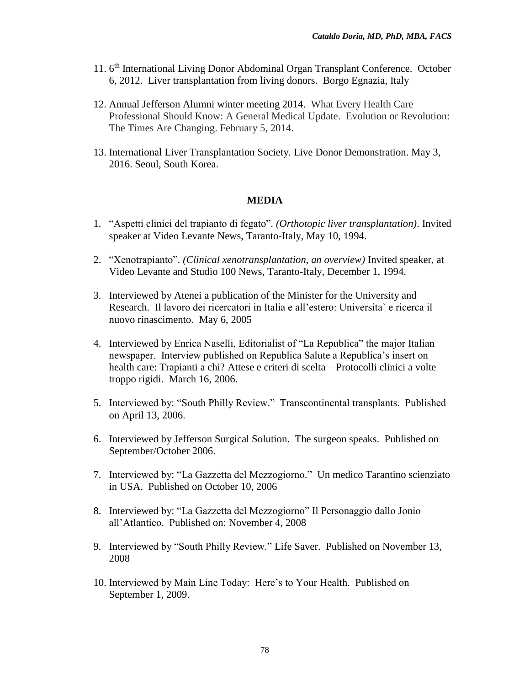- 11. 6<sup>th</sup> International Living Donor Abdominal Organ Transplant Conference. October 6, 2012. Liver transplantation from living donors. Borgo Egnazia, Italy
- 12. Annual Jefferson Alumni winter meeting 2014. What Every Health Care Professional Should Know: A General Medical Update. Evolution or Revolution: The Times Are Changing. February 5, 2014.
- 13. International Liver Transplantation Society. Live Donor Demonstration. May 3, 2016. Seoul, South Korea.

## **MEDIA**

- 1. "Aspetti clinici del trapianto di fegato". *(Orthotopic liver transplantation)*. Invited speaker at Video Levante News, Taranto-Italy, May 10, 1994.
- 2. "Xenotrapianto". *(Clinical xenotransplantation, an overview)* Invited speaker, at Video Levante and Studio 100 News, Taranto-Italy, December 1, 1994.
- 3. Interviewed by Atenei a publication of the Minister for the University and Research. Il lavoro dei ricercatori in Italia e all'estero: Universita` e ricerca il nuovo rinascimento. May 6, 2005
- 4. Interviewed by Enrica Naselli, Editorialist of "La Republica" the major Italian newspaper. Interview published on Republica Salute a Republica's insert on health care: Trapianti a chi? Attese e criteri di scelta – Protocolli clinici a volte troppo rigidi. March 16, 2006.
- 5. Interviewed by: "South Philly Review." Transcontinental transplants. Published on April 13, 2006.
- 6. Interviewed by Jefferson Surgical Solution. The surgeon speaks. Published on September/October 2006.
- 7. Interviewed by: "La Gazzetta del Mezzogiorno." Un medico Tarantino scienziato in USA. Published on October 10, 2006
- 8. Interviewed by: "La Gazzetta del Mezzogiorno" Il Personaggio dallo Jonio all'Atlantico. Published on: November 4, 2008
- 9. Interviewed by "South Philly Review." Life Saver. Published on November 13, 2008
- 10. Interviewed by Main Line Today: Here's to Your Health. Published on September 1, 2009.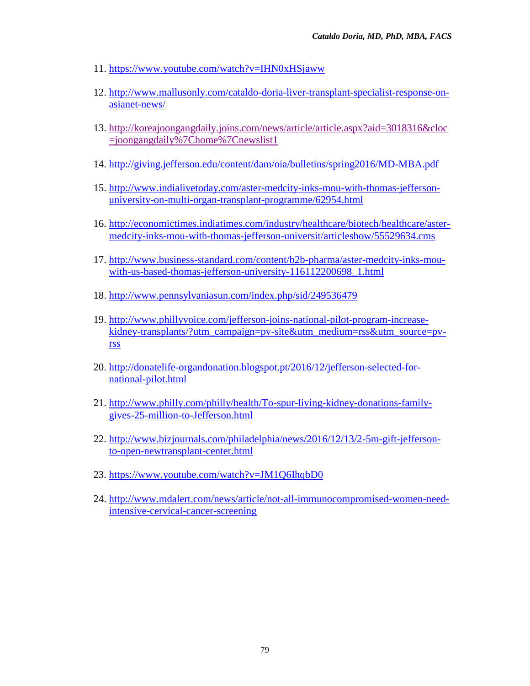- 11. <https://www.youtube.com/watch?v=IHN0xHSjaww>
- 12. [http://www.mallusonly.com/cataldo-doria-liver-transplant-specialist-response-on](http://www.mallusonly.com/cataldo-doria-liver-transplant-specialist-response-on-asianet-news/)[asianet-news/](http://www.mallusonly.com/cataldo-doria-liver-transplant-specialist-response-on-asianet-news/)
- 13. [http://koreajoongangdaily.joins.com/news/article/article.aspx?aid=3018316&cloc](http://koreajoongangdaily.joins.com/news/article/article.aspx?aid=3018316&cloc=joongangdaily%7Chome%7Cnewslist1) [=joongangdaily%7Chome%7Cnewslist1](http://koreajoongangdaily.joins.com/news/article/article.aspx?aid=3018316&cloc=joongangdaily%7Chome%7Cnewslist1)
- 14. <http://giving.jefferson.edu/content/dam/oia/bulletins/spring2016/MD-MBA.pdf>
- 15. [http://www.indialivetoday.com/aster-medcity-inks-mou-with-thomas-jefferson](http://www.indialivetoday.com/aster-medcity-inks-mou-with-thomas-jefferson-university-on-multi-organ-transplant-programme/62954.html)[university-on-multi-organ-transplant-programme/62954.html](http://www.indialivetoday.com/aster-medcity-inks-mou-with-thomas-jefferson-university-on-multi-organ-transplant-programme/62954.html)
- 16. [http://economictimes.indiatimes.com/industry/healthcare/biotech/healthcare/aster](http://economictimes.indiatimes.com/industry/healthcare/biotech/healthcare/aster-medcity-inks-mou-with-thomas-jefferson-universit/articleshow/55529634.cms)[medcity-inks-mou-with-thomas-jefferson-universit/articleshow/55529634.cms](http://economictimes.indiatimes.com/industry/healthcare/biotech/healthcare/aster-medcity-inks-mou-with-thomas-jefferson-universit/articleshow/55529634.cms)
- 17. [http://www.business-standard.com/content/b2b-pharma/aster-medcity-inks-mou](http://www.business-standard.com/content/b2b-pharma/aster-medcity-inks-mou-with-us-based-thomas-jefferson-university-116112200698_1.html)[with-us-based-thomas-jefferson-university-116112200698\\_1.html](http://www.business-standard.com/content/b2b-pharma/aster-medcity-inks-mou-with-us-based-thomas-jefferson-university-116112200698_1.html)
- 18. <http://www.pennsylvaniasun.com/index.php/sid/249536479>
- 19. [http://www.phillyvoice.com/jefferson-joins-national-pilot-program-increase](http://www.phillyvoice.com/jefferson-joins-national-pilot-program-increase-kidney-transplants/?utm_campaign=pv-site&utm_medium=rss&utm_source=pv-rss)[kidney-transplants/?utm\\_campaign=pv-site&utm\\_medium=rss&utm\\_source=pv](http://www.phillyvoice.com/jefferson-joins-national-pilot-program-increase-kidney-transplants/?utm_campaign=pv-site&utm_medium=rss&utm_source=pv-rss)[rss](http://www.phillyvoice.com/jefferson-joins-national-pilot-program-increase-kidney-transplants/?utm_campaign=pv-site&utm_medium=rss&utm_source=pv-rss)
- 20. [http://donatelife-organdonation.blogspot.pt/2016/12/jefferson-selected-for](http://donatelife-organdonation.blogspot.pt/2016/12/jefferson-selected-for-national-pilot.html)[national-pilot.html](http://donatelife-organdonation.blogspot.pt/2016/12/jefferson-selected-for-national-pilot.html)
- 21. [http://www.philly.com/philly/health/To-spur-living-kidney-donations-family](http://www.philly.com/philly/health/To-spur-living-kidney-donations-family-gives-25-million-to-Jefferson.html)[gives-25-million-to-Jefferson.html](http://www.philly.com/philly/health/To-spur-living-kidney-donations-family-gives-25-million-to-Jefferson.html)
- 22. [http://www.bizjournals.com/philadelphia/news/2016/12/13/2-5m-gift-jefferson](http://www.bizjournals.com/philadelphia/news/2016/12/13/2-5m-gift-jefferson-to-open-newtransplant-center.html)[to-open-newtransplant-center.html](http://www.bizjournals.com/philadelphia/news/2016/12/13/2-5m-gift-jefferson-to-open-newtransplant-center.html)
- 23. <https://www.youtube.com/watch?v=JM1Q6IhqbD0>
- 24. [http://www.mdalert.com/news/article/not-all-immunocompromised-women-need](http://www.mdalert.com/news/article/not-all-immunocompromised-women-need-intensive-cervical-cancer-screening)[intensive-cervical-cancer-screening](http://www.mdalert.com/news/article/not-all-immunocompromised-women-need-intensive-cervical-cancer-screening)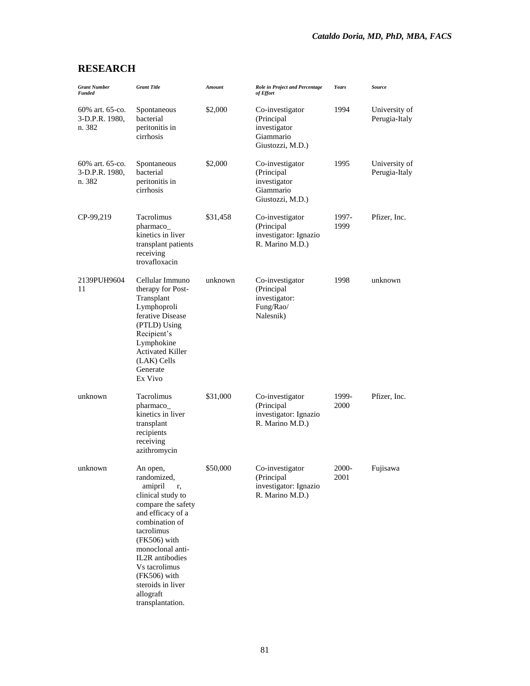# **RESEARCH**

| <b>Grant Number</b><br><b>Funded</b>        | <b>Grant Title</b>                                                                                                                                                                                                                                                                       | <b>Amount</b> | <b>Role in Project and Percentage</b><br>of Effort                             | <b>Years</b>  | <b>Source</b>                  |
|---------------------------------------------|------------------------------------------------------------------------------------------------------------------------------------------------------------------------------------------------------------------------------------------------------------------------------------------|---------------|--------------------------------------------------------------------------------|---------------|--------------------------------|
| 60% art. 65-co.<br>3-D.P.R. 1980,<br>n. 382 | Spontaneous<br>bacterial<br>peritonitis in<br>cirrhosis                                                                                                                                                                                                                                  | \$2,000       | Co-investigator<br>(Principal<br>investigator<br>Giammario<br>Giustozzi, M.D.) | 1994          | University of<br>Perugia-Italy |
| 60% art. 65-co.<br>3-D.P.R. 1980,<br>n. 382 | Spontaneous<br>bacterial<br>peritonitis in<br>cirrhosis                                                                                                                                                                                                                                  | \$2,000       | Co-investigator<br>(Principal<br>investigator<br>Giammario<br>Giustozzi, M.D.) | 1995          | University of<br>Perugia-Italy |
| CP-99,219                                   | Tacrolimus<br>pharmaco_<br>kinetics in liver<br>transplant patients<br>receiving<br>trovafloxacin                                                                                                                                                                                        | \$31,458      | Co-investigator<br>(Principal<br>investigator: Ignazio<br>R. Marino M.D.)      | 1997-<br>1999 | Pfizer, Inc.                   |
| 2139PUH9604<br>11                           | Cellular Immuno<br>therapy for Post-<br>Transplant<br>Lymphoproli<br>ferative Disease<br>(PTLD) Using<br>Recipient's<br>Lymphokine<br><b>Activated Killer</b><br>(LAK) Cells<br>Generate<br>Ex Vivo                                                                                      | unknown       | Co-investigator<br>(Principal<br>investigator:<br>Fung/Rao/<br>Nalesnik)       | 1998          | unknown                        |
| unknown                                     | Tacrolimus<br>pharmaco_<br>kinetics in liver<br>transplant<br>recipients<br>receiving<br>azithromycin                                                                                                                                                                                    | \$31,000      | Co-investigator<br>(Principal<br>investigator: Ignazio<br>R. Marino M.D.)      | 1999-<br>2000 | Pfizer, Inc.                   |
| unknown                                     | An open,<br>randomized,<br>amipril<br>r,<br>clinical study to<br>compare the safety<br>and efficacy of a<br>combination of<br>tacrolimus<br>$(FK506)$ with<br>monoclonal anti-<br>IL2R antibodies<br>Vs tacrolimus<br>(FK506) with<br>steroids in liver<br>allograft<br>transplantation. | \$50,000      | Co-investigator<br>(Principal<br>investigator: Ignazio<br>R. Marino M.D.)      | 2000-<br>2001 | Fujisawa                       |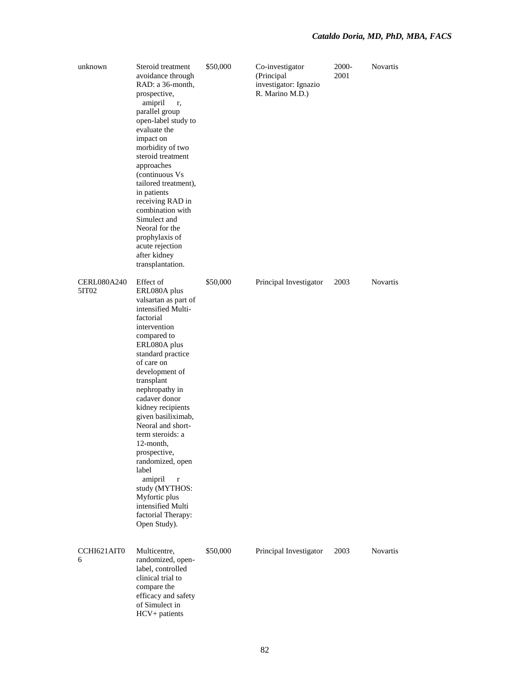| unknown                     | Steroid treatment<br>avoidance through<br>RAD: a 36-month,<br>prospective,<br>amipril<br>r,<br>parallel group<br>open-label study to<br>evaluate the<br>impact on<br>morbidity of two<br>steroid treatment<br>approaches<br>(continuous Vs<br>tailored treatment),<br>in patients<br>receiving RAD in<br>combination with<br>Simulect and<br>Neoral for the<br>prophylaxis of<br>acute rejection<br>after kidney<br>transplantation.                                                                        | \$50,000 | Co-investigator<br>(Principal<br>investigator: Ignazio<br>R. Marino M.D.) | 2000-<br>2001 | <b>Novartis</b> |
|-----------------------------|-------------------------------------------------------------------------------------------------------------------------------------------------------------------------------------------------------------------------------------------------------------------------------------------------------------------------------------------------------------------------------------------------------------------------------------------------------------------------------------------------------------|----------|---------------------------------------------------------------------------|---------------|-----------------|
| <b>CERL080A240</b><br>5IT02 | Effect of<br>ERL080A plus<br>valsartan as part of<br>intensified Multi-<br>factorial<br>intervention<br>compared to<br>ERL080A plus<br>standard practice<br>of care on<br>development of<br>transplant<br>nephropathy in<br>cadaver donor<br>kidney recipients<br>given basiliximab,<br>Neoral and short-<br>term steroids: a<br>12-month,<br>prospective,<br>randomized, open<br>label<br>amipril<br>$\bf r$<br>study (MYTHOS:<br>Myfortic plus<br>intensified Multi<br>factorial Therapy:<br>Open Study). | \$50,000 | Principal Investigator                                                    | 2003          | <b>Novartis</b> |
| CCHI621AIT0<br>6            | Multicentre,<br>randomized, open-<br>label, controlled<br>clinical trial to<br>compare the<br>efficacy and safety<br>of Simulect in<br>HCV+ patients                                                                                                                                                                                                                                                                                                                                                        | \$50,000 | Principal Investigator                                                    | 2003          | <b>Novartis</b> |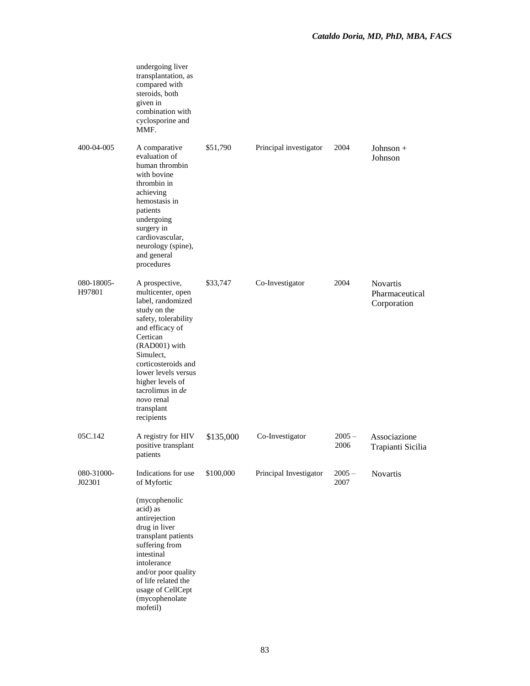|                      | undergoing liver<br>transplantation, as<br>compared with<br>steroids, both<br>given in<br>combination with<br>cyclosporine and<br>MMF.                                                                                                                                                               |           |                        |                  |                                                  |
|----------------------|------------------------------------------------------------------------------------------------------------------------------------------------------------------------------------------------------------------------------------------------------------------------------------------------------|-----------|------------------------|------------------|--------------------------------------------------|
| 400-04-005           | A comparative<br>evaluation of<br>human thrombin<br>with bovine<br>thrombin in<br>achieving<br>hemostasis in<br>patients<br>undergoing<br>surgery in<br>cardiovascular,<br>neurology (spine),<br>and general<br>procedures                                                                           | \$51,790  | Principal investigator | 2004             | Johnson $+$<br>Johnson                           |
| 080-18005-<br>H97801 | A prospective,<br>multicenter, open<br>label, randomized<br>study on the<br>safety, tolerability<br>and efficacy of<br>Certican<br>(RAD001) with<br>Simulect,<br>corticosteroids and<br>lower levels versus<br>higher levels of<br>tacrolimus in <i>de</i><br>novo renal<br>transplant<br>recipients | \$33,747  | Co-Investigator        | 2004             | <b>Novartis</b><br>Pharmaceutical<br>Corporation |
| 05C.142              | A registry for HIV<br>positive transplant<br>patients                                                                                                                                                                                                                                                | \$135,000 | Co-Investigator        | $2005 -$<br>2006 | Associazione<br>Trapianti Sicilia                |
| 080-31000-<br>J02301 | Indications for use<br>of Myfortic<br>(mycophenolic<br>acid) as<br>antirejection<br>drug in liver<br>transplant patients<br>suffering from                                                                                                                                                           | \$100,000 | Principal Investigator | $2005 -$<br>2007 | Novartis                                         |
|                      | intestinal<br>intolerance<br>and/or poor quality<br>of life related the<br>usage of CellCept<br>(mycophenolate<br>mofetil)                                                                                                                                                                           |           |                        |                  |                                                  |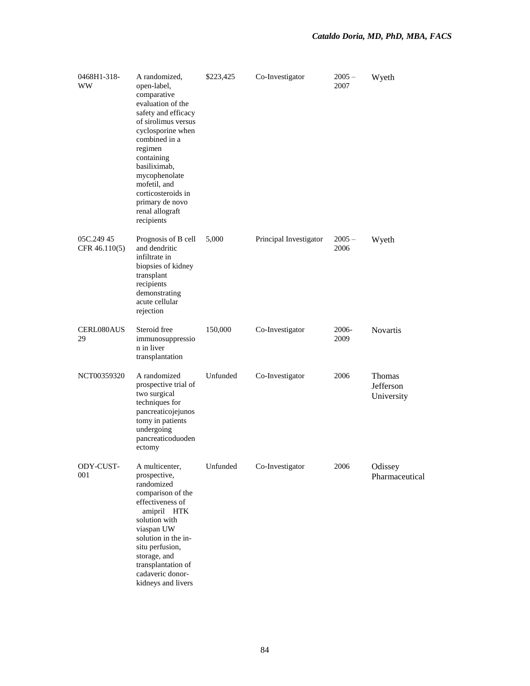| 0468H1-318-<br>WW           | A randomized,<br>open-label,<br>comparative<br>evaluation of the<br>safety and efficacy<br>of sirolimus versus<br>cyclosporine when<br>combined in a<br>regimen<br>containing<br>basiliximab,<br>mycophenolate<br>mofetil, and<br>corticosteroids in<br>primary de novo<br>renal allograft<br>recipients | \$223,425 | Co-Investigator        | $2005 -$<br>2007 | Wyeth                             |
|-----------------------------|----------------------------------------------------------------------------------------------------------------------------------------------------------------------------------------------------------------------------------------------------------------------------------------------------------|-----------|------------------------|------------------|-----------------------------------|
| 05C.249 45<br>CFR 46.110(5) | Prognosis of B cell<br>and dendritic<br>infiltrate in<br>biopsies of kidney<br>transplant<br>recipients<br>demonstrating<br>acute cellular<br>rejection                                                                                                                                                  | 5,000     | Principal Investigator | $2005 -$<br>2006 | Wyeth                             |
| <b>CERL080AUS</b><br>29     | Steroid free<br>immunosuppressio<br>n in liver<br>transplantation                                                                                                                                                                                                                                        | 150,000   | Co-Investigator        | 2006-<br>2009    | <b>Novartis</b>                   |
| NCT00359320                 | A randomized<br>prospective trial of<br>two surgical<br>techniques for<br>pancreaticojejunos<br>tomy in patients<br>undergoing<br>pancreaticoduoden<br>ectomy                                                                                                                                            | Unfunded  | Co-Investigator        | 2006             | Thomas<br>Jefferson<br>University |
| ODY-CUST-<br>001            | A multicenter,<br>prospective,<br>randomized<br>comparison of the<br>effectiveness of<br>amipril HTK<br>solution with<br>viaspan UW<br>solution in the in-<br>situ perfusion,<br>storage, and<br>transplantation of<br>cadaveric donor-<br>kidneys and livers                                            | Unfunded  | Co-Investigator        | 2006             | Odissey<br>Pharmaceutical         |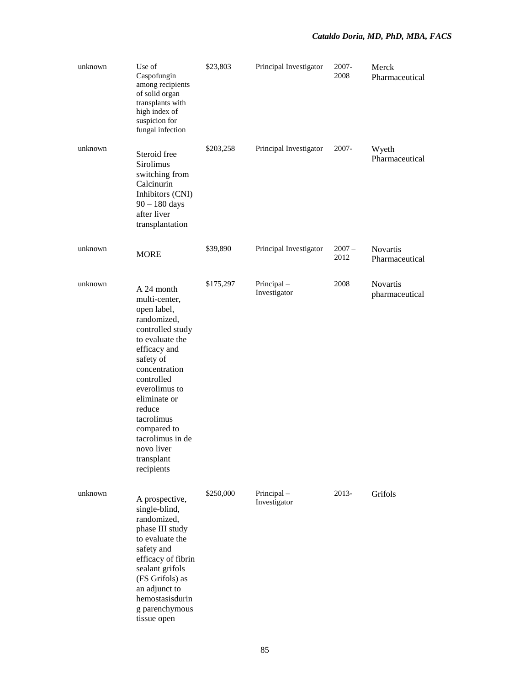| unknown | Use of<br>Caspofungin<br>among recipients<br>of solid organ<br>transplants with<br>high index of<br>suspicion for<br>fungal infection                                                                                                                                                              | \$23,803  | Principal Investigator     | 2007-<br>2008    | Merck<br>Pharmaceutical           |
|---------|----------------------------------------------------------------------------------------------------------------------------------------------------------------------------------------------------------------------------------------------------------------------------------------------------|-----------|----------------------------|------------------|-----------------------------------|
| unknown | Steroid free<br>Sirolimus<br>switching from<br>Calcinurin<br>Inhibitors (CNI)<br>$90 - 180$ days<br>after liver<br>transplantation                                                                                                                                                                 | \$203,258 | Principal Investigator     | 2007-            | Wyeth<br>Pharmaceutical           |
| unknown | <b>MORE</b>                                                                                                                                                                                                                                                                                        | \$39,890  | Principal Investigator     | $2007 -$<br>2012 | Novartis<br>Pharmaceutical        |
| unknown | A 24 month<br>multi-center,<br>open label,<br>randomized,<br>controlled study<br>to evaluate the<br>efficacy and<br>safety of<br>concentration<br>controlled<br>everolimus to<br>eliminate or<br>reduce<br>tacrolimus<br>compared to<br>tacrolimus in de<br>novo liver<br>transplant<br>recipients | \$175,297 | Principal-<br>Investigator | 2008             | <b>Novartis</b><br>pharmaceutical |
| unknown | A prospective,<br>single-blind,<br>randomized,<br>phase III study<br>to evaluate the<br>safety and<br>efficacy of fibrin<br>sealant grifols<br>(FS Grifols) as<br>an adjunct to<br>hemostasisdurin<br>g parenchymous<br>tissue open                                                                | \$250,000 | Principal-<br>Investigator | 2013-            | Grifols                           |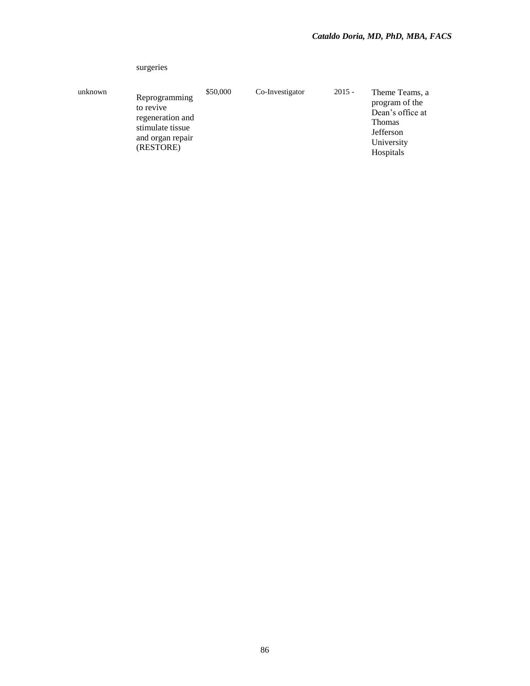|         | surgeries                                                                                           |          |                 |          |                                                                                                               |
|---------|-----------------------------------------------------------------------------------------------------|----------|-----------------|----------|---------------------------------------------------------------------------------------------------------------|
| unknown | Reprogramming<br>to revive<br>regeneration and<br>stimulate tissue<br>and organ repair<br>(RESTORE) | \$50,000 | Co-Investigator | $2015 -$ | Theme Teams, a<br>program of the<br>Dean's office at<br><b>Thomas</b><br>Jefferson<br>University<br>Hospitals |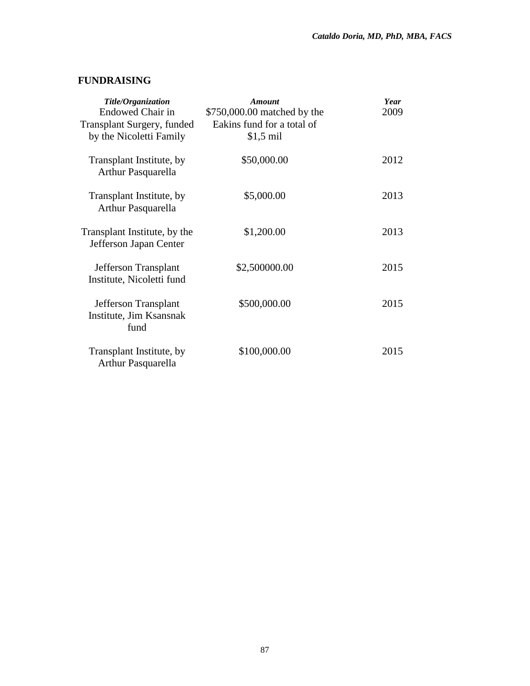## **FUNDRAISING**

| Title/Organization<br><b>Endowed Chair in</b><br><b>Transplant Surgery, funded</b> | Amount<br>\$750,000.00 matched by the<br>Eakins fund for a total of | Year<br>2009 |
|------------------------------------------------------------------------------------|---------------------------------------------------------------------|--------------|
| by the Nicoletti Family                                                            | $$1,5$ mil                                                          |              |
| Transplant Institute, by<br>Arthur Pasquarella                                     | \$50,000.00                                                         | 2012         |
| Transplant Institute, by<br><b>Arthur Pasquarella</b>                              | \$5,000.00                                                          | 2013         |
| Transplant Institute, by the<br>Jefferson Japan Center                             | \$1,200.00                                                          | 2013         |
| Jefferson Transplant<br>Institute, Nicoletti fund                                  | \$2,500000.00                                                       | 2015         |
| Jefferson Transplant<br>Institute, Jim Ksansnak<br>fund                            | \$500,000.00                                                        | 2015         |
| Transplant Institute, by<br><b>Arthur Pasquarella</b>                              | \$100,000.00                                                        | 2015         |